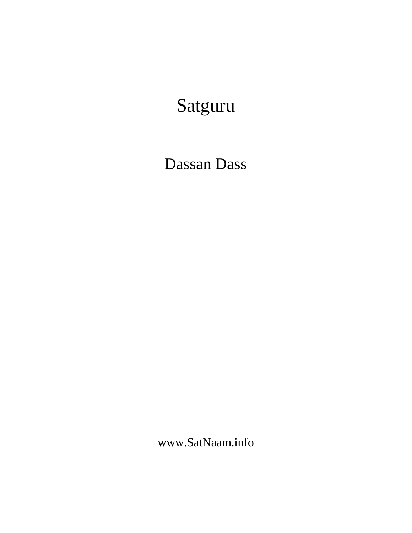# Satguru

## Dassan Dass

www.SatNaam.info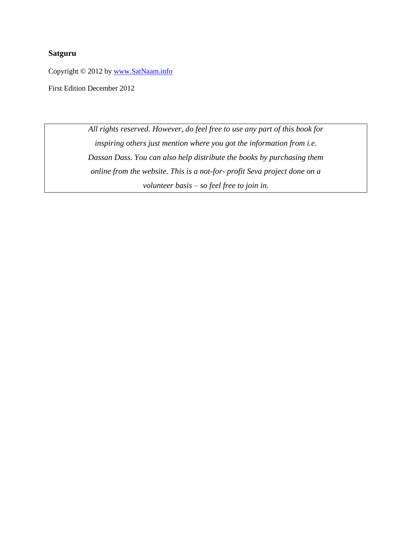## **Satguru**

Copyright © 2012 by [www.SatNaam.info](http://www.satnaam.info/)

First Edition December 2012

*All rights reserved. However, do feel free to use any part of this book for inspiring others just mention where you got the information from i.e. Dassan Dass. You can also help distribute the books by purchasing them online from the website. This is a not-for- profit Seva project done on a volunteer basis – so feel free to join in.*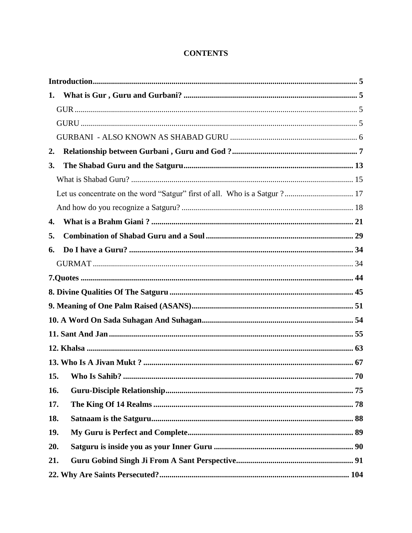## **CONTENTS**

| 1.                                                                         |  |
|----------------------------------------------------------------------------|--|
|                                                                            |  |
|                                                                            |  |
|                                                                            |  |
| 2.                                                                         |  |
| 3.                                                                         |  |
|                                                                            |  |
| Let us concentrate on the word "Satgur" first of all. Who is a Satgur ? 17 |  |
|                                                                            |  |
| 4.                                                                         |  |
| 5.                                                                         |  |
| 6.                                                                         |  |
|                                                                            |  |
|                                                                            |  |
|                                                                            |  |
|                                                                            |  |
|                                                                            |  |
|                                                                            |  |
|                                                                            |  |
|                                                                            |  |
|                                                                            |  |
| 16.                                                                        |  |
| 17.                                                                        |  |
| 18.                                                                        |  |
| 19.                                                                        |  |
| 20.                                                                        |  |
| 21.                                                                        |  |
|                                                                            |  |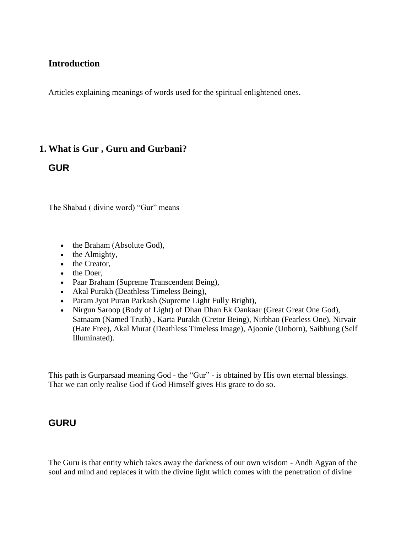## <span id="page-4-0"></span>**Introduction**

Articles explaining meanings of words used for the spiritual enlightened ones.

## <span id="page-4-1"></span>**1. What is Gur , Guru and Gurbani?**

## <span id="page-4-2"></span>**GUR**

The Shabad ( divine word) "Gur" means

- the Braham (Absolute God),
- $\bullet$  the Almighty,
- the Creator,
- the Doer.
- Paar Braham (Supreme Transcendent Being),
- Akal Purakh (Deathless Timeless Being),
- Param Jyot Puran Parkash (Supreme Light Fully Bright),
- Nirgun Saroop (Body of Light) of Dhan Dhan Ek Oankaar (Great Great One God), Satnaam (Named Truth) , Karta Purakh (Cretor Being), Nirbhao (Fearless One), Nirvair (Hate Free), Akal Murat (Deathless Timeless Image), Ajoonie (Unborn), Saibhung (Self Illuminated).

This path is Gurparsaad meaning God - the "Gur" - is obtained by His own eternal blessings. That we can only realise God if God Himself gives His grace to do so.

## <span id="page-4-3"></span>**GURU**

The Guru is that entity which takes away the darkness of our own wisdom - Andh Agyan of the soul and mind and replaces it with the divine light which comes with the penetration of divine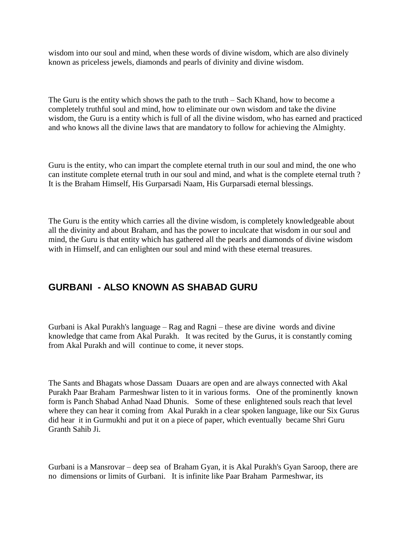wisdom into our soul and mind, when these words of divine wisdom, which are also divinely known as priceless jewels, diamonds and pearls of divinity and divine wisdom.

The Guru is the entity which shows the path to the truth – Sach Khand, how to become a completely truthful soul and mind, how to eliminate our own wisdom and take the divine wisdom, the Guru is a entity which is full of all the divine wisdom, who has earned and practiced and who knows all the divine laws that are mandatory to follow for achieving the Almighty.

Guru is the entity, who can impart the complete eternal truth in our soul and mind, the one who can institute complete eternal truth in our soul and mind, and what is the complete eternal truth ? It is the Braham Himself, His Gurparsadi Naam, His Gurparsadi eternal blessings.

The Guru is the entity which carries all the divine wisdom, is completely knowledgeable about all the divinity and about Braham, and has the power to inculcate that wisdom in our soul and mind, the Guru is that entity which has gathered all the pearls and diamonds of divine wisdom with in Himself, and can enlighten our soul and mind with these eternal treasures.

## <span id="page-5-0"></span>**GURBANI - ALSO KNOWN AS SHABAD GURU**

Gurbani is Akal Purakh's language – Rag and Ragni – these are divine words and divine knowledge that came from Akal Purakh. It was recited by the Gurus, it is constantly coming from Akal Purakh and will continue to come, it never stops.

The Sants and Bhagats whose Dassam Duaars are open and are always connected with Akal Purakh Paar Braham Parmeshwar listen to it in various forms. One of the prominently known form is Panch Shabad Anhad Naad Dhunis. Some of these enlightened souls reach that level where they can hear it coming from Akal Purakh in a clear spoken language, like our Six Gurus did hear it in Gurmukhi and put it on a piece of paper, which eventually became Shri Guru Granth Sahib Ji.

Gurbani is a Mansrovar – deep sea of Braham Gyan, it is Akal Purakh's Gyan Saroop, there are no dimensions or limits of Gurbani. It is infinite like Paar Braham Parmeshwar, its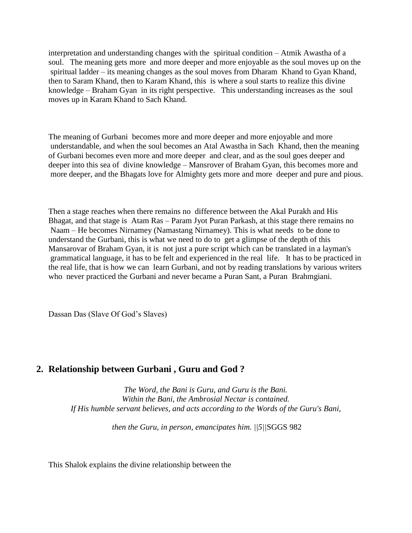interpretation and understanding changes with the spiritual condition – Atmik Awastha of a soul. The meaning gets more and more deeper and more enjoyable as the soul moves up on the spiritual ladder – its meaning changes as the soul moves from Dharam Khand to Gyan Khand, then to Saram Khand, then to Karam Khand, this is where a soul starts to realize this divine knowledge – Braham Gyan in its right perspective. This understanding increases as the soul moves up in Karam Khand to Sach Khand.

The meaning of Gurbani becomes more and more deeper and more enjoyable and more understandable, and when the soul becomes an Atal Awastha in Sach Khand, then the meaning of Gurbani becomes even more and more deeper and clear, and as the soul goes deeper and deeper into this sea of divine knowledge – Mansrover of Braham Gyan, this becomes more and more deeper, and the Bhagats love for Almighty gets more and more deeper and pure and pious.

Then a stage reaches when there remains no difference between the Akal Purakh and His Bhagat, and that stage is Atam Ras – Param Jyot Puran Parkash, at this stage there remains no Naam – He becomes Nirnamey (Namastang Nirnamey). This is what needs to be done to understand the Gurbani, this is what we need to do to get a glimpse of the depth of this Mansarovar of Braham Gyan, it is not just a pure script which can be translated in a layman's grammatical language, it has to be felt and experienced in the real life. It has to be practiced in the real life, that is how we can learn Gurbani, and not by reading translations by various writers who never practiced the Gurbani and never became a Puran Sant, a Puran Brahmgiani.

Dassan Das (Slave Of God's Slaves)

## <span id="page-6-0"></span>**2. Relationship between Gurbani , Guru and God ?**

*The Word, the Bani is Guru, and Guru is the Bani. Within the Bani, the Ambrosial Nectar is contained. If His humble servant believes, and acts according to the Words of the Guru's Bani,*

*then the Guru, in person, emancipates him. ||5||*SGGS 982

This Shalok explains the divine relationship between the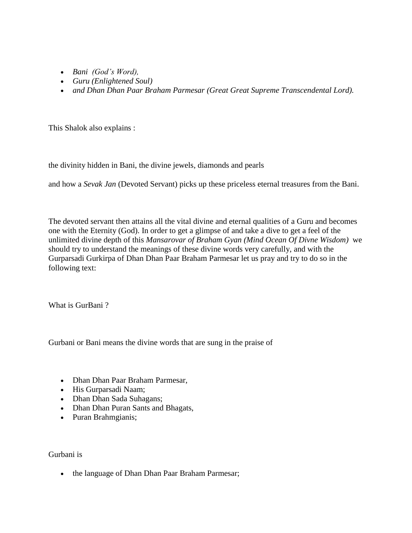- *Bani (God's Word),*
- *Guru (Enlightened Soul)*
- *and Dhan Dhan Paar Braham Parmesar (Great Great Supreme Transcendental Lord).*

This Shalok also explains :

the divinity hidden in Bani, the divine jewels, diamonds and pearls

and how a *Sevak Jan* (Devoted Servant) picks up these priceless eternal treasures from the Bani.

The devoted servant then attains all the vital divine and eternal qualities of a Guru and becomes one with the Eternity (God). In order to get a glimpse of and take a dive to get a feel of the unlimited divine depth of this *Mansarovar of Braham Gyan (Mind Ocean Of Divne Wisdom)* we should try to understand the meanings of these divine words very carefully, and with the Gurparsadi Gurkirpa of Dhan Dhan Paar Braham Parmesar let us pray and try to do so in the following text:

What is GurBani ?

Gurbani or Bani means the divine words that are sung in the praise of

- Dhan Dhan Paar Braham Parmesar,
- His Gurparsadi Naam;
- Dhan Dhan Sada Suhagans;
- Dhan Dhan Puran Sants and Bhagats,
- Puran Brahmgianis;

Gurbani is

• the language of Dhan Dhan Paar Braham Parmesar;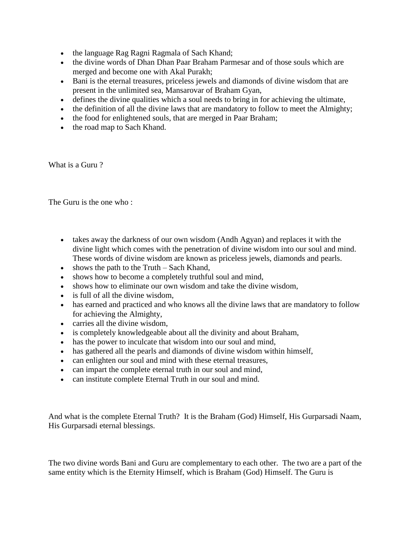- the language Rag Ragni Ragmala of Sach Khand;
- the divine words of Dhan Dhan Paar Braham Parmesar and of those souls which are merged and become one with Akal Purakh;
- Bani is the eternal treasures, priceless jewels and diamonds of divine wisdom that are present in the unlimited sea, Mansarovar of Braham Gyan,
- defines the divine qualities which a soul needs to bring in for achieving the ultimate,
- the definition of all the divine laws that are mandatory to follow to meet the Almighty;
- the food for enlightened souls, that are merged in Paar Braham;
- the road map to Sach Khand.

What is a Guru ?

The Guru is the one who :

- takes away the darkness of our own wisdom (Andh Agyan) and replaces it with the divine light which comes with the penetration of divine wisdom into our soul and mind. These words of divine wisdom are known as priceless jewels, diamonds and pearls.
- $\bullet$  shows the path to the Truth Sach Khand,
- shows how to become a completely truthful soul and mind,
- shows how to eliminate our own wisdom and take the divine wisdom,
- is full of all the divine wisdom.
- has earned and practiced and who knows all the divine laws that are mandatory to follow for achieving the Almighty,
- carries all the divine wisdom,
- is completely knowledgeable about all the divinity and about Braham,
- has the power to inculcate that wisdom into our soul and mind,
- has gathered all the pearls and diamonds of divine wisdom within himself,
- can enlighten our soul and mind with these eternal treasures,
- can impart the complete eternal truth in our soul and mind,
- can institute complete Eternal Truth in our soul and mind.

And what is the complete Eternal Truth? It is the Braham (God) Himself, His Gurparsadi Naam, His Gurparsadi eternal blessings.

The two divine words Bani and Guru are complementary to each other. The two are a part of the same entity which is the Eternity Himself, which is Braham (God) Himself. The Guru is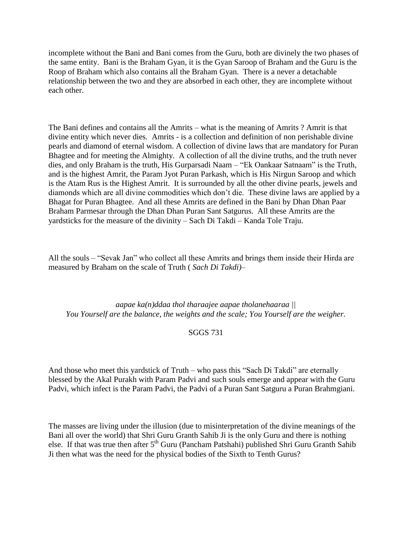incomplete without the Bani and Bani comes from the Guru, both are divinely the two phases of the same entity. Bani is the Braham Gyan, it is the Gyan Saroop of Braham and the Guru is the Roop of Braham which also contains all the Braham Gyan. There is a never a detachable relationship between the two and they are absorbed in each other, they are incomplete without each other.

The Bani defines and contains all the Amrits – what is the meaning of Amrits ? Amrit is that divine entity which never dies. Amrits - is a collection and definition of non perishable divine pearls and diamond of eternal wisdom. A collection of divine laws that are mandatory for Puran Bhagtee and for meeting the Almighty. A collection of all the divine truths, and the truth never dies, and only Braham is the truth, His Gurparsadi Naam – "Ek Oankaar Satnaam" is the Truth, and is the highest Amrit, the Param Jyot Puran Parkash, which is His Nirgun Saroop and which is the Atam Rus is the Highest Amrit. It is surrounded by all the other divine pearls, jewels and diamonds which are all divine commodities which don't die. These divine laws are applied by a Bhagat for Puran Bhagtee. And all these Amrits are defined in the Bani by Dhan Dhan Paar Braham Parmesar through the Dhan Dhan Puran Sant Satgurus. All these Amrits are the yardsticks for the measure of the divinity – Sach Di Takdi – Kanda Tole Traju.

All the souls – "Sevak Jan" who collect all these Amrits and brings them inside their Hirda are measured by Braham on the scale of Truth ( *Sach Di Takdi)–*

*aapae ka(n)ddaa thol tharaajee aapae tholanehaaraa || You Yourself are the balance, the weights and the scale; You Yourself are the weigher.*

#### SGGS 731

And those who meet this yardstick of Truth – who pass this "Sach Di Takdi" are eternally blessed by the Akal Purakh with Param Padvi and such souls emerge and appear with the Guru Padvi, which infect is the Param Padvi, the Padvi of a Puran Sant Satguru a Puran Brahmgiani.

The masses are living under the illusion (due to misinterpretation of the divine meanings of the Bani all over the world) that Shri Guru Granth Sahib Ji is the only Guru and there is nothing else. If that was true then after 5<sup>th</sup> Guru (Pancham Patshahi) published Shri Guru Granth Sahib Ji then what was the need for the physical bodies of the Sixth to Tenth Gurus?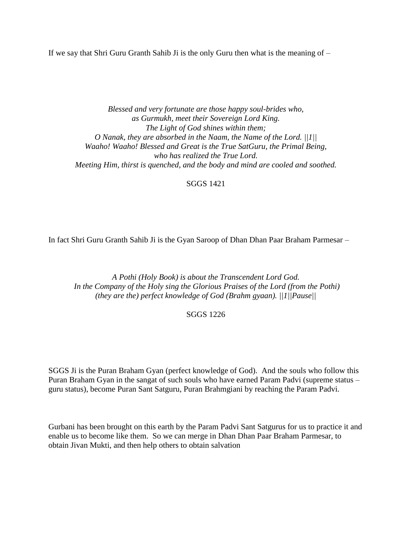If we say that Shri Guru Granth Sahib Ji is the only Guru then what is the meaning of  $-$ 

*Blessed and very fortunate are those happy soul-brides who, as Gurmukh, meet their Sovereign Lord King. The Light of God shines within them; O Nanak, they are absorbed in the Naam, the Name of the Lord. ||1|| Waaho! Waaho! Blessed and Great is the True SatGuru, the Primal Being, who has realized the True Lord. Meeting Him, thirst is quenched, and the body and mind are cooled and soothed.*

SGGS 1421

In fact Shri Guru Granth Sahib Ji is the Gyan Saroop of Dhan Dhan Paar Braham Parmesar –

*A Pothi (Holy Book) is about the Transcendent Lord God.* In the Company of the Holy sing the Glorious Praises of the Lord (from the Pothi) *(they are the) perfect knowledge of God (Brahm gyaan). ||1||Pause||*

#### SGGS 1226

SGGS Ji is the Puran Braham Gyan (perfect knowledge of God). And the souls who follow this Puran Braham Gyan in the sangat of such souls who have earned Param Padvi (supreme status – guru status), become Puran Sant Satguru, Puran Brahmgiani by reaching the Param Padvi.

Gurbani has been brought on this earth by the Param Padvi Sant Satgurus for us to practice it and enable us to become like them. So we can merge in Dhan Dhan Paar Braham Parmesar, to obtain Jivan Mukti, and then help others to obtain salvation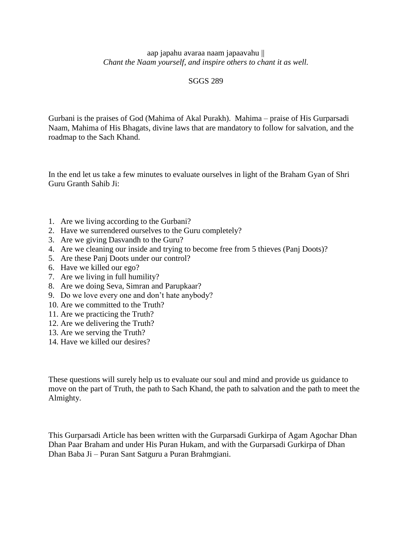#### aap japahu avaraa naam japaavahu || *Chant the Naam yourself, and inspire others to chant it as well.*

### SGGS 289

Gurbani is the praises of God (Mahima of Akal Purakh). Mahima – praise of His Gurparsadi Naam, Mahima of His Bhagats, divine laws that are mandatory to follow for salvation, and the roadmap to the Sach Khand.

In the end let us take a few minutes to evaluate ourselves in light of the Braham Gyan of Shri Guru Granth Sahib Ji:

- 1. Are we living according to the Gurbani?
- 2. Have we surrendered ourselves to the Guru completely?
- 3. Are we giving Dasvandh to the Guru?
- 4. Are we cleaning our inside and trying to become free from 5 thieves (Panj Doots)?
- 5. Are these Panj Doots under our control?
- 6. Have we killed our ego?
- 7. Are we living in full humility?
- 8. Are we doing Seva, Simran and Parupkaar?
- 9. Do we love every one and don't hate anybody?
- 10. Are we committed to the Truth?
- 11. Are we practicing the Truth?
- 12. Are we delivering the Truth?
- 13. Are we serving the Truth?
- 14. Have we killed our desires?

These questions will surely help us to evaluate our soul and mind and provide us guidance to move on the part of Truth, the path to Sach Khand, the path to salvation and the path to meet the Almighty.

This Gurparsadi Article has been written with the Gurparsadi Gurkirpa of Agam Agochar Dhan Dhan Paar Braham and under His Puran Hukam, and with the Gurparsadi Gurkirpa of Dhan Dhan Baba Ji – Puran Sant Satguru a Puran Brahmgiani.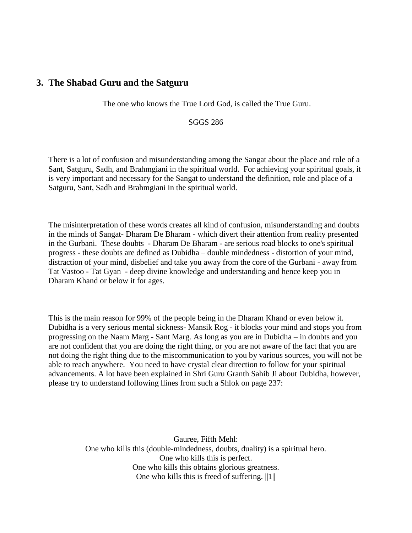## <span id="page-12-0"></span>**3. The Shabad Guru and the Satguru**

The one who knows the True Lord God, is called the True Guru.

SGGS 286

There is a lot of confusion and misunderstanding among the Sangat about the place and role of a Sant, Satguru, Sadh, and Brahmgiani in the spiritual world. For achieving your spiritual goals, it is very important and necessary for the Sangat to understand the definition, role and place of a Satguru, Sant, Sadh and Brahmgiani in the spiritual world.

The misinterpretation of these words creates all kind of confusion, misunderstanding and doubts in the minds of Sangat- Dharam De Bharam - which divert their attention from reality presented in the Gurbani. These doubts - Dharam De Bharam - are serious road blocks to one's spiritual progress - these doubts are defined as Dubidha – double mindedness - distortion of your mind, distraction of your mind, disbelief and take you away from the core of the Gurbani - away from Tat Vastoo - Tat Gyan - deep divine knowledge and understanding and hence keep you in Dharam Khand or below it for ages.

This is the main reason for 99% of the people being in the Dharam Khand or even below it. Dubidha is a very serious mental sickness- Mansik Rog - it blocks your mind and stops you from progressing on the Naam Marg - Sant Marg. As long as you are in Dubidha – in doubts and you are not confident that you are doing the right thing, or you are not aware of the fact that you are not doing the right thing due to the miscommunication to you by various sources, you will not be able to reach anywhere. You need to have crystal clear direction to follow for your spiritual advancements. A lot have been explained in Shri Guru Granth Sahib Ji about Dubidha, however, please try to understand following llines from such a Shlok on page 237:

> Gauree, Fifth Mehl: One who kills this (double-mindedness, doubts, duality) is a spiritual hero. One who kills this is perfect. One who kills this obtains glorious greatness. One who kills this is freed of suffering.  $||1||$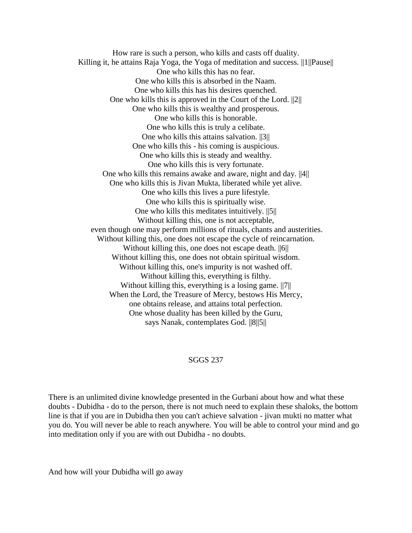How rare is such a person, who kills and casts off duality. Killing it, he attains Raja Yoga, the Yoga of meditation and success. ||1||Pause|| One who kills this has no fear. One who kills this is absorbed in the Naam. One who kills this has his desires quenched. One who kills this is approved in the Court of the Lord. ||2|| One who kills this is wealthy and prosperous. One who kills this is honorable. One who kills this is truly a celibate. One who kills this attains salvation. ||3|| One who kills this - his coming is auspicious. One who kills this is steady and wealthy. One who kills this is very fortunate. One who kills this remains awake and aware, night and day. ||4|| One who kills this is Jivan Mukta, liberated while yet alive. One who kills this lives a pure lifestyle. One who kills this is spiritually wise. One who kills this meditates intuitively. ||5|| Without killing this, one is not acceptable, even though one may perform millions of rituals, chants and austerities. Without killing this, one does not escape the cycle of reincarnation. Without killing this, one does not escape death.  $||6||$ Without killing this, one does not obtain spiritual wisdom. Without killing this, one's impurity is not washed off. Without killing this, everything is filthy. Without killing this, everything is a losing game. ||7|| When the Lord, the Treasure of Mercy, bestows His Mercy, one obtains release, and attains total perfection. One whose duality has been killed by the Guru, says Nanak, contemplates God. ||8||5||

#### SGGS 237

There is an unlimited divine knowledge presented in the Gurbani about how and what these doubts - Dubidha - do to the person, there is not much need to explain these shaloks, the bottom line is that if you are in Dubidha then you can't achieve salvation - jivan mukti no matter what you do. You will never be able to reach anywhere. You will be able to control your mind and go into meditation only if you are with out Dubidha - no doubts.

And how will your Dubidha will go away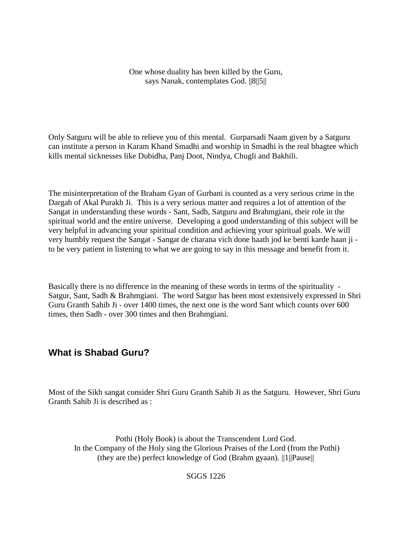One whose duality has been killed by the Guru, says Nanak, contemplates God. ||8||5||

Only Satguru will be able to relieve you of this mental. Gurparsadi Naam given by a Satguru can institute a person in Karam Khand Smadhi and worship in Smadhi is the real bhagtee which kills mental sicknesses like Dubidha, Panj Doot, Nindya, Chugli and Bakhili.

The misinterpretation of the Braham Gyan of Gurbani is counted as a very serious crime in the Dargah of Akal Purakh Ji. This is a very serious matter and requires a lot of attention of the Sangat in understanding these words - Sant, Sadh, Satguru and Brahmgiani, their role in the spiritual world and the entire universe. Developing a good understanding of this subject will be very helpful in advancing your spiritual condition and achieving your spiritual goals. We will very humbly request the Sangat - Sangat de charana vich done haath jod ke benti karde haan ji to be very patient in listening to what we are going to say in this message and benefit from it.

Basically there is no difference in the meaning of these words in terms of the spirituality - Satgur, Sant, Sadh & Brahmgiani. The word Satgur has been most extensively expressed in Shri Guru Granth Sahib Ji - over 1400 times, the next one is the word Sant which counts over 600 times, then Sadh - over 300 times and then Brahmgiani.

## <span id="page-14-0"></span>**What is Shabad Guru?**

Most of the Sikh sangat consider Shri Guru Granth Sahib Ji as the Satguru. However, Shri Guru Granth Sahib Ji is described as :

Pothi (Holy Book) is about the Transcendent Lord God. In the Company of the Holy sing the Glorious Praises of the Lord (from the Pothi) (they are the) perfect knowledge of God (Brahm gyaan). ||1||Pause||

SGGS 1226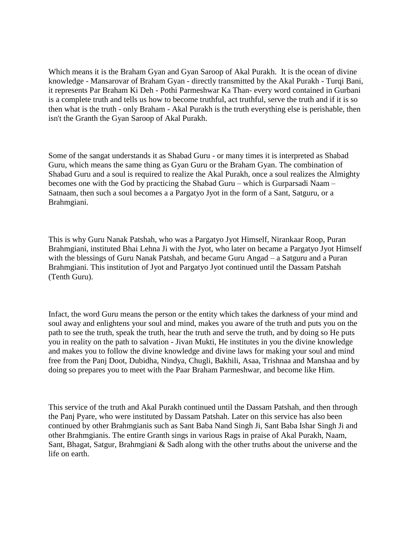Which means it is the Braham Gyan and Gyan Saroop of Akal Purakh. It is the ocean of divine knowledge - Mansarovar of Braham Gyan - directly transmitted by the Akal Purakh - Turqi Bani, it represents Par Braham Ki Deh - Pothi Parmeshwar Ka Than- every word contained in Gurbani is a complete truth and tells us how to become truthful, act truthful, serve the truth and if it is so then what is the truth - only Braham - Akal Purakh is the truth everything else is perishable, then isn't the Granth the Gyan Saroop of Akal Purakh.

Some of the sangat understands it as Shabad Guru - or many times it is interpreted as Shabad Guru, which means the same thing as Gyan Guru or the Braham Gyan. The combination of Shabad Guru and a soul is required to realize the Akal Purakh, once a soul realizes the Almighty becomes one with the God by practicing the Shabad Guru – which is Gurparsadi Naam – Satnaam, then such a soul becomes a a Pargatyo Jyot in the form of a Sant, Satguru, or a Brahmgiani.

This is why Guru Nanak Patshah, who was a Pargatyo Jyot Himself, Nirankaar Roop, Puran Brahmgiani, instituted Bhai Lehna Ji with the Jyot, who later on became a Pargatyo Jyot Himself with the blessings of Guru Nanak Patshah, and became Guru Angad – a Satguru and a Puran Brahmgiani. This institution of Jyot and Pargatyo Jyot continued until the Dassam Patshah (Tenth Guru).

Infact, the word Guru means the person or the entity which takes the darkness of your mind and soul away and enlightens your soul and mind, makes you aware of the truth and puts you on the path to see the truth, speak the truth, hear the truth and serve the truth, and by doing so He puts you in reality on the path to salvation - Jivan Mukti, He institutes in you the divine knowledge and makes you to follow the divine knowledge and divine laws for making your soul and mind free from the Panj Doot, Dubidha, Nindya, Chugli, Bakhili, Asaa, Trishnaa and Manshaa and by doing so prepares you to meet with the Paar Braham Parmeshwar, and become like Him.

This service of the truth and Akal Purakh continued until the Dassam Patshah, and then through the Panj Pyare, who were instituted by Dassam Patshah. Later on this service has also been continued by other Brahmgianis such as Sant Baba Nand Singh Ji, Sant Baba Ishar Singh Ji and other Brahmgianis. The entire Granth sings in various Rags in praise of Akal Purakh, Naam, Sant, Bhagat, Satgur, Brahmgiani & Sadh along with the other truths about the universe and the life on earth.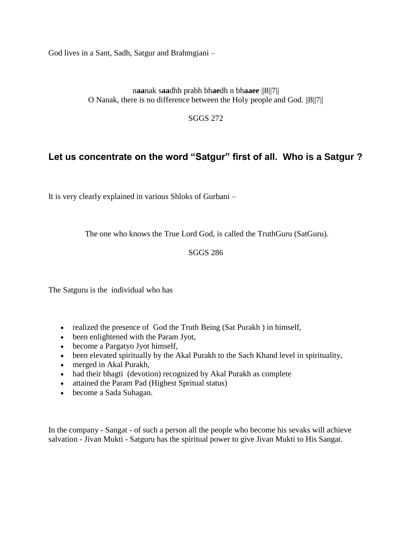God lives in a Sant, Sadh, Satgur and Brahmgiani –

n**aa**nak s**aa**dhh prabh bh**ae**dh n bh**aaee** ||8||7|| O Nanak, there is no difference between the Holy people and God. ||8||7||

SGGS 272

## <span id="page-16-0"></span>**Let us concentrate on the word "Satgur" first of all. Who is a Satgur ?**

It is very clearly explained in various Shloks of Gurbani –

The one who knows the True Lord God, is called the TruthGuru (SatGuru).

SGGS 286

The Satguru is the individual who has

- realized the presence of God the Truth Being (Sat Purakh) in himself,
- been enlightened with the Param Jyot,
- become a Pargatyo Jyot himself,
- been elevated spiritually by the Akal Purakh to the Sach Khand level in spirituality,
- merged in Akal Purakh,
- had their bhagti (devotion) recognized by Akal Purakh as complete
- attained the Param Pad (Highest Spritual status)
- become a Sada Suhagan.

In the company - Sangat - of such a person all the people who become his sevaks will achieve salvation - Jivan Mukti - Satguru has the spiritual power to give Jivan Mukti to His Sangat.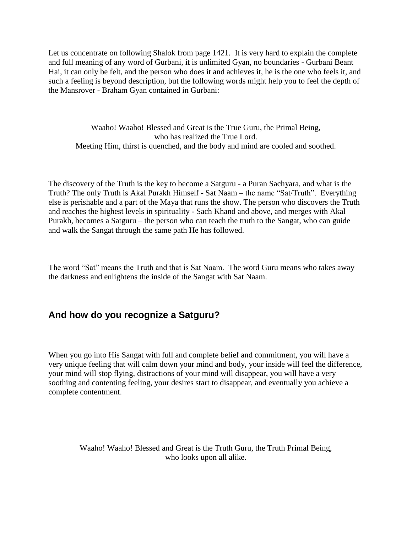Let us concentrate on following Shalok from page 1421. It is very hard to explain the complete and full meaning of any word of Gurbani, it is unlimited Gyan, no boundaries - Gurbani Beant Hai, it can only be felt, and the person who does it and achieves it, he is the one who feels it, and such a feeling is beyond description, but the following words might help you to feel the depth of the Mansrover - Braham Gyan contained in Gurbani:

Waaho! Waaho! Blessed and Great is the True Guru, the Primal Being, who has realized the True Lord. Meeting Him, thirst is quenched, and the body and mind are cooled and soothed.

The discovery of the Truth is the key to become a Satguru - a Puran Sachyara, and what is the Truth? The only Truth is Akal Purakh Himself - Sat Naam – the name "Sat/Truth". Everything else is perishable and a part of the Maya that runs the show. The person who discovers the Truth and reaches the highest levels in spirituality - Sach Khand and above, and merges with Akal Purakh, becomes a Satguru – the person who can teach the truth to the Sangat, who can guide and walk the Sangat through the same path He has followed.

The word "Sat" means the Truth and that is Sat Naam. The word Guru means who takes away the darkness and enlightens the inside of the Sangat with Sat Naam.

## <span id="page-17-0"></span>**And how do you recognize a Satguru?**

When you go into His Sangat with full and complete belief and commitment, you will have a very unique feeling that will calm down your mind and body, your inside will feel the difference, your mind will stop flying, distractions of your mind will disappear, you will have a very soothing and contenting feeling, your desires start to disappear, and eventually you achieve a complete contentment.

Waaho! Waaho! Blessed and Great is the Truth Guru, the Truth Primal Being, who looks upon all alike.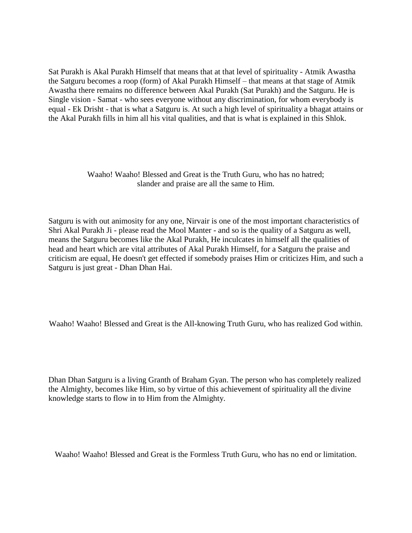Sat Purakh is Akal Purakh Himself that means that at that level of spirituality - Atmik Awastha the Satguru becomes a roop (form) of Akal Purakh Himself – that means at that stage of Atmik Awastha there remains no difference between Akal Purakh (Sat Purakh) and the Satguru. He is Single vision - Samat - who sees everyone without any discrimination, for whom everybody is equal - Ek Drisht - that is what a Satguru is. At such a high level of spirituality a bhagat attains or the Akal Purakh fills in him all his vital qualities, and that is what is explained in this Shlok.

> Waaho! Waaho! Blessed and Great is the Truth Guru, who has no hatred; slander and praise are all the same to Him.

Satguru is with out animosity for any one, Nirvair is one of the most important characteristics of Shri Akal Purakh Ji - please read the Mool Manter - and so is the quality of a Satguru as well, means the Satguru becomes like the Akal Purakh, He inculcates in himself all the qualities of head and heart which are vital attributes of Akal Purakh Himself, for a Satguru the praise and criticism are equal, He doesn't get effected if somebody praises Him or criticizes Him, and such a Satguru is just great - Dhan Dhan Hai.

Waaho! Waaho! Blessed and Great is the All-knowing Truth Guru, who has realized God within.

Dhan Dhan Satguru is a living Granth of Braham Gyan. The person who has completely realized the Almighty, becomes like Him, so by virtue of this achievement of spirituality all the divine knowledge starts to flow in to Him from the Almighty.

Waaho! Waaho! Blessed and Great is the Formless Truth Guru, who has no end or limitation.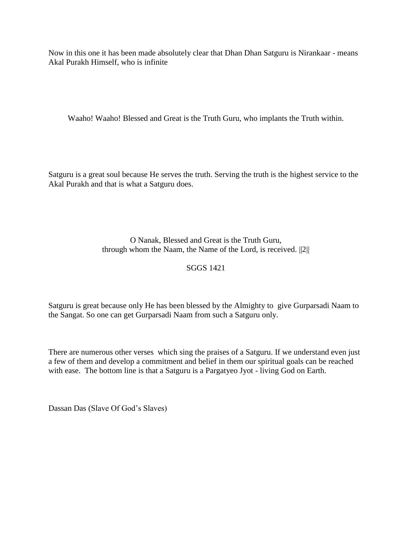Now in this one it has been made absolutely clear that Dhan Dhan Satguru is Nirankaar - means Akal Purakh Himself, who is infinite

Waaho! Waaho! Blessed and Great is the Truth Guru, who implants the Truth within.

Satguru is a great soul because He serves the truth. Serving the truth is the highest service to the Akal Purakh and that is what a Satguru does.

> O Nanak, Blessed and Great is the Truth Guru, through whom the Naam, the Name of the Lord, is received. ||2||

## SGGS 1421

Satguru is great because only He has been blessed by the Almighty to give Gurparsadi Naam to the Sangat. So one can get Gurparsadi Naam from such a Satguru only.

There are numerous other verses which sing the praises of a Satguru. If we understand even just a few of them and develop a commitment and belief in them our spiritual goals can be reached with ease. The bottom line is that a Satguru is a Pargatyeo Jyot - living God on Earth.

Dassan Das (Slave Of God's Slaves)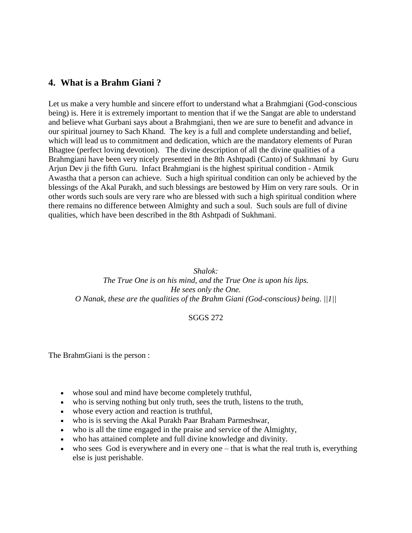## <span id="page-20-0"></span>**4. What is a Brahm Giani ?**

Let us make a very humble and sincere effort to understand what a Brahmgiani (God-conscious being) is. Here it is extremely important to mention that if we the Sangat are able to understand and believe what Gurbani says about a Brahmgiani, then we are sure to benefit and advance in our spiritual journey to Sach Khand. The key is a full and complete understanding and belief, which will lead us to commitment and dedication, which are the mandatory elements of Puran Bhagtee (perfect loving devotion). The divine description of all the divine qualities of a Brahmgiani have been very nicely presented in the 8th Ashtpadi (Canto) of Sukhmani by Guru Arjun Dev ji the fifth Guru. Infact Brahmgiani is the highest spiritual condition - Atmik Awastha that a person can achieve. Such a high spiritual condition can only be achieved by the blessings of the Akal Purakh, and such blessings are bestowed by Him on very rare souls. Or in other words such souls are very rare who are blessed with such a high spiritual condition where there remains no difference between Almighty and such a soul. Such souls are full of divine qualities, which have been described in the 8th Ashtpadi of Sukhmani.

#### *Shalok:*

*The True One is on his mind, and the True One is upon his lips. He sees only the One. O Nanak, these are the qualities of the Brahm Giani (God-conscious) being. ||1||*

#### SGGS 272

The BrahmGiani is the person :

- whose soul and mind have become completely truthful,
- who is serving nothing but only truth, sees the truth, listens to the truth,
- whose every action and reaction is truthful,
- who is is serving the Akal Purakh Paar Braham Parmeshwar,
- who is all the time engaged in the praise and service of the Almighty,
- who has attained complete and full divine knowledge and divinity.
- who sees God is everywhere and in every one that is what the real truth is, everything else is just perishable.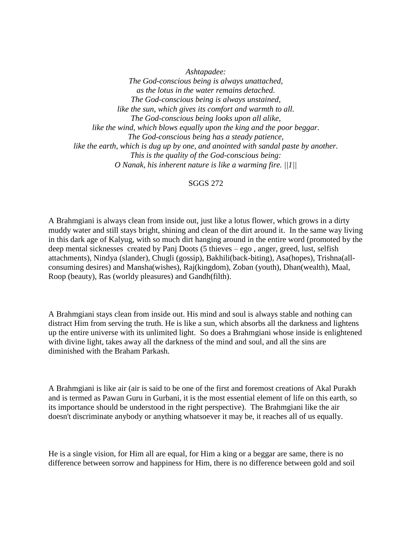*Ashtapadee: The God-conscious being is always unattached, as the lotus in the water remains detached. The God-conscious being is always unstained, like the sun, which gives its comfort and warmth to all. The God-conscious being looks upon all alike, like the wind, which blows equally upon the king and the poor beggar. The God-conscious being has a steady patience, like the earth, which is dug up by one, and anointed with sandal paste by another. This is the quality of the God-conscious being: O Nanak, his inherent nature is like a warming fire. ||1||*

#### SGGS 272

A Brahmgiani is always clean from inside out, just like a lotus flower, which grows in a dirty muddy water and still stays bright, shining and clean of the dirt around it. In the same way living in this dark age of Kalyug, with so much dirt hanging around in the entire word (promoted by the deep mental sicknesses created by Panj Doots (5 thieves – ego , anger, greed, lust, selfish attachments), Nindya (slander), Chugli (gossip), Bakhili(back-biting), Asa(hopes), Trishna(allconsuming desires) and Mansha(wishes), Raj(kingdom), Zoban (youth), Dhan(wealth), Maal, Roop (beauty), Ras (worldy pleasures) and Gandh(filth).

A Brahmgiani stays clean from inside out. His mind and soul is always stable and nothing can distract Him from serving the truth. He is like a sun, which absorbs all the darkness and lightens up the entire universe with its unlimited light. So does a Brahmgiani whose inside is enlightened with divine light, takes away all the darkness of the mind and soul, and all the sins are diminished with the Braham Parkash.

A Brahmgiani is like air (air is said to be one of the first and foremost creations of Akal Purakh and is termed as Pawan Guru in Gurbani, it is the most essential element of life on this earth, so its importance should be understood in the right perspective). The Brahmgiani like the air doesn't discriminate anybody or anything whatsoever it may be, it reaches all of us equally.

He is a single vision, for Him all are equal, for Him a king or a beggar are same, there is no difference between sorrow and happiness for Him, there is no difference between gold and soil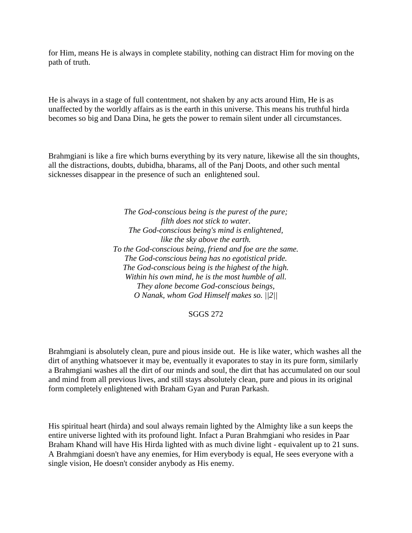for Him, means He is always in complete stability, nothing can distract Him for moving on the path of truth.

He is always in a stage of full contentment, not shaken by any acts around Him, He is as unaffected by the worldly affairs as is the earth in this universe. This means his truthful hirda becomes so big and Dana Dina, he gets the power to remain silent under all circumstances.

Brahmgiani is like a fire which burns everything by its very nature, likewise all the sin thoughts, all the distractions, doubts, dubidha, bharams, all of the Panj Doots, and other such mental sicknesses disappear in the presence of such an enlightened soul.

> *The God-conscious being is the purest of the pure; filth does not stick to water. The God-conscious being's mind is enlightened, like the sky above the earth. To the God-conscious being, friend and foe are the same. The God-conscious being has no egotistical pride. The God-conscious being is the highest of the high. Within his own mind, he is the most humble of all. They alone become God-conscious beings, O Nanak, whom God Himself makes so. ||2||*

> > SGGS 272

Brahmgiani is absolutely clean, pure and pious inside out. He is like water, which washes all the dirt of anything whatsoever it may be, eventually it evaporates to stay in its pure form, similarly a Brahmgiani washes all the dirt of our minds and soul, the dirt that has accumulated on our soul and mind from all previous lives, and still stays absolutely clean, pure and pious in its original form completely enlightened with Braham Gyan and Puran Parkash.

His spiritual heart (hirda) and soul always remain lighted by the Almighty like a sun keeps the entire universe lighted with its profound light. Infact a Puran Brahmgiani who resides in Paar Braham Khand will have His Hirda lighted with as much divine light - equivalent up to 21 suns. A Brahmgiani doesn't have any enemies, for Him everybody is equal, He sees everyone with a single vision, He doesn't consider anybody as His enemy.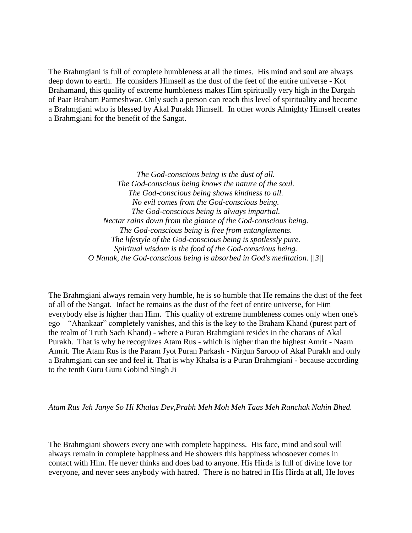The Brahmgiani is full of complete humbleness at all the times. His mind and soul are always deep down to earth. He considers Himself as the dust of the feet of the entire universe - Kot Brahamand, this quality of extreme humbleness makes Him spiritually very high in the Dargah of Paar Braham Parmeshwar. Only such a person can reach this level of spirituality and become a Brahmgiani who is blessed by Akal Purakh Himself. In other words Almighty Himself creates a Brahmgiani for the benefit of the Sangat.

> *The God-conscious being is the dust of all. The God-conscious being knows the nature of the soul. The God-conscious being shows kindness to all. No evil comes from the God-conscious being. The God-conscious being is always impartial. Nectar rains down from the glance of the God-conscious being. The God-conscious being is free from entanglements. The lifestyle of the God-conscious being is spotlessly pure. Spiritual wisdom is the food of the God-conscious being. O Nanak, the God-conscious being is absorbed in God's meditation. ||3||*

The Brahmgiani always remain very humble, he is so humble that He remains the dust of the feet of all of the Sangat. Infact he remains as the dust of the feet of entire universe, for Him everybody else is higher than Him. This quality of extreme humbleness comes only when one's ego – "Ahankaar" completely vanishes, and this is the key to the Braham Khand (purest part of the realm of Truth Sach Khand) - where a Puran Brahmgiani resides in the charans of Akal Purakh. That is why he recognizes Atam Rus - which is higher than the highest Amrit - Naam Amrit. The Atam Rus is the Param Jyot Puran Parkash - Nirgun Saroop of Akal Purakh and only a Brahmgiani can see and feel it. That is why Khalsa is a Puran Brahmgiani - because according to the tenth Guru Guru Gobind Singh Ji –

*Atam Rus Jeh Janye So Hi Khalas Dev,Prabh Meh Moh Meh Taas Meh Ranchak Nahin Bhed.*

The Brahmgiani showers every one with complete happiness. His face, mind and soul will always remain in complete happiness and He showers this happiness whosoever comes in contact with Him. He never thinks and does bad to anyone. His Hirda is full of divine love for everyone, and never sees anybody with hatred. There is no hatred in His Hirda at all, He loves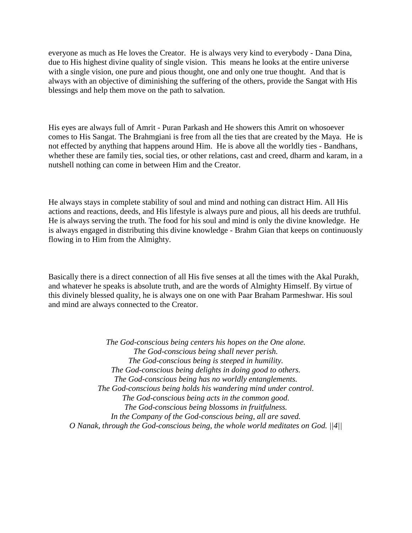everyone as much as He loves the Creator. He is always very kind to everybody - Dana Dina, due to His highest divine quality of single vision. This means he looks at the entire universe with a single vision, one pure and pious thought, one and only one true thought. And that is always with an objective of diminishing the suffering of the others, provide the Sangat with His blessings and help them move on the path to salvation.

His eyes are always full of Amrit - Puran Parkash and He showers this Amrit on whosoever comes to His Sangat. The Brahmgiani is free from all the ties that are created by the Maya. He is not effected by anything that happens around Him. He is above all the worldly ties - Bandhans, whether these are family ties, social ties, or other relations, cast and creed, dharm and karam, in a nutshell nothing can come in between Him and the Creator.

He always stays in complete stability of soul and mind and nothing can distract Him. All His actions and reactions, deeds, and His lifestyle is always pure and pious, all his deeds are truthful. He is always serving the truth. The food for his soul and mind is only the divine knowledge. He is always engaged in distributing this divine knowledge - Brahm Gian that keeps on continuously flowing in to Him from the Almighty.

Basically there is a direct connection of all His five senses at all the times with the Akal Purakh, and whatever he speaks is absolute truth, and are the words of Almighty Himself. By virtue of this divinely blessed quality, he is always one on one with Paar Braham Parmeshwar. His soul and mind are always connected to the Creator.

*The God-conscious being centers his hopes on the One alone. The God-conscious being shall never perish. The God-conscious being is steeped in humility. The God-conscious being delights in doing good to others. The God-conscious being has no worldly entanglements. The God-conscious being holds his wandering mind under control. The God-conscious being acts in the common good. The God-conscious being blossoms in fruitfulness. In the Company of the God-conscious being, all are saved. O Nanak, through the God-conscious being, the whole world meditates on God. ||4||*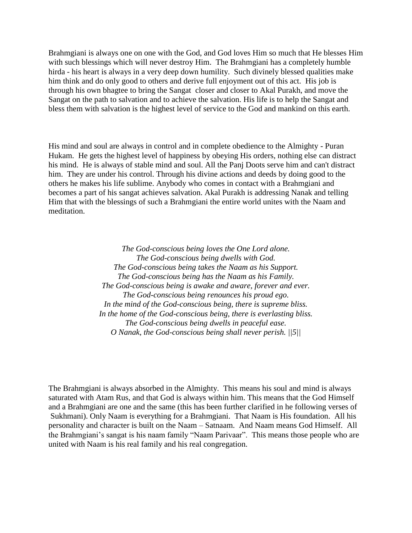Brahmgiani is always one on one with the God, and God loves Him so much that He blesses Him with such blessings which will never destroy Him. The Brahmgiani has a completely humble hirda - his heart is always in a very deep down humility. Such divinely blessed qualities make him think and do only good to others and derive full enjoyment out of this act. His job is through his own bhagtee to bring the Sangat closer and closer to Akal Purakh, and move the Sangat on the path to salvation and to achieve the salvation. His life is to help the Sangat and bless them with salvation is the highest level of service to the God and mankind on this earth.

His mind and soul are always in control and in complete obedience to the Almighty - Puran Hukam. He gets the highest level of happiness by obeying His orders, nothing else can distract his mind. He is always of stable mind and soul. All the Panj Doots serve him and can't distract him. They are under his control. Through his divine actions and deeds by doing good to the others he makes his life sublime. Anybody who comes in contact with a Brahmgiani and becomes a part of his sangat achieves salvation. Akal Purakh is addressing Nanak and telling Him that with the blessings of such a Brahmgiani the entire world unites with the Naam and meditation.

> *The God-conscious being loves the One Lord alone. The God-conscious being dwells with God. The God-conscious being takes the Naam as his Support. The God-conscious being has the Naam as his Family. The God-conscious being is awake and aware, forever and ever. The God-conscious being renounces his proud ego. In the mind of the God-conscious being, there is supreme bliss. In the home of the God-conscious being, there is everlasting bliss. The God-conscious being dwells in peaceful ease. O Nanak, the God-conscious being shall never perish. ||5||*

The Brahmgiani is always absorbed in the Almighty. This means his soul and mind is always saturated with Atam Rus, and that God is always within him. This means that the God Himself and a Brahmgiani are one and the same (this has been further clarified in he following verses of Sukhmani). Only Naam is everything for a Brahmgiani. That Naam is His foundation. All his personality and character is built on the Naam – Satnaam. And Naam means God Himself. All the Brahmgiani's sangat is his naam family "Naam Parivaar". This means those people who are united with Naam is his real family and his real congregation.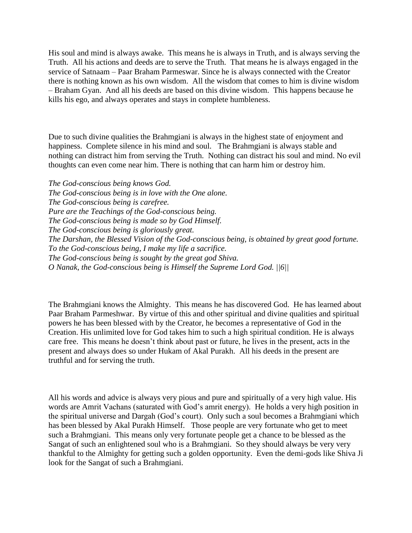His soul and mind is always awake. This means he is always in Truth, and is always serving the Truth. All his actions and deeds are to serve the Truth. That means he is always engaged in the service of Satnaam – Paar Braham Parmeswar. Since he is always connected with the Creator there is nothing known as his own wisdom. All the wisdom that comes to him is divine wisdom – Braham Gyan. And all his deeds are based on this divine wisdom. This happens because he kills his ego, and always operates and stays in complete humbleness.

Due to such divine qualities the Brahmgiani is always in the highest state of enjoyment and happiness. Complete silence in his mind and soul. The Brahmgiani is always stable and nothing can distract him from serving the Truth. Nothing can distract his soul and mind. No evil thoughts can even come near him. There is nothing that can harm him or destroy him.

*The God-conscious being knows God. The God-conscious being is in love with the One alone. The God-conscious being is carefree. Pure are the Teachings of the God-conscious being. The God-conscious being is made so by God Himself. The God-conscious being is gloriously great. The Darshan, the Blessed Vision of the God-conscious being, is obtained by great good fortune. To the God-conscious being, I make my life a sacrifice. The God-conscious being is sought by the great god Shiva. O Nanak, the God-conscious being is Himself the Supreme Lord God. ||6||*

The Brahmgiani knows the Almighty. This means he has discovered God. He has learned about Paar Braham Parmeshwar. By virtue of this and other spiritual and divine qualities and spiritual powers he has been blessed with by the Creator, he becomes a representative of God in the Creation. His unlimited love for God takes him to such a high spiritual condition. He is always care free. This means he doesn't think about past or future, he lives in the present, acts in the present and always does so under Hukam of Akal Purakh. All his deeds in the present are truthful and for serving the truth.

All his words and advice is always very pious and pure and spiritually of a very high value. His words are Amrit Vachans (saturated with God's amrit energy). He holds a very high position in the spiritual universe and Dargah (God's court). Only such a soul becomes a Brahmgiani which has been blessed by Akal Purakh Himself. Those people are very fortunate who get to meet such a Brahmgiani. This means only very fortunate people get a chance to be blessed as the Sangat of such an enlightened soul who is a Brahmgiani. So they should always be very very thankful to the Almighty for getting such a golden opportunity. Even the demi-gods like Shiva Ji look for the Sangat of such a Brahmgiani.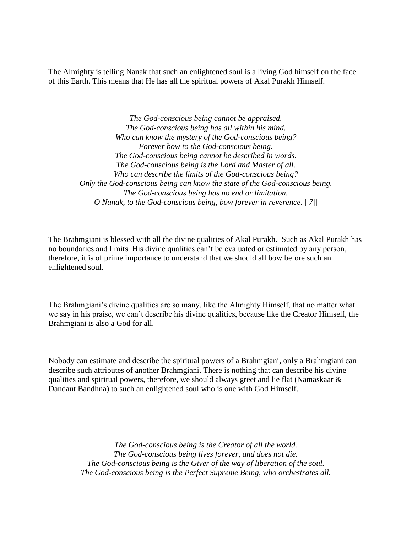The Almighty is telling Nanak that such an enlightened soul is a living God himself on the face of this Earth. This means that He has all the spiritual powers of Akal Purakh Himself.

> *The God-conscious being cannot be appraised. The God-conscious being has all within his mind. Who can know the mystery of the God-conscious being? Forever bow to the God-conscious being. The God-conscious being cannot be described in words. The God-conscious being is the Lord and Master of all. Who can describe the limits of the God-conscious being? Only the God-conscious being can know the state of the God-conscious being. The God-conscious being has no end or limitation. O Nanak, to the God-conscious being, bow forever in reverence. ||7||*

The Brahmgiani is blessed with all the divine qualities of Akal Purakh. Such as Akal Purakh has no boundaries and limits. His divine qualities can't be evaluated or estimated by any person, therefore, it is of prime importance to understand that we should all bow before such an enlightened soul.

The Brahmgiani's divine qualities are so many, like the Almighty Himself, that no matter what we say in his praise, we can't describe his divine qualities, because like the Creator Himself, the Brahmgiani is also a God for all.

Nobody can estimate and describe the spiritual powers of a Brahmgiani, only a Brahmgiani can describe such attributes of another Brahmgiani. There is nothing that can describe his divine qualities and spiritual powers, therefore, we should always greet and lie flat (Namaskaar & Dandaut Bandhna) to such an enlightened soul who is one with God Himself.

> *The God-conscious being is the Creator of all the world. The God-conscious being lives forever, and does not die. The God-conscious being is the Giver of the way of liberation of the soul. The God-conscious being is the Perfect Supreme Being, who orchestrates all.*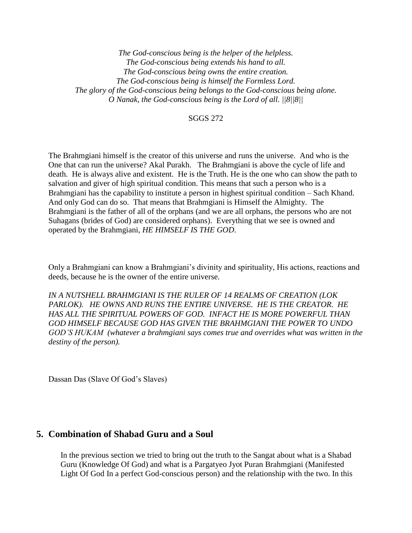*The God-conscious being is the helper of the helpless. The God-conscious being extends his hand to all. The God-conscious being owns the entire creation. The God-conscious being is himself the Formless Lord. The glory of the God-conscious being belongs to the God-conscious being alone. O Nanak, the God-conscious being is the Lord of all. ||8||8||*

#### SGGS 272

The Brahmgiani himself is the creator of this universe and runs the universe. And who is the One that can run the universe? Akal Purakh. The Brahmgiani is above the cycle of life and death. He is always alive and existent. He is the Truth. He is the one who can show the path to salvation and giver of high spiritual condition. This means that such a person who is a Brahmgiani has the capability to institute a person in highest spiritual condition – Sach Khand. And only God can do so. That means that Brahmgiani is Himself the Almighty. The Brahmgiani is the father of all of the orphans (and we are all orphans, the persons who are not Suhagans (brides of God) are considered orphans). Everything that we see is owned and operated by the Brahmgiani, *HE HIMSELF IS THE GOD*.

Only a Brahmgiani can know a Brahmgiani's divinity and spirituality, His actions, reactions and deeds, because he is the owner of the entire universe*.* 

*IN A NUTSHELL BRAHMGIANI IS THE RULER OF 14 REALMS OF CREATION (LOK PARLOK). HE OWNS AND RUNS THE ENTIRE UNIVERSE. HE IS THE CREATOR. HE HAS ALL THE SPIRITUAL POWERS OF GOD. INFACT HE IS MORE POWERFUL THAN GOD HIMSELF BECAUSE GOD HAS GIVEN THE BRAHMGIANI THE POWER TO UNDO GOD'S HUKAM (whatever a brahmgiani says comes true and overrides what was written in the destiny of the person).*

Dassan Das (Slave Of God's Slaves)

## <span id="page-28-0"></span>**5. Combination of Shabad Guru and a Soul**

In the previous section we tried to bring out the truth to the Sangat about what is a Shabad Guru (Knowledge Of God) and what is a Pargatyeo Jyot Puran Brahmgiani (Manifested Light Of God In a perfect God-conscious person) and the relationship with the two. In this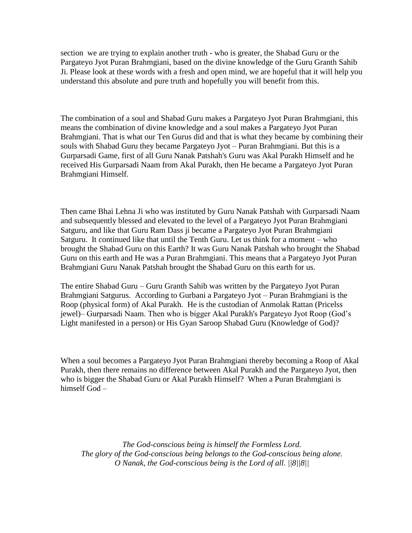section we are trying to explain another truth - who is greater, the Shabad Guru or the Pargateyo Jyot Puran Brahmgiani, based on the divine knowledge of the Guru Granth Sahib Ji. Please look at these words with a fresh and open mind, we are hopeful that it will help you understand this absolute and pure truth and hopefully you will benefit from this.

The combination of a soul and Shabad Guru makes a Pargateyo Jyot Puran Brahmgiani, this means the combination of divine knowledge and a soul makes a Pargateyo Jyot Puran Brahmgiani. That is what our Ten Gurus did and that is what they became by combining their souls with Shabad Guru they became Pargateyo Jyot – Puran Brahmgiani. But this is a Gurparsadi Game, first of all Guru Nanak Patshah's Guru was Akal Purakh Himself and he received His Gurparsadi Naam from Akal Purakh, then He became a Pargateyo Jyot Puran Brahmgiani Himself.

Then came Bhai Lehna Ji who was instituted by Guru Nanak Patshah with Gurparsadi Naam and subsequently blessed and elevated to the level of a Pargateyo Jyot Puran Brahmgiani Satguru, and like that Guru Ram Dass ji became a Pargateyo Jyot Puran Brahmgiani Satguru. It continued like that until the Tenth Guru. Let us think for a moment – who brought the Shabad Guru on this Earth? It was Guru Nanak Patshah who brought the Shabad Guru on this earth and He was a Puran Brahmgiani. This means that a Pargateyo Jyot Puran Brahmgiani Guru Nanak Patshah brought the Shabad Guru on this earth for us.

The entire Shabad Guru – Guru Granth Sahib was written by the Pargateyo Jyot Puran Brahmgiani Satgurus. According to Gurbani a Pargateyo Jyot – Puran Brahmgiani is the Roop (physical form) of Akal Purakh. He is the custodian of Anmolak Rattan (Pricelss jewel)– Gurparsadi Naam. Then who is bigger Akal Purakh's Pargateyo Jyot Roop (God's Light manifested in a person) or His Gyan Saroop Shabad Guru (Knowledge of God)?

When a soul becomes a Pargateyo Jyot Puran Brahmgiani thereby becoming a Roop of Akal Purakh, then there remains no difference between Akal Purakh and the Pargateyo Jyot, then who is bigger the Shabad Guru or Akal Purakh Himself? When a Puran Brahmgiani is himself God –

*The God-conscious being is himself the Formless Lord. The glory of the God-conscious being belongs to the God-conscious being alone. O Nanak, the God-conscious being is the Lord of all. ||8||8||*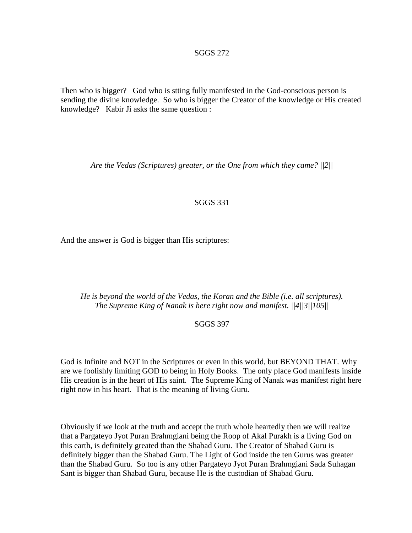#### SGGS 272

Then who is bigger? God who is stting fully manifested in the God-conscious person is sending the divine knowledge. So who is bigger the Creator of the knowledge or His created knowledge? Kabir Ji asks the same question :

*Are the Vedas (Scriptures) greater, or the One from which they came? ||2||*

#### SGGS 331

And the answer is God is bigger than His scriptures:

*He is beyond the world of the Vedas, the Koran and the Bible (i.e. all scriptures). The Supreme King of Nanak is here right now and manifest. ||4||3||105||*

#### SGGS 397

God is Infinite and NOT in the Scriptures or even in this world, but BEYOND THAT. Why are we foolishly limiting GOD to being in Holy Books. The only place God manifests inside His creation is in the heart of His saint. The Supreme King of Nanak was manifest right here right now in his heart. That is the meaning of living Guru.

Obviously if we look at the truth and accept the truth whole heartedly then we will realize that a Pargateyo Jyot Puran Brahmgiani being the Roop of Akal Purakh is a living God on this earth, is definitely greated than the Shabad Guru. The Creator of Shabad Guru is definitely bigger than the Shabad Guru. The Light of God inside the ten Gurus was greater than the Shabad Guru. So too is any other Pargateyo Jyot Puran Brahmgiani Sada Suhagan Sant is bigger than Shabad Guru, because He is the custodian of Shabad Guru.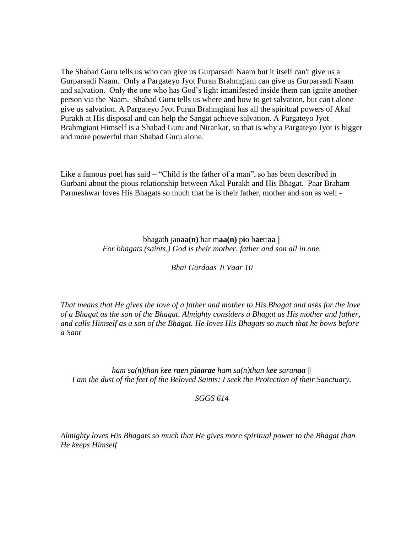The Shabad Guru tells us who can give us Gurparsadi Naam but it itself can't give us a Gurparsadi Naam. Only a Pargateyo Jyot Puran Brahmgiani can give us Gurparsadi Naam and salvation. Only the one who has God's light imanifested inside them can ignite another person via the Naam. Shabad Guru tells us where and how to get salvation, but can't alone give us salvation. A Pargateyo Jyot Puran Brahmgiani has all the spiritual powers of Akal Purakh at His disposal and can help the Sangat achieve salvation. A Pargateyo Jyot Brahmgiani Himself is a Shabad Guru and Nirankar, so that is why a Pargateyo Jyot is bigger and more powerful than Shabad Guru alone.

Like a famous poet has said – "Child is the father of a man", so has been described in Gurbani about the pious relationship between Akal Purakh and His Bhagat. Paar Braham Parmeshwar loves His Bhagats so much that he is their father, mother and son as well *-*

> bhagath jan**aa(n)** har m**aa(n)** p**i**o b**ae**tt**aa** || *For bhagats (saints,) God is their mother, father and son all in one.*

> > *Bhai Gurdaas Ji Vaar 10*

*That means that He gives the love of a father and mother to His Bhagat and asks for the love of a Bhagat as the son of the Bhagat. Almighty considers a Bhagat as His mother and father, and calls Himself as a son of the Bhagat. He loves His Bhagats so much that he bows before a Sant* 

*ham sa(n)than kee raen piaarae ham sa(n)than kee saranaa || I am the dust of the feet of the Beloved Saints; I seek the Protection of their Sanctuary.*

*SGGS 614*

*Almighty loves His Bhagats so much that He gives more spiritual power to the Bhagat than He keeps Himself*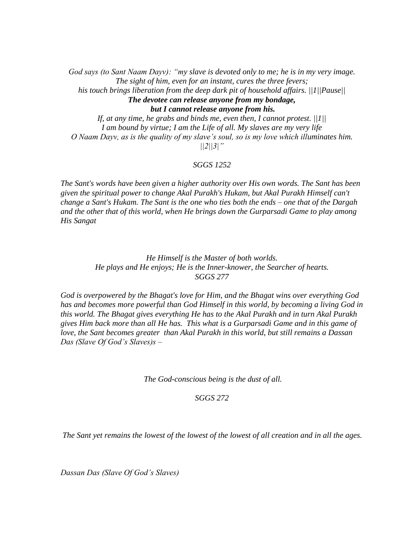*God says (to Sant Naam Dayv): "my slave is devoted only to me; he is in my very image. The sight of him, even for an instant, cures the three fevers; his touch brings liberation from the deep dark pit of household affairs. ||1||Pause|| The devotee can release anyone from my bondage, but I cannot release anyone from his. If, at any time, he grabs and binds me, even then, I cannot protest. ||1||*

*I am bound by virtue; I am the Life of all. My slaves are my very life O Naam Dayv, as is the quality of my slave's soul, so is my love which illuminates him. ||2||3|"*

#### *SGGS 1252*

*The Sant's words have been given a higher authority over His own words. The Sant has been given the spiritual power to change Akal Purakh's Hukam, but Akal Purakh Himself can't change a Sant's Hukam. The Sant is the one who ties both the ends – one that of the Dargah and the other that of this world, when He brings down the Gurparsadi Game to play among His Sangat* 

> *He Himself is the Master of both worlds. He plays and He enjoys; He is the Inner-knower, the Searcher of hearts. SGGS 277*

*God is overpowered by the Bhagat's love for Him, and the Bhagat wins over everything God has and becomes more powerful than God Himself in this world, by becoming a living God in this world. The Bhagat gives everything He has to the Akal Purakh and in turn Akal Purakh gives Him back more than all He has. This what is a Gurparsadi Game and in this game of love, the Sant becomes greater than Akal Purakh in this world, but still remains a Dassan Das (Slave Of God's Slaves)s –*

*The God-conscious being is the dust of all.*

*SGGS 272*

*The Sant yet remains the lowest of the lowest of the lowest of all creation and in all the ages.*

*Dassan Das (Slave Of God's Slaves)*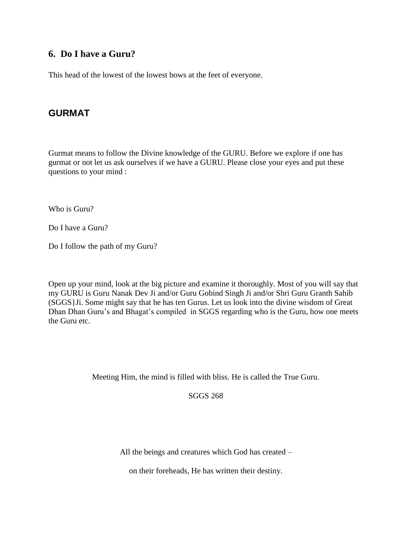## <span id="page-33-0"></span>**6. Do I have a Guru?**

This head of the lowest of the lowest bows at the feet of everyone.

## <span id="page-33-1"></span>**GURMAT**

Gurmat means to follow the Divine knowledge of the GURU. Before we explore if one has gurmat or not let us ask ourselves if we have a GURU. Please close your eyes and put these questions to your mind :

Who is Guru?

Do I have a Guru?

Do I follow the path of my Guru?

Open up your mind, look at the big picture and examine it thoroughly. Most of you will say that my GURU is Guru Nanak Dev Ji and/or Guru Gobind Singh Ji and/or Shri Guru Granth Sahib (SGGS}Ji. Some might say that he has ten Gurus. Let us look into the divine wisdom of Great Dhan Dhan Guru's and Bhagat's compiled in SGGS regarding who is the Guru, how one meets the Guru etc.

Meeting Him, the mind is filled with bliss. He is called the True Guru.

SGGS 268

All the beings and creatures which God has created –

on their foreheads, He has written their destiny.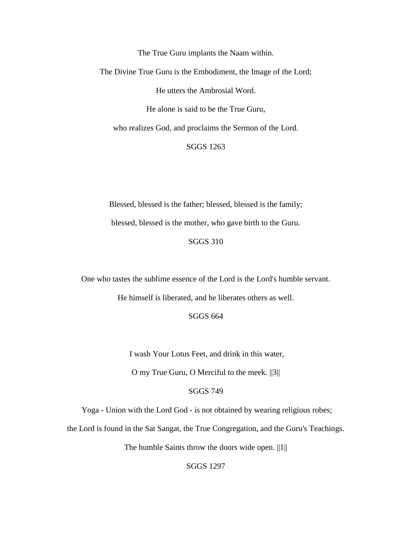The True Guru implants the Naam within.

The Divine True Guru is the Embodiment, the Image of the Lord;

He utters the Ambrosial Word.

He alone is said to be the True Guru,

who realizes God, and proclaims the Sermon of the Lord.

SGGS 1263

Blessed, blessed is the father; blessed, blessed is the family; blessed, blessed is the mother, who gave birth to the Guru.

SGGS 310

One who tastes the sublime essence of the Lord is the Lord's humble servant.

He himself is liberated, and he liberates others as well.

SGGS 664

I wash Your Lotus Feet, and drink in this water,

O my True Guru, O Merciful to the meek. ||3||

#### SGGS 749

Yoga - Union with the Lord God - is not obtained by wearing religious robes;

the Lord is found in the Sat Sangat, the True Congregation, and the Guru's Teachings.

The humble Saints throw the doors wide open. ||1||

SGGS 1297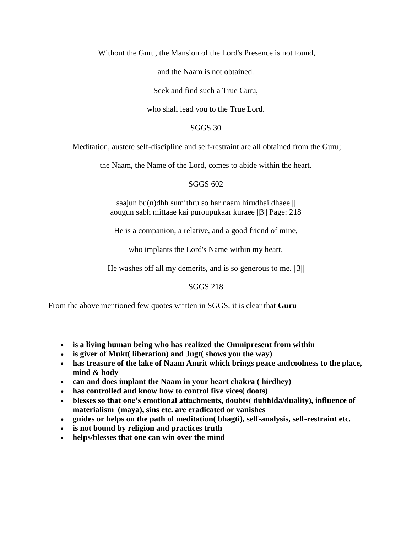Without the Guru, the Mansion of the Lord's Presence is not found,

and the Naam is not obtained.

Seek and find such a True Guru,

who shall lead you to the True Lord.

SGGS 30

Meditation, austere self-discipline and self-restraint are all obtained from the Guru;

the Naam, the Name of the Lord, comes to abide within the heart.

SGGS 602

saajun bu(n)dhh sumithru so har naam hirudhai dhaee  $||$ aougun sabh mittaae kai puroupukaar kuraee ||3|| Page: 218

He is a companion, a relative, and a good friend of mine,

who implants the Lord's Name within my heart.

He washes off all my demerits, and is so generous to me.  $||3||$ 

SGGS 218

From the above mentioned few quotes written in SGGS, it is clear that **Guru** 

- **is a living human being who has realized the Omnipresent from within**
- **is giver of Mukt( liberation) and Jugt( shows you the way)**
- **has treasure of the lake of Naam Amrit which brings peace andcoolness to the place, mind & body**
- **can and does implant the Naam in your heart chakra ( hirdhey)**
- **has controlled and know how to control five vices( doots)**
- **blesses so that one's emotional attachments, doubts( dubhida/duality), influence of materialism (maya), sins etc. are eradicated or vanishes**
- **guides or helps on the path of meditation( bhagti), self-analysis, self-restraint etc.**
- **is not bound by religion and practices truth**
- **helps/blesses that one can win over the mind**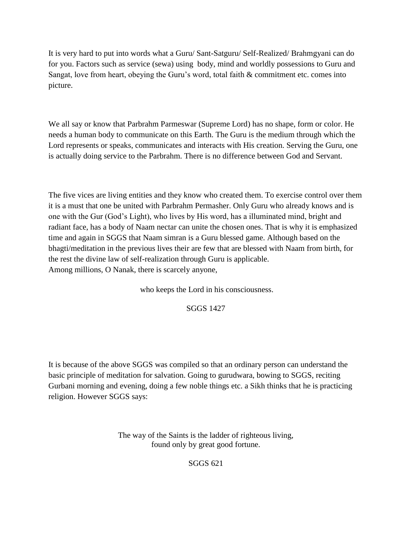It is very hard to put into words what a Guru/ Sant-Satguru/ Self-Realized/ Brahmgyani can do for you. Factors such as service (sewa) using body, mind and worldly possessions to Guru and Sangat, love from heart, obeying the Guru's word, total faith & commitment etc. comes into picture.

We all say or know that Parbrahm Parmeswar (Supreme Lord) has no shape, form or color. He needs a human body to communicate on this Earth. The Guru is the medium through which the Lord represents or speaks, communicates and interacts with His creation. Serving the Guru, one is actually doing service to the Parbrahm. There is no difference between God and Servant.

The five vices are living entities and they know who created them. To exercise control over them it is a must that one be united with Parbrahm Permasher. Only Guru who already knows and is one with the Gur (God's Light), who lives by His word, has a illuminated mind, bright and radiant face, has a body of Naam nectar can unite the chosen ones. That is why it is emphasized time and again in SGGS that Naam simran is a Guru blessed game. Although based on the bhagti/meditation in the previous lives their are few that are blessed with Naam from birth, for the rest the divine law of self-realization through Guru is applicable. Among millions, O Nanak, there is scarcely anyone,

who keeps the Lord in his consciousness.

## SGGS 1427

It is because of the above SGGS was compiled so that an ordinary person can understand the basic principle of meditation for salvation. Going to gurudwara, bowing to SGGS, reciting Gurbani morning and evening, doing a few noble things etc. a Sikh thinks that he is practicing religion. However SGGS says:

> The way of the Saints is the ladder of righteous living, found only by great good fortune.

> > SGGS 621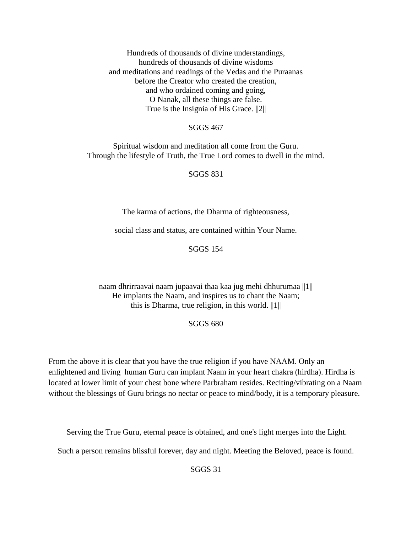Hundreds of thousands of divine understandings, hundreds of thousands of divine wisdoms and meditations and readings of the Vedas and the Puraanas before the Creator who created the creation, and who ordained coming and going, O Nanak, all these things are false. True is the Insignia of His Grace. ||2||

## SGGS 467

Spiritual wisdom and meditation all come from the Guru. Through the lifestyle of Truth, the True Lord comes to dwell in the mind.

## SGGS 831

The karma of actions, the Dharma of righteousness,

social class and status, are contained within Your Name.

SGGS 154

naam dhrirraavai naam jupaavai thaa kaa jug mehi dhhurumaa ||1|| He implants the Naam, and inspires us to chant the Naam; this is Dharma, true religion, in this world.  $||1||$ 

#### SGGS 680

From the above it is clear that you have the true religion if you have NAAM. Only an enlightened and living human Guru can implant Naam in your heart chakra (hirdha). Hirdha is located at lower limit of your chest bone where Parbraham resides. Reciting/vibrating on a Naam without the blessings of Guru brings no nectar or peace to mind/body, it is a temporary pleasure.

Serving the True Guru, eternal peace is obtained, and one's light merges into the Light.

Such a person remains blissful forever, day and night. Meeting the Beloved, peace is found.

SGGS 31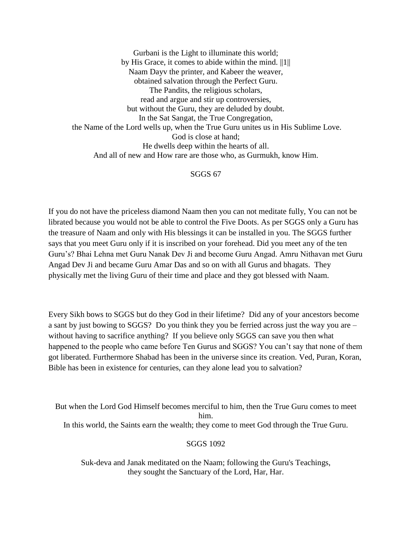Gurbani is the Light to illuminate this world; by His Grace, it comes to abide within the mind. ||1|| Naam Dayv the printer, and Kabeer the weaver, obtained salvation through the Perfect Guru. The Pandits, the religious scholars, read and argue and stir up controversies, but without the Guru, they are deluded by doubt. In the Sat Sangat, the True Congregation, the Name of the Lord wells up, when the True Guru unites us in His Sublime Love. God is close at hand; He dwells deep within the hearts of all. And all of new and How rare are those who, as Gurmukh, know Him.

#### SGGS 67

If you do not have the priceless diamond Naam then you can not meditate fully, You can not be librated because you would not be able to control the Five Doots. As per SGGS only a Guru has the treasure of Naam and only with His blessings it can be installed in you. The SGGS further says that you meet Guru only if it is inscribed on your forehead. Did you meet any of the ten Guru's? Bhai Lehna met Guru Nanak Dev Ji and become Guru Angad. Amru Nithavan met Guru Angad Dev Ji and became Guru Amar Das and so on with all Gurus and bhagats. They physically met the living Guru of their time and place and they got blessed with Naam.

Every Sikh bows to SGGS but do they God in their lifetime? Did any of your ancestors become a sant by just bowing to SGGS? Do you think they you be ferried across just the way you are – without having to sacrifice anything? If you believe only SGGS can save you then what happened to the people who came before Ten Gurus and SGGS? You can't say that none of them got liberated. Furthermore Shabad has been in the universe since its creation. Ved, Puran, Koran, Bible has been in existence for centuries, can they alone lead you to salvation?

But when the Lord God Himself becomes merciful to him, then the True Guru comes to meet him. In this world, the Saints earn the wealth; they come to meet God through the True Guru.

#### SGGS 1092

Suk-deva and Janak meditated on the Naam; following the Guru's Teachings, they sought the Sanctuary of the Lord, Har, Har.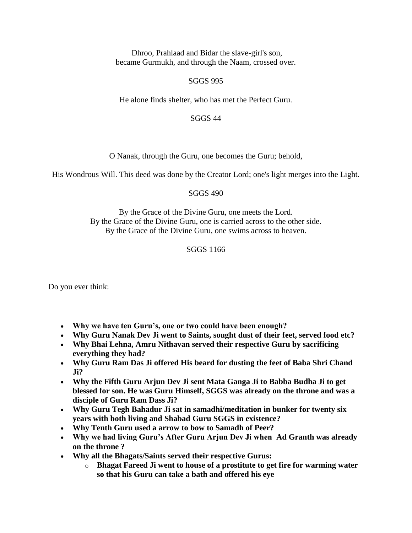Dhroo, Prahlaad and Bidar the slave-girl's son, became Gurmukh, and through the Naam, crossed over.

## SGGS 995

He alone finds shelter, who has met the Perfect Guru.

## SGGS 44

O Nanak, through the Guru, one becomes the Guru; behold,

His Wondrous Will. This deed was done by the Creator Lord; one's light merges into the Light.

## SGGS 490

By the Grace of the Divine Guru, one meets the Lord. By the Grace of the Divine Guru, one is carried across to the other side. By the Grace of the Divine Guru, one swims across to heaven.

## SGGS 1166

Do you ever think:

- **Why we have ten Guru's, one or two could have been enough?**
- **Why Guru Nanak Dev Ji went to Saints, sought dust of their feet, served food etc?**
- **Why Bhai Lehna, Amru Nithavan served their respective Guru by sacrificing everything they had?**
- **Why Guru Ram Das Ji offered His beard for dusting the feet of Baba Shri Chand Ji?**
- **Why the Fifth Guru Arjun Dev Ji sent Mata Ganga Ji to Babba Budha Ji to get blessed for son. He was Guru Himself, SGGS was already on the throne and was a disciple of Guru Ram Dass Ji?**
- **Why Guru Tegh Bahadur Ji sat in samadhi/meditation in bunker for twenty six years with both living and Shabad Guru SGGS in existence?**
- **Why Tenth Guru used a arrow to bow to Samadh of Peer?**
- **Why we had living Guru's After Guru Arjun Dev Ji when Ad Granth was already on the throne ?**
- **Why all the Bhagats/Saints served their respective Gurus:**
	- o **Bhagat Fareed Ji went to house of a prostitute to get fire for warming water so that his Guru can take a bath and offered his eye**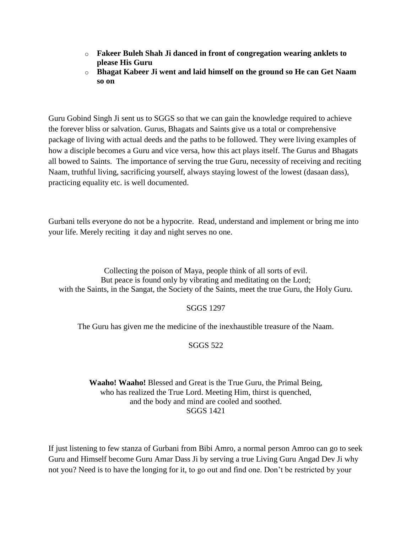- o **Fakeer Buleh Shah Ji danced in front of congregation wearing anklets to please His Guru**
- o **Bhagat Kabeer Ji went and laid himself on the ground so He can Get Naam so on**

Guru Gobind Singh Ji sent us to SGGS so that we can gain the knowledge required to achieve the forever bliss or salvation. Gurus, Bhagats and Saints give us a total or comprehensive package of living with actual deeds and the paths to be followed. They were living examples of how a disciple becomes a Guru and vice versa, how this act plays itself. The Gurus and Bhagats all bowed to Saints. The importance of serving the true Guru, necessity of receiving and reciting Naam, truthful living, sacrificing yourself, always staying lowest of the lowest (dasaan dass), practicing equality etc. is well documented.

Gurbani tells everyone do not be a hypocrite. Read, understand and implement or bring me into your life. Merely reciting it day and night serves no one.

Collecting the poison of Maya, people think of all sorts of evil. But peace is found only by vibrating and meditating on the Lord; with the Saints, in the Sangat, the Society of the Saints, meet the true Guru, the Holy Guru.

## SGGS 1297

The Guru has given me the medicine of the inexhaustible treasure of the Naam.

## SGGS 522

## **Waaho! Waaho!** Blessed and Great is the True Guru, the Primal Being, who has realized the True Lord. Meeting Him, thirst is quenched, and the body and mind are cooled and soothed. SGGS 1421

If just listening to few stanza of Gurbani from Bibi Amro, a normal person Amroo can go to seek Guru and Himself become Guru Amar Dass Ji by serving a true Living Guru Angad Dev Ji why not you? Need is to have the longing for it, to go out and find one. Don't be restricted by your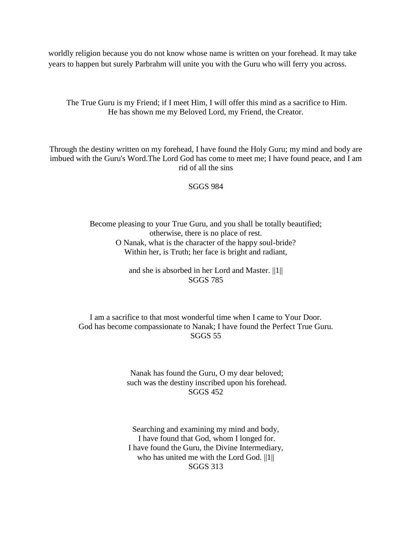worldly religion because you do not know whose name is written on your forehead. It may take years to happen but surely Parbrahm will unite you with the Guru who will ferry you across.

The True Guru is my Friend; if I meet Him, I will offer this mind as a sacrifice to Him. He has shown me my Beloved Lord, my Friend, the Creator.

Through the destiny written on my forehead, I have found the Holy Guru; my mind and body are imbued with the Guru's Word.The Lord God has come to meet me; I have found peace, and I am rid of all the sins

SGGS 984

Become pleasing to your True Guru, and you shall be totally beautified; otherwise, there is no place of rest. O Nanak, what is the character of the happy soul-bride? Within her, is Truth; her face is bright and radiant,

> and she is absorbed in her Lord and Master. ||1|| SGGS 785

I am a sacrifice to that most wonderful time when I came to Your Door. God has become compassionate to Nanak; I have found the Perfect True Guru. SGGS 55

> Nanak has found the Guru, O my dear beloved; such was the destiny inscribed upon his forehead. SGGS 452

Searching and examining my mind and body, I have found that God, whom I longed for. I have found the Guru, the Divine Intermediary, who has united me with the Lord God. ||1|| SGGS 313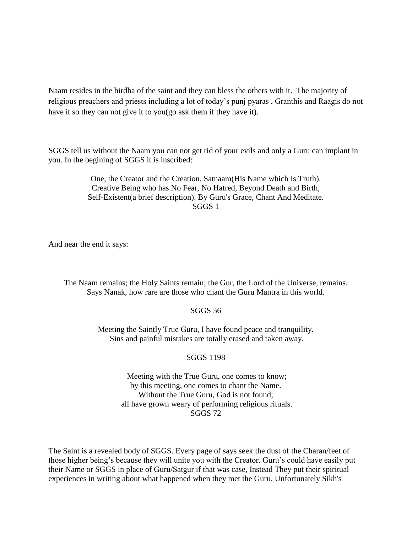Naam resides in the hirdha of the saint and they can bless the others with it. The majority of religious preachers and priests including a lot of today's punj pyaras , Granthis and Raagis do not have it so they can not give it to you(go ask them if they have it).

SGGS tell us without the Naam you can not get rid of your evils and only a Guru can implant in you. In the begining of SGGS it is inscribed:

> One, the Creator and the Creation. Satnaam(His Name which Is Truth). Creative Being who has No Fear, No Hatred, Beyond Death and Birth, Self-Existent(a brief description). By Guru's Grace, Chant And Meditate. SGGS 1

And near the end it says:

The Naam remains; the Holy Saints remain; the Gur, the Lord of the Universe, remains. Says Nanak, how rare are those who chant the Guru Mantra in this world.

## SGGS 56

Meeting the Saintly True Guru, I have found peace and tranquility. Sins and painful mistakes are totally erased and taken away.

## SGGS 1198

Meeting with the True Guru, one comes to know; by this meeting, one comes to chant the Name. Without the True Guru, God is not found; all have grown weary of performing religious rituals. SGGS 72

The Saint is a revealed body of SGGS. Every page of says seek the dust of the Charan/feet of those higher being's because they will unite you with the Creator. Guru's could have easily put their Name or SGGS in place of Guru/Satgur if that was case, Instead They put their spiritual experiences in writing about what happened when they met the Guru. Unfortunately Sikh's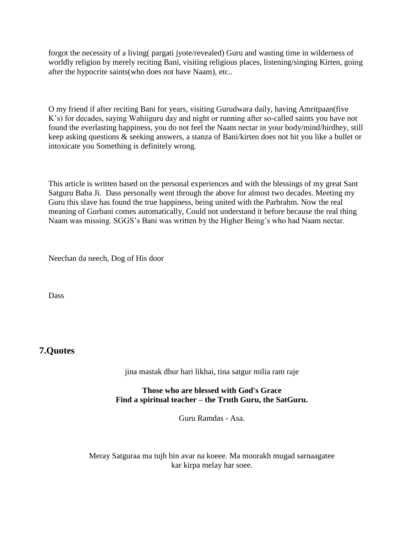forgot the necessity of a living( pargati jyote/revealed) Guru and wasting time in wilderness of worldly religion by merely reciting Bani, visiting religious places, listening/singing Kirten, going after the hypocrite saints(who does not have Naam), etc..

O my friend if after reciting Bani for years, visiting Gurudwara daily, having Amritpaan(five K's) for decades, saying Wahiiguru day and night or running after so-called saints you have not found the everlasting happiness, you do not feel the Naam nectar in your body/mind/hirdhey, still keep asking questions & seeking answers, a stanza of Bani/kirten does not hit you like a bullet or intoxicate you Something is definitely wrong.

This article is written based on the personal experiences and with the blessings of my great Sant Satguru Baba Ji. Dass personally went through the above for almost two decades. Meeting my Guru this slave has found the true happiness, being united with the Parbrahm. Now the real meaning of Gurbani comes automatically, Could not understand it before because the real thing Naam was missing. SGGS's Bani was written by the Higher Being's who had Naam nectar.

Neechan da neech, Dog of His door

Dass

## **7.Quotes**

jina mastak dhur hari likhai, tina satgur milia ram raje

**Those who are blessed with God's Grace Find a spiritual teacher – the Truth Guru, the SatGuru.**

Guru Ramdas - Asa.

Meray Satguraa ma tujh bin avar na koeee. Ma moorakh mugad sarnaagatee kar kirpa melay har soee.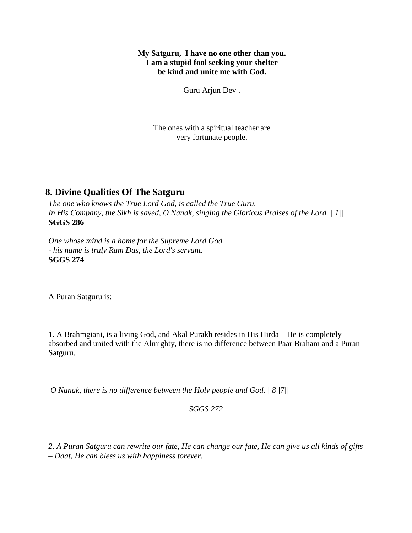## **My Satguru, I have no one other than you. I am a stupid fool seeking your shelter be kind and unite me with God.**

Guru Arjun Dev .

The ones with a spiritual teacher are very fortunate people.

# **8. Divine Qualities Of The Satguru**

*The one who knows the True Lord God, is called the True Guru. In His Company, the Sikh is saved, O Nanak, singing the Glorious Praises of the Lord. ||1||* **SGGS 286**

*One whose mind is a home for the Supreme Lord God - his name is truly Ram Das, the Lord's servant.* **SGGS 274**

A Puran Satguru is:

1. A Brahmgiani, is a living God, and Akal Purakh resides in His Hirda – He is completely absorbed and united with the Almighty, there is no difference between Paar Braham and a Puran Satguru.

*O Nanak, there is no difference between the Holy people and God. ||8||7||*

*SGGS 272*

*2. A Puran Satguru can rewrite our fate, He can change our fate, He can give us all kinds of gifts – Daat, He can bless us with happiness forever.*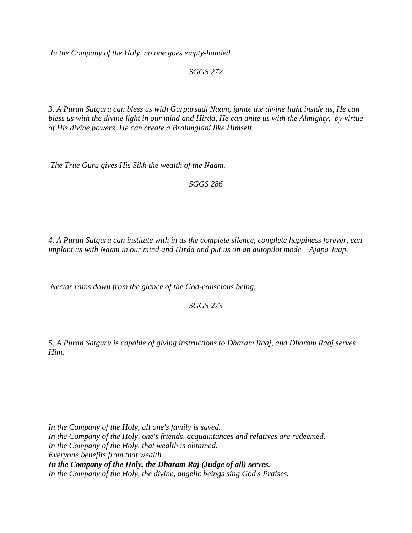*In the Company of the Holy, no one goes empty-handed.*

*SGGS 272*

*3. A Puran Satguru can bless us with Gurparsadi Naam, ignite the divine light inside us, He can bless us with the divine light in our mind and Hirda, He can unite us with the Almighty, by virtue of His divine powers, He can create a Brahmgiani like Himself.*

*The True Guru gives His Sikh the wealth of the Naam.*

*SGGS 286*

*4. A Puran Satguru can institute with in us the complete silence, complete happiness forever, can implant us with Naam in our mind and Hirda and put us on an autopilot mode – Ajapa Jaap.*

*Nectar rains down from the glance of the God-conscious being.*

*SGGS 273*

*5. A Puran Satguru is capable of giving instructions to Dharam Raaj, and Dharam Raaj serves Him.*

*In the Company of the Holy, all one's family is saved. In the Company of the Holy, one's friends, acquaintances and relatives are redeemed. In the Company of the Holy, that wealth is obtained. Everyone benefits from that wealth. In the Company of the Holy, the Dharam Raj (Judge of all) serves. In the Company of the Holy, the divine, angelic beings sing God's Praises.*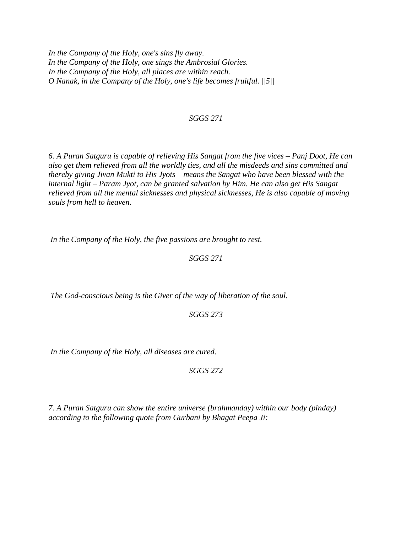*In the Company of the Holy, one's sins fly away. In the Company of the Holy, one sings the Ambrosial Glories. In the Company of the Holy, all places are within reach. O Nanak, in the Company of the Holy, one's life becomes fruitful. ||5||*

#### *SGGS 271*

*6. A Puran Satguru is capable of relieving His Sangat from the five vices – Panj Doot, He can also get them relieved from all the worldly ties, and all the misdeeds and sins committed and thereby giving Jivan Mukti to His Jyots – means the Sangat who have been blessed with the internal light – Param Jyot, can be granted salvation by Him. He can also get His Sangat relieved from all the mental sicknesses and physical sicknesses, He is also capable of moving souls from hell to heaven.*

*In the Company of the Holy, the five passions are brought to rest.*

*SGGS 271*

*The God-conscious being is the Giver of the way of liberation of the soul.*

*SGGS 273*

*In the Company of the Holy, all diseases are cured.*

*SGGS 272*

*7. A Puran Satguru can show the entire universe (brahmanday) within our body (pinday) according to the following quote from Gurbani by Bhagat Peepa Ji:*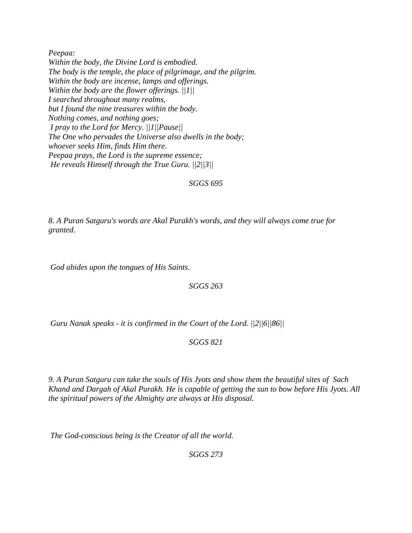*Peepaa: Within the body, the Divine Lord is embodied. The body is the temple, the place of pilgrimage, and the pilgrim. Within the body are incense, lamps and offerings. Within the body are the flower offerings. ||1|| I searched throughout many realms, but I found the nine treasures within the body. Nothing comes, and nothing goes; I pray to the Lord for Mercy. ||1||Pause|| The One who pervades the Universe also dwells in the body; whoever seeks Him, finds Him there. Peepaa prays, the Lord is the supreme essence; He reveals Himself through the True Guru. ||2||3||*

## *SGGS 695*

*8. A Puran Satguru's words are Akal Purakh's words, and they will always come true for granted.*

*God abides upon the tongues of His Saints.*

#### *SGGS 263*

*Guru Nanak speaks - it is confirmed in the Court of the Lord. ||2||6||86||*

#### *SGGS 821*

*9. A Puran Satguru can take the souls of His Jyots and show them the beautiful sites of Sach Khand and Dargah of Akal Purakh. He is capable of getting the sun to bow before His Jyots. All the spiritual powers of the Almighty are always at His disposal.*

*The God-conscious being is the Creator of all the world.*

*SGGS 273*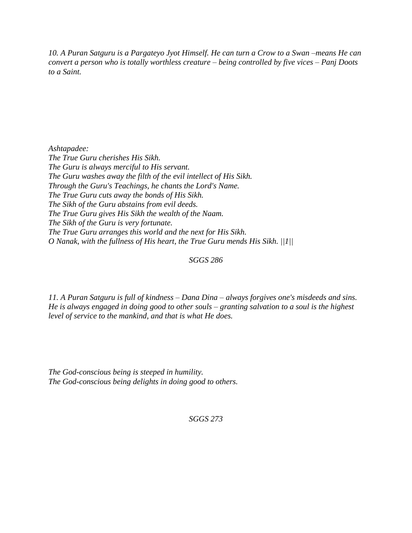*10. A Puran Satguru is a Pargateyo Jyot Himself. He can turn a Crow to a Swan –means He can convert a person who is totally worthless creature – being controlled by five vices – Panj Doots to a Saint.*

*Ashtapadee: The True Guru cherishes His Sikh. The Guru is always merciful to His servant. The Guru washes away the filth of the evil intellect of His Sikh. Through the Guru's Teachings, he chants the Lord's Name. The True Guru cuts away the bonds of His Sikh. The Sikh of the Guru abstains from evil deeds. The True Guru gives His Sikh the wealth of the Naam. The Sikh of the Guru is very fortunate. The True Guru arranges this world and the next for His Sikh. O Nanak, with the fullness of His heart, the True Guru mends His Sikh. ||1||*

## *SGGS 286*

*11. A Puran Satguru is full of kindness – Dana Dina – always forgives one's misdeeds and sins. He is always engaged in doing good to other souls – granting salvation to a soul is the highest level of service to the mankind, and that is what He does.*

*The God-conscious being is steeped in humility. The God-conscious being delights in doing good to others.*

*SGGS 273*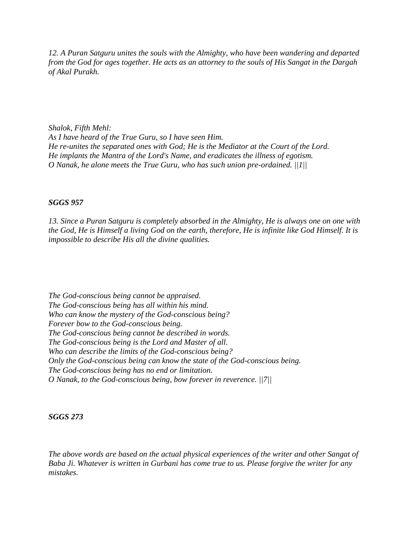*12. A Puran Satguru unites the souls with the Almighty, who have been wandering and departed from the God for ages together. He acts as an attorney to the souls of His Sangat in the Dargah of Akal Purakh.*

*Shalok, Fifth Mehl: As I have heard of the True Guru, so I have seen Him. He re-unites the separated ones with God; He is the Mediator at the Court of the Lord. He implants the Mantra of the Lord's Name, and eradicates the illness of egotism. O Nanak, he alone meets the True Guru, who has such union pre-ordained. ||1||*

#### *SGGS 957*

*13. Since a Puran Satguru is completely absorbed in the Almighty, He is always one on one with the God, He is Himself a living God on the earth, therefore, He is infinite like God Himself. It is impossible to describe His all the divine qualities.*

*The God-conscious being cannot be appraised. The God-conscious being has all within his mind. Who can know the mystery of the God-conscious being? Forever bow to the God-conscious being. The God-conscious being cannot be described in words. The God-conscious being is the Lord and Master of all. Who can describe the limits of the God-conscious being? Only the God-conscious being can know the state of the God-conscious being. The God-conscious being has no end or limitation. O Nanak, to the God-conscious being, bow forever in reverence. ||7||*

#### *SGGS 273*

*The above words are based on the actual physical experiences of the writer and other Sangat of Baba Ji. Whatever is written in Gurbani has come true to us. Please forgive the writer for any mistakes.*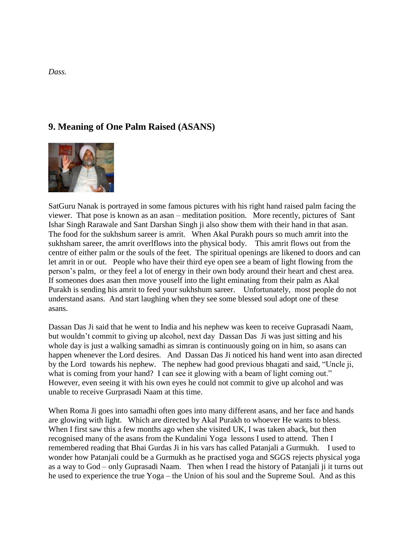# **9. Meaning of One Palm Raised (ASANS)**



SatGuru Nanak is portrayed in some famous pictures with his right hand raised palm facing the viewer. That pose is known as an asan – meditation position. More recently, pictures of Sant Ishar Singh Rarawale and Sant Darshan Singh ji also show them with their hand in that asan. The food for the sukhshum sareer is amrit. When Akal Purakh pours so much amrit into the sukhsham sareer, the amrit overlflows into the physical body. This amrit flows out from the centre of either palm or the souls of the feet. The spiritual openings are likened to doors and can let amrit in or out. People who have their third eye open see a beam of light flowing from the person's palm, or they feel a lot of energy in their own body around their heart and chest area. If someones does asan then move youself into the light eminating from their palm as Akal Purakh is sending his amrit to feed your sukhshum sareer. Unfortunately, most people do not understand asans. And start laughing when they see some blessed soul adopt one of these asans.

Dassan Das Ji said that he went to India and his nephew was keen to receive Guprasadi Naam, but wouldn't commit to giving up alcohol, next day Dassan Das Ji was just sitting and his whole day is just a walking samadhi as simran is continuously going on in him, so asans can happen whenever the Lord desires. And Dassan Das Ji noticed his hand went into asan directed by the Lord towards his nephew. The nephew had good previous bhagati and said, "Uncle ji, what is coming from your hand? I can see it glowing with a beam of light coming out." However, even seeing it with his own eyes he could not commit to give up alcohol and was unable to receive Gurprasadi Naam at this time.

When Roma Ji goes into samadhi often goes into many different asans, and her face and hands are glowing with light. Which are directed by Akal Purakh to whoever He wants to bless. When I first saw this a few months ago when she visited UK, I was taken aback, but then recognised many of the asans from the Kundalini Yoga lessons I used to attend. Then I remembered reading that Bhai Gurdas Ji in his vars has called Patanjali a Gurmukh. I used to wonder how Patanjali could be a Gurmukh as he practised yoga and SGGS rejects physical yoga as a way to God – only Guprasadi Naam. Then when I read the history of Patanjali ji it turns out he used to experience the true Yoga – the Union of his soul and the Supreme Soul. And as this

*Dass.*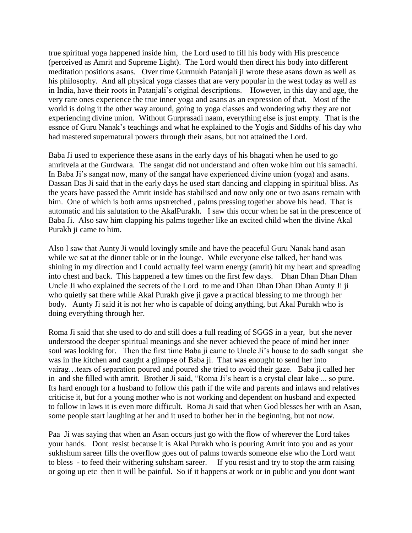true spiritual yoga happened inside him, the Lord used to fill his body with His prescence (perceived as Amrit and Supreme Light). The Lord would then direct his body into different meditation positions asans. Over time Gurmukh Patanjali ji wrote these asans down as well as his philosophy. And all physical yoga classes that are very popular in the west today as well as in India, have their roots in Patanjali's original descriptions. However, in this day and age, the very rare ones experience the true inner yoga and asans as an expression of that. Most of the world is doing it the other way around, going to yoga classes and wondering why they are not experiencing divine union. Without Gurprasadi naam, everything else is just empty. That is the essnce of Guru Nanak's teachings and what he explained to the Yogis and Siddhs of his day who had mastered supernatural powers through their asans, but not attained the Lord.

Baba Ji used to experience these asans in the early days of his bhagati when he used to go amritvela at the Gurdwara. The sangat did not understand and often woke him out his samadhi. In Baba Ji's sangat now, many of the sangat have experienced divine union (yoga) and asans. Dassan Das Ji said that in the early days he used start dancing and clapping in spiritual bliss. As the years have passed the Amrit inside has stabilised and now only one or two asans remain with him. One of which is both arms upstretched , palms pressing together above his head. That is automatic and his salutation to the AkalPurakh. I saw this occur when he sat in the prescence of Baba Ji. Also saw him clapping his palms together like an excited child when the divine Akal Purakh ji came to him.

Also I saw that Aunty Ji would lovingly smile and have the peaceful Guru Nanak hand asan while we sat at the dinner table or in the lounge. While everyone else talked, her hand was shining in my direction and I could actually feel warm energy (amrit) hit my heart and spreading into chest and back. This happened a few times on the first few days. Dhan Dhan Dhan Dhan Uncle Ji who explained the secrets of the Lord to me and Dhan Dhan Dhan Dhan Aunty Ji ji who quietly sat there while Akal Purakh give ji gave a practical blessing to me through her body. Aunty Ji said it is not her who is capable of doing anything, but Akal Purakh who is doing everything through her.

Roma Ji said that she used to do and still does a full reading of SGGS in a year, but she never understood the deeper spiritual meanings and she never achieved the peace of mind her inner soul was looking for. Then the first time Baba ji came to Uncle Ji's house to do sadh sangat she was in the kitchen and caught a glimpse of Baba ji. That was enought to send her into vairag…tears of separation poured and poured she tried to avoid their gaze. Baba ji called her in and she filled with amrit. Brother Ji said, "Roma Ji's heart is a crystal clear lake ... so pure. Its hard enough for a husband to follow this path if the wife and parents and inlaws and relatives criticise it, but for a young mother who is not working and dependent on husband and expected to follow in laws it is even more difficult. Roma Ji said that when God blesses her with an Asan, some people start laughing at her and it used to bother her in the beginning, but not now.

Paa Ji was saying that when an Asan occurs just go with the flow of wherever the Lord takes your hands. Dont resist because it is Akal Purakh who is pouring Amrit into you and as your sukhshum sareer fills the overflow goes out of palms towards someone else who the Lord want to bless - to feed their withering suhsham sareer. If you resist and try to stop the arm raising or going up etc then it will be painful. So if it happens at work or in public and you dont want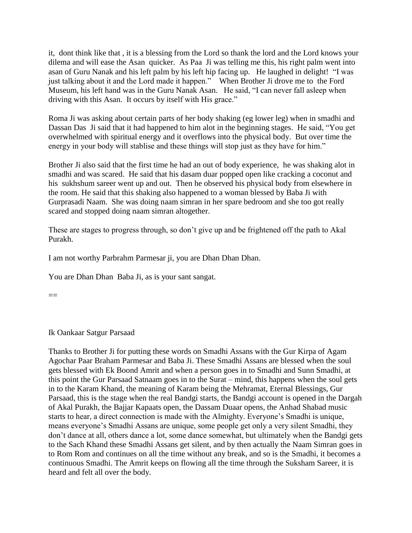it, dont think like that , it is a blessing from the Lord so thank the lord and the Lord knows your dilema and will ease the Asan quicker. As Paa Ji was telling me this, his right palm went into asan of Guru Nanak and his left palm by his left hip facing up. He laughed in delight! "I was just talking about it and the Lord made it happen." When Brother Ji drove me to the Ford Museum, his left hand was in the Guru Nanak Asan. He said, "I can never fall asleep when driving with this Asan. It occurs by itself with His grace."

Roma Ji was asking about certain parts of her body shaking (eg lower leg) when in smadhi and Dassan Das Ji said that it had happened to him alot in the beginning stages. He said, "You get overwhelmed with spiritual energy and it overflows into the physical body. But over time the energy in your body will stablise and these things will stop just as they have for him."

Brother Ji also said that the first time he had an out of body experience, he was shaking alot in smadhi and was scared. He said that his dasam duar popped open like cracking a coconut and his sukhshum sareer went up and out. Then he observed his physical body from elsewhere in the room. He said that this shaking also happened to a woman blessed by Baba Ji with Gurprasadi Naam. She was doing naam simran in her spare bedroom and she too got really scared and stopped doing naam simran altogether.

These are stages to progress through, so don't give up and be frightened off the path to Akal Purakh.

I am not worthy Parbrahm Parmesar ji, you are Dhan Dhan Dhan.

You are Dhan Dhan Baba Ji, as is your sant sangat.

 $\equiv$ 

Ik Oankaar Satgur Parsaad

Thanks to Brother Ji for putting these words on Smadhi Assans with the Gur Kirpa of Agam Agochar Paar Braham Parmesar and Baba Ji. These Smadhi Assans are blessed when the soul gets blessed with Ek Boond Amrit and when a person goes in to Smadhi and Sunn Smadhi, at this point the Gur Parsaad Satnaam goes in to the Surat – mind, this happens when the soul gets in to the Karam Khand, the meaning of Karam being the Mehramat, Eternal Blessings, Gur Parsaad, this is the stage when the real Bandgi starts, the Bandgi account is opened in the Dargah of Akal Purakh, the Bajjar Kapaats open, the Dassam Duaar opens, the Anhad Shabad music starts to hear, a direct connection is made with the Almighty. Everyone's Smadhi is unique, means everyone's Smadhi Assans are unique, some people get only a very silent Smadhi, they don't dance at all, others dance a lot, some dance somewhat, but ultimately when the Bandgi gets to the Sach Khand these Smadhi Assans get silent, and by then actually the Naam Simran goes in to Rom Rom and continues on all the time without any break, and so is the Smadhi, it becomes a continuous Smadhi. The Amrit keeps on flowing all the time through the Suksham Sareer, it is heard and felt all over the body.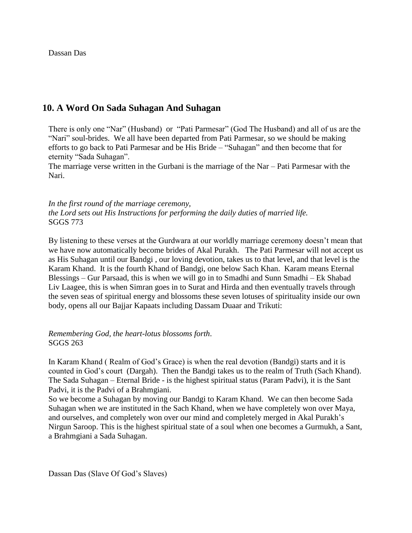Dassan Das

# **10. A Word On Sada Suhagan And Suhagan**

There is only one "Nar" (Husband) or "Pati Parmesar" (God The Husband) and all of us are the "Nari" soul-brides. We all have been departed from Pati Parmesar, so we should be making efforts to go back to Pati Parmesar and be His Bride – "Suhagan" and then become that for eternity "Sada Suhagan".

The marriage verse written in the Gurbani is the marriage of the Nar – Pati Parmesar with the Nari.

*In the first round of the marriage ceremony, the Lord sets out His Instructions for performing the daily duties of married life.* SGGS 773

By listening to these verses at the Gurdwara at our worldly marriage ceremony doesn't mean that we have now automatically become brides of Akal Purakh. The Pati Parmesar will not accept us as His Suhagan until our Bandgi , our loving devotion, takes us to that level, and that level is the Karam Khand. It is the fourth Khand of Bandgi, one below Sach Khan. Karam means Eternal Blessings – Gur Parsaad, this is when we will go in to Smadhi and Sunn Smadhi – Ek Shabad Liv Laagee, this is when Simran goes in to Surat and Hirda and then eventually travels through the seven seas of spiritual energy and blossoms these seven lotuses of spirituality inside our own body, opens all our Bajjar Kapaats including Dassam Duaar and Trikuti:

*Remembering God, the heart-lotus blossoms forth*. SGGS 263

In Karam Khand ( Realm of God's Grace) is when the real devotion (Bandgi) starts and it is counted in God's court (Dargah). Then the Bandgi takes us to the realm of Truth (Sach Khand). The Sada Suhagan – Eternal Bride - is the highest spiritual status (Param Padvi), it is the Sant Padvi, it is the Padvi of a Brahmgiani.

So we become a Suhagan by moving our Bandgi to Karam Khand. We can then become Sada Suhagan when we are instituted in the Sach Khand, when we have completely won over Maya, and ourselves, and completely won over our mind and completely merged in Akal Purakh's Nirgun Saroop. This is the highest spiritual state of a soul when one becomes a Gurmukh, a Sant, a Brahmgiani a Sada Suhagan.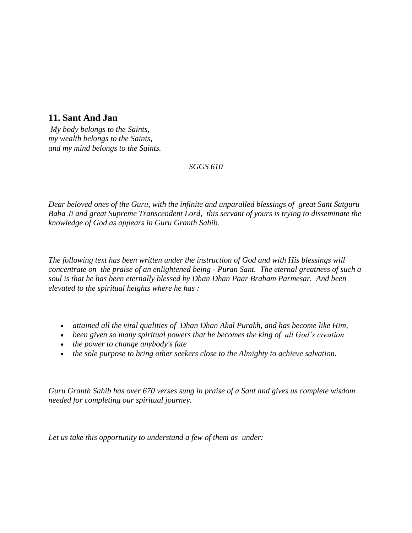# **11. Sant And Jan**

*My body belongs to the Saints, my wealth belongs to the Saints, and my mind belongs to the Saints.*

## *SGGS 610*

*Dear beloved ones of the Guru, with the infinite and unparalled blessings of great Sant Satguru Baba Ji and great Supreme Transcendent Lord, this servant of yours is trying to disseminate the knowledge of God as appears in Guru Granth Sahib.*

*The following text has been written under the instruction of God and with His blessings will concentrate on the praise of an enlightened being - Puran Sant. The eternal greatness of such a soul is that he has been eternally blessed by Dhan Dhan Paar Braham Parmesar. And been elevated to the spiritual heights where he has :*

- *attained all the vital qualities of Dhan Dhan Akal Purakh, and has become like Him,*
- *been given so many spiritual powers that he becomes the king of all God's creation*
- *the power to change anybody's fate*
- *the sole purpose to bring other seekers close to the Almighty to achieve salvation.*

*Guru Granth Sahib has over 670 verses sung in praise of a Sant and gives us complete wisdom needed for completing our spiritual journey.* 

*Let us take this opportunity to understand a few of them as under:*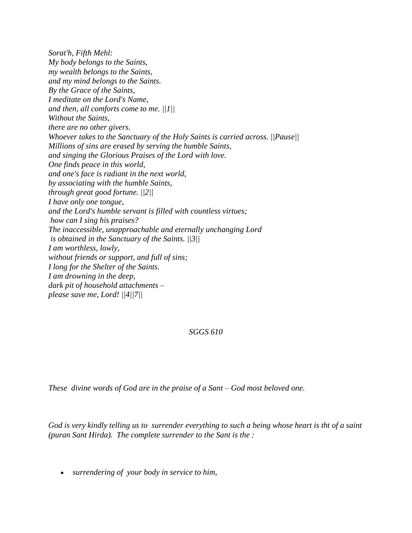*Sorat'h, Fifth Mehl: My body belongs to the Saints, my wealth belongs to the Saints, and my mind belongs to the Saints. By the Grace of the Saints, I meditate on the Lord's Name, and then, all comforts come to me. ||1|| Without the Saints, there are no other givers. Whoever takes to the Sanctuary of the Holy Saints is carried across. ||Pause|| Millions of sins are erased by serving the humble Saints, and singing the Glorious Praises of the Lord with love. One finds peace in this world, and one's face is radiant in the next world, by associating with the humble Saints, through great good fortune. ||2|| I have only one tongue, and the Lord's humble servant is filled with countless virtues; how can I sing his praises? The inaccessible, unapproachable and eternally unchanging Lord is obtained in the Sanctuary of the Saints. ||3|| I am worthless, lowly, without friends or support, and full of sins; I long for the Shelter of the Saints. I am drowning in the deep, dark pit of household attachments – please save me, Lord! ||4||7||*

*SGGS 610*

*These divine words of God are in the praise of a Sant – God most beloved one.* 

*God is very kindly telling us to surrender everything to such a being whose heart is tht of a saint (puran Sant Hirda). The complete surrender to the Sant is the :*

*surrendering of your body in service to him,*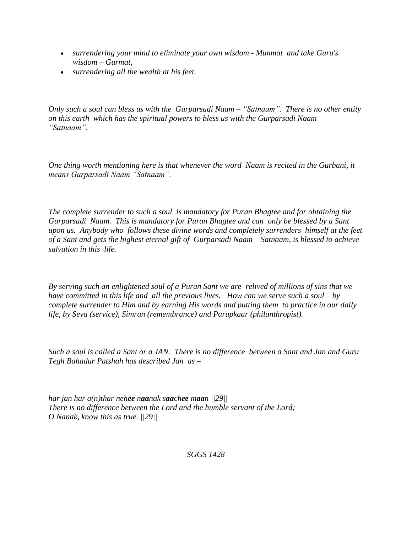- *surrendering your mind to eliminate your own wisdom - Munmat and take Guru's wisdom – Gurmat,*
- *surrendering all the wealth at his feet.*

*Only such a soul can bless us with the Gurparsadi Naam – "Satnaam". There is no other entity on this earth which has the spiritual powers to bless us with the Gurparsadi Naam – "Satnaam".* 

*One thing worth mentioning here is that whenever the word Naam is recited in the Gurbani, it means Gurparsadi Naam "Satnaam".*

*The complete surrender to such a soul is mandatory for Puran Bhagtee and for obtaining the Gurparsadi Naam. This is mandatory for Puran Bhagtee and can only be blessed by a Sant upon us. Anybody who follows these divine words and completely surrenders himself at the feet of a Sant and gets the highest eternal gift of Gurparsadi Naam – Satnaam, is blessed to achieve salvation in this life.* 

*By serving such an enlightened soul of a Puran Sant we are relived of millions of sins that we have committed in this life and all the previous lives. How can we serve such a soul – by complete surrender to Him and by earning His words and putting them to practice in our daily life, by Seva (service), Simran (remembrance) and Parupkaar (philanthropist).* 

*Such a soul is called a Sant or a JAN. There is no difference between a Sant and Jan and Guru Tegh Bahadur Patshah has described Jan as –*

*har jan har a(n)thar nehee naanak saachee maan ||29|| There is no difference between the Lord and the humble servant of the Lord; O Nanak, know this as true. ||29||*

*SGGS 1428*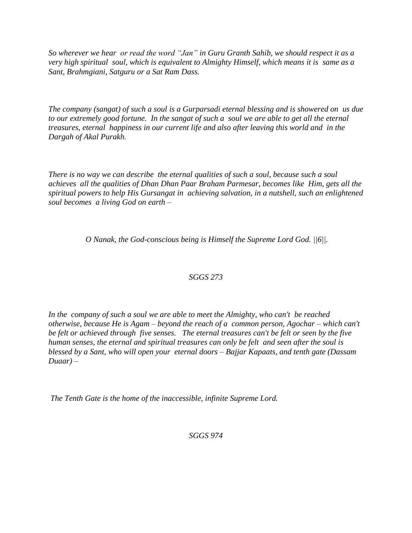*So wherever we hear or read the word "Jan" in Guru Granth Sahib, we should respect it as a very high spiritual soul, which is equivalent to Almighty Himself, which means it is same as a Sant, Brahmgiani, Satguru or a Sat Ram Dass.*

*The company (sangat) of such a soul is a Gurparsadi eternal blessing and is showered on us due to our extremely good fortune. In the sangat of such a soul we are able to get all the eternal treasures, eternal happiness in our current life and also after leaving this world and in the Dargah of Akal Purakh.* 

*There is no way we can describe the eternal qualities of such a soul, because such a soul achieves all the qualities of Dhan Dhan Paar Braham Parmesar, becomes like Him, gets all the spiritual powers to help His Gursangat in achieving salvation, in a nutshell, such an enlightened soul becomes a living God on earth –*

*O Nanak, the God-conscious being is Himself the Supreme Lord God. ||6||.*

## *SGGS 273*

*In the company of such a soul we are able to meet the Almighty, who can't be reached otherwise, because He is Agam – beyond the reach of a common person, Agochar – which can't be felt or achieved through five senses. The eternal treasures can't be felt or seen by the five human senses, the eternal and spiritual treasures can only be felt and seen after the soul is blessed by a Sant, who will open your eternal doors – Bajjar Kapaats, and tenth gate (Dassam Duaar) –*

*The Tenth Gate is the home of the inaccessible, infinite Supreme Lord.*

*SGGS 974*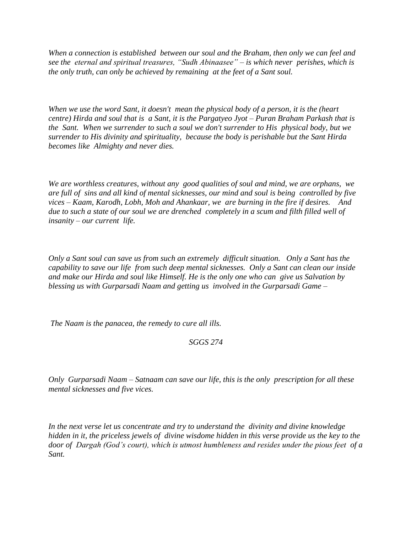*When a connection is established between our soul and the Braham, then only we can feel and see the eternal and spiritual treasures, "Sudh Abinaasee" – is which never perishes, which is the only truth, can only be achieved by remaining at the feet of a Sant soul.* 

*When we use the word Sant, it doesn't mean the physical body of a person, it is the (heart centre) Hirda and soul that is a Sant, it is the Pargatyeo Jyot – Puran Braham Parkash that is the Sant. When we surrender to such a soul we don't surrender to His physical body, but we surrender to His divinity and spirituality, because the body is perishable but the Sant Hirda becomes like Almighty and never dies.*

*We are worthless creatures, without any good qualities of soul and mind, we are orphans, we are full of sins and all kind of mental sicknesses, our mind and soul is being controlled by five vices – Kaam, Karodh, Lobh, Moh and Ahankaar, we are burning in the fire if desires. And due to such a state of our soul we are drenched completely in a scum and filth filled well of insanity – our current life.* 

*Only a Sant soul can save us from such an extremely difficult situation. Only a Sant has the capability to save our life from such deep mental sicknesses. Only a Sant can clean our inside and make our Hirda and soul like Himself. He is the only one who can give us Salvation by blessing us with Gurparsadi Naam and getting us involved in the Gurparsadi Game –*

*The Naam is the panacea, the remedy to cure all ills.*

## *SGGS 274*

*Only Gurparsadi Naam – Satnaam can save our life, this is the only prescription for all these mental sicknesses and five vices.*

*In the next verse let us concentrate and try to understand the divinity and divine knowledge hidden in it, the priceless jewels of divine wisdome hidden in this verse provide us the key to the door of Dargah (God's court), which is utmost humbleness and resides under the pious feet of a Sant.*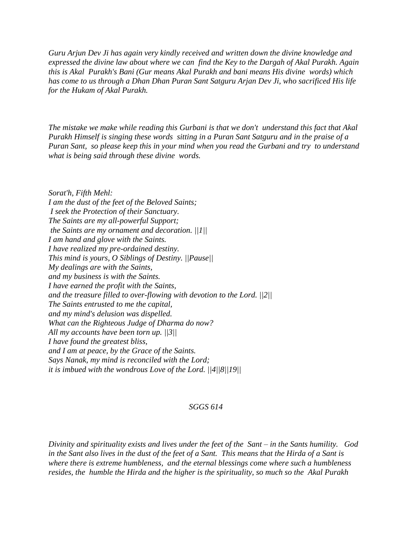*Guru Arjun Dev Ji has again very kindly received and written down the divine knowledge and expressed the divine law about where we can find the Key to the Dargah of Akal Purakh. Again this is Akal Purakh's Bani (Gur means Akal Purakh and bani means His divine words) which has come to us through a Dhan Dhan Puran Sant Satguru Arjan Dev Ji, who sacrificed His life for the Hukam of Akal Purakh.*

*The mistake we make while reading this Gurbani is that we don't understand this fact that Akal Purakh Himself is singing these words sitting in a Puran Sant Satguru and in the praise of a Puran Sant, so please keep this in your mind when you read the Gurbani and try to understand what is being said through these divine words.* 

*Sorat'h, Fifth Mehl: I am the dust of the feet of the Beloved Saints; I seek the Protection of their Sanctuary. The Saints are my all-powerful Support; the Saints are my ornament and decoration. ||1|| I am hand and glove with the Saints. I have realized my pre-ordained destiny. This mind is yours, O Siblings of Destiny. ||Pause|| My dealings are with the Saints, and my business is with the Saints. I have earned the profit with the Saints, and the treasure filled to over-flowing with devotion to the Lord. ||2|| The Saints entrusted to me the capital, and my mind's delusion was dispelled. What can the Righteous Judge of Dharma do now? All my accounts have been torn up. ||3|| I have found the greatest bliss, and I am at peace, by the Grace of the Saints. Says Nanak, my mind is reconciled with the Lord; it is imbued with the wondrous Love of the Lord. ||4||8||19||*

#### *SGGS 614*

*Divinity and spirituality exists and lives under the feet of the Sant – in the Sants humility. God in the Sant also lives in the dust of the feet of a Sant. This means that the Hirda of a Sant is where there is extreme humbleness, and the eternal blessings come where such a humbleness resides, the humble the Hirda and the higher is the spirituality, so much so the Akal Purakh*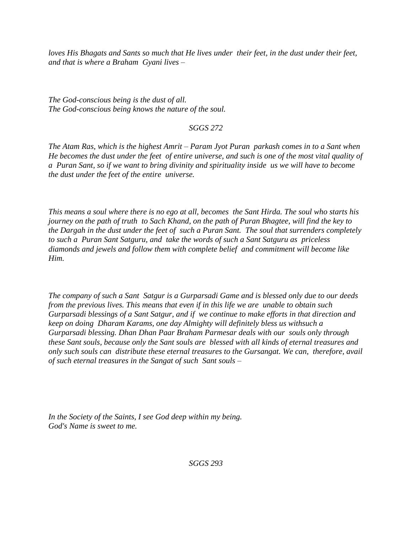*loves His Bhagats and Sants so much that He lives under their feet, in the dust under their feet, and that is where a Braham Gyani lives –*

*The God-conscious being is the dust of all. The God-conscious being knows the nature of the soul.*

## *SGGS 272*

*The Atam Ras, which is the highest Amrit – Param Jyot Puran parkash comes in to a Sant when He becomes the dust under the feet of entire universe, and such is one of the most vital quality of a Puran Sant, so if we want to bring divinity and spirituality inside us we will have to become the dust under the feet of the entire universe.* 

*This means a soul where there is no ego at all, becomes the Sant Hirda. The soul who starts his journey on the path of truth to Sach Khand, on the path of Puran Bhagtee, will find the key to the Dargah in the dust under the feet of such a Puran Sant. The soul that surrenders completely to such a Puran Sant Satguru, and take the words of such a Sant Satguru as priceless diamonds and jewels and follow them with complete belief and commitment will become like Him.* 

*The company of such a Sant Satgur is a Gurparsadi Game and is blessed only due to our deeds from the previous lives. This means that even if in this life we are unable to obtain such Gurparsadi blessings of a Sant Satgur, and if we continue to make efforts in that direction and keep on doing Dharam Karams, one day Almighty will definitely bless us withsuch a Gurparsadi blessing. Dhan Dhan Paar Braham Parmesar deals with our souls only through these Sant souls, because only the Sant souls are blessed with all kinds of eternal treasures and only such souls can distribute these eternal treasures to the Gursangat. We can, therefore, avail of such eternal treasures in the Sangat of such Sant souls –*

*In the Society of the Saints, I see God deep within my being. God's Name is sweet to me.*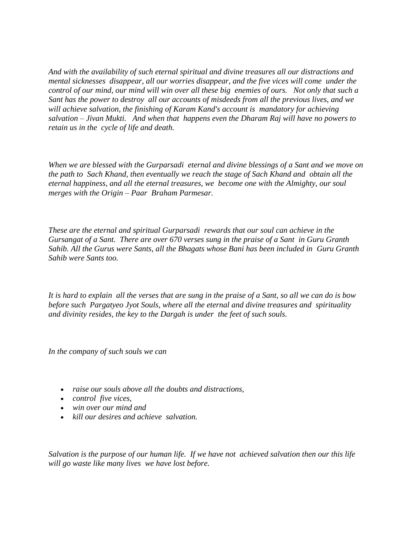*And with the availability of such eternal spiritual and divine treasures all our distractions and mental sicknesses disappear, all our worries disappear, and the five vices will come under the control of our mind, our mind will win over all these big enemies of ours. Not only that such a Sant has the power to destroy all our accounts of misdeeds from all the previous lives, and we will achieve salvation, the finishing of Karam Kand's account is mandatory for achieving salvation – Jivan Mukti. And when that happens even the Dharam Raj will have no powers to retain us in the cycle of life and death.* 

*When we are blessed with the Gurparsadi eternal and divine blessings of a Sant and we move on the path to Sach Khand, then eventually we reach the stage of Sach Khand and obtain all the eternal happiness, and all the eternal treasures, we become one with the Almighty, our soul merges with the Origin – Paar Braham Parmesar.* 

*These are the eternal and spiritual Gurparsadi rewards that our soul can achieve in the Gursangat of a Sant. There are over 670 verses sung in the praise of a Sant in Guru Granth Sahib. All the Gurus were Sants, all the Bhagats whose Bani has been included in Guru Granth Sahib were Sants too.* 

*It is hard to explain all the verses that are sung in the praise of a Sant, so all we can do is bow before such Pargatyeo Jyot Souls, where all the eternal and divine treasures and spirituality and divinity resides, the key to the Dargah is under the feet of such souls.* 

*In the company of such souls we can*

- *raise our souls above all the doubts and distractions,*
- *control five vices,*
- *win over our mind and*
- *kill our desires and achieve salvation.*

*Salvation is the purpose of our human life. If we have not achieved salvation then our this life will go waste like many lives we have lost before.*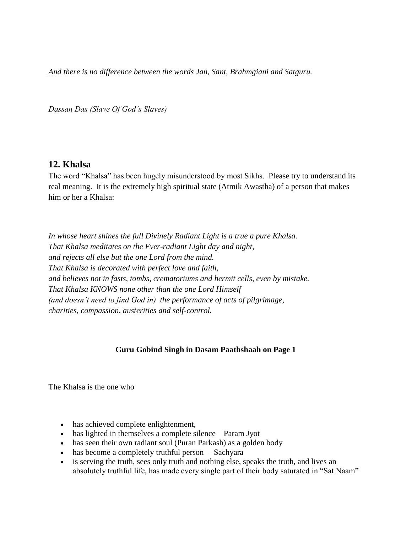*And there is no difference between the words Jan, Sant, Brahmgiani and Satguru.* 

*Dassan Das (Slave Of God's Slaves)*

## **12. Khalsa**

The word "Khalsa" has been hugely misunderstood by most Sikhs. Please try to understand its real meaning. It is the extremely high spiritual state (Atmik Awastha) of a person that makes him or her a Khalsa:

*In whose heart shines the full Divinely Radiant Light is a true a pure Khalsa. That Khalsa meditates on the Ever-radiant Light day and night, and rejects all else but the one Lord from the mind. That Khalsa is decorated with perfect love and faith, and believes not in fasts, tombs, crematoriums and hermit cells, even by mistake. That Khalsa KNOWS none other than the one Lord Himself (and doesn't need to find God in) the performance of acts of pilgrimage, charities, compassion, austerities and self-control.*

## **Guru Gobind Singh in Dasam Paathshaah on Page 1**

The Khalsa is the one who

- has achieved complete enlightenment,
- has lighted in themselves a complete silence Param Jyot
- has seen their own radiant soul (Puran Parkash) as a golden body
- has become a completely truthful person Sachyara
- is serving the truth, sees only truth and nothing else, speaks the truth, and lives an absolutely truthful life, has made every single part of their body saturated in "Sat Naam"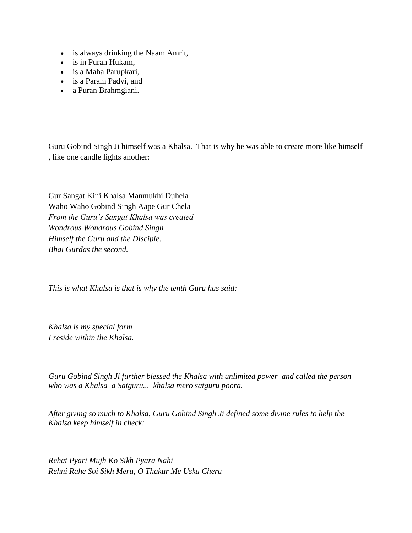- is always drinking the Naam Amrit,
- is in Puran Hukam,
- is a Maha Parupkari,
- is a Param Padvi, and
- a Puran Brahmgiani.

Guru Gobind Singh Ji himself was a Khalsa. That is why he was able to create more like himself , like one candle lights another:

Gur Sangat Kini Khalsa Manmukhi Duhela Waho Waho Gobind Singh Aape Gur Chela *From the Guru's Sangat Khalsa was created Wondrous Wondrous Gobind Singh Himself the Guru and the Disciple. Bhai Gurdas the second.*

*This is what Khalsa is that is why the tenth Guru has said:*

*Khalsa is my special form I reside within the Khalsa.*

*Guru Gobind Singh Ji further blessed the Khalsa with unlimited power and called the person who was a Khalsa a Satguru... khalsa mero satguru poora.*

*After giving so much to Khalsa, Guru Gobind Singh Ji defined some divine rules to help the Khalsa keep himself in check:*

*Rehat Pyari Mujh Ko Sikh Pyara Nahi Rehni Rahe Soi Sikh Mera, O Thakur Me Uska Chera*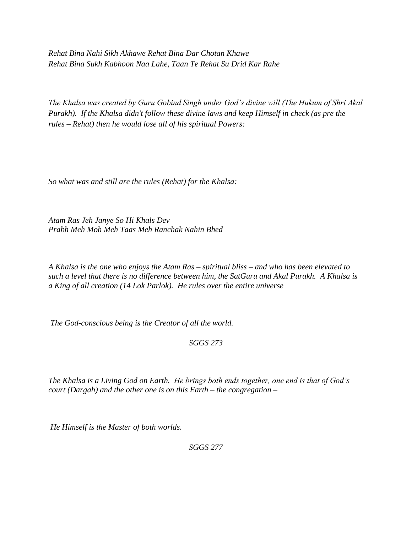*Rehat Bina Nahi Sikh Akhawe Rehat Bina Dar Chotan Khawe Rehat Bina Sukh Kabhoon Naa Lahe, Taan Te Rehat Su Drid Kar Rahe*

*The Khalsa was created by Guru Gobind Singh under God's divine will (The Hukum of Shri Akal Purakh). If the Khalsa didn't follow these divine laws and keep Himself in check (as pre the rules – Rehat) then he would lose all of his spiritual Powers:*

*So what was and still are the rules (Rehat) for the Khalsa:*

*Atam Ras Jeh Janye So Hi Khals Dev Prabh Meh Moh Meh Taas Meh Ranchak Nahin Bhed*

*A Khalsa is the one who enjoys the Atam Ras – spiritual bliss – and who has been elevated to such a level that there is no difference between him, the SatGuru and Akal Purakh. A Khalsa is a King of all creation (14 Lok Parlok). He rules over the entire universe* 

*The God-conscious being is the Creator of all the world.*

*SGGS 273*

*The Khalsa is a Living God on Earth. He brings both ends together, one end is that of God's court (Dargah) and the other one is on this Earth – the congregation –*

*He Himself is the Master of both worlds.*

*SGGS 277*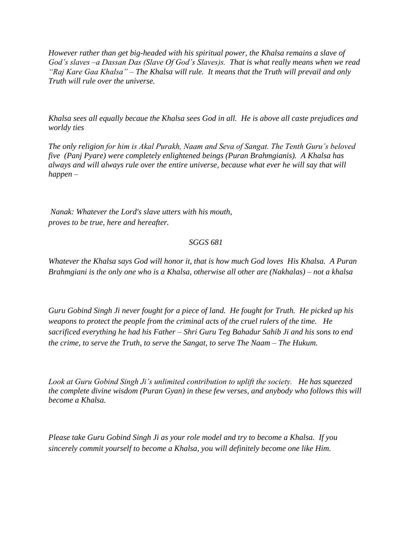*However rather than get big-headed with his spiritual power, the Khalsa remains a slave of God's slaves –a Dassan Das (Slave Of God's Slaves)s. That is what really means when we read "Raj Kare Gaa Khalsa" – The Khalsa will rule. It means that the Truth will prevail and only Truth will rule over the universe.*

*Khalsa sees all equally becaue the Khalsa sees God in all. He is above all caste prejudices and worldy ties* 

*The only religion for him is Akal Purakh, Naam and Seva of Sangat. The Tenth Guru's beloved five (Panj Pyare) were completely enlightened beings (Puran Brahmgianis). A Khalsa has always and will always rule over the entire universe, because what ever he will say that will happen –*

*Nanak: Whatever the Lord's slave utters with his mouth, proves to be true, here and hereafter.* 

## *SGGS 681*

*Whatever the Khalsa says God will honor it, that is how much God loves His Khalsa. A Puran Brahmgiani is the only one who is a Khalsa, otherwise all other are (Nakhalas) – not a khalsa*

*Guru Gobind Singh Ji never fought for a piece of land. He fought for Truth. He picked up his weapons to protect the people from the criminal acts of the cruel rulers of the time. He sacrificed everything he had his Father – Shri Guru Teg Bahadur Sahib Ji and his sons to end the crime, to serve the Truth, to serve the Sangat, to serve The Naam – The Hukum.*

*Look at Guru Gobind Singh Ji's unlimited contribution to uplift the society. He has squeezed the complete divine wisdom (Puran Gyan) in these few verses, and anybody who follows this will become a Khalsa.*

*Please take Guru Gobind Singh Ji as your role model and try to become a Khalsa. If you sincerely commit yourself to become a Khalsa, you will definitely become one like Him.*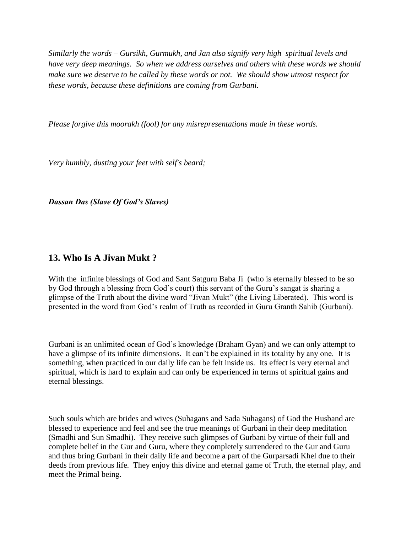*Similarly the words – Gursikh, Gurmukh, and Jan also signify very high spiritual levels and have very deep meanings. So when we address ourselves and others with these words we should make sure we deserve to be called by these words or not. We should show utmost respect for these words, because these definitions are coming from Gurbani.* 

*Please forgive this moorakh (fool) for any misrepresentations made in these words.*

*Very humbly, dusting your feet with self's beard;*

*Dassan Das (Slave Of God's Slaves)*

# **13. Who Is A Jivan Mukt ?**

With the infinite blessings of God and Sant Satguru Baba Ji (who is eternally blessed to be so by God through a blessing from God's court) this servant of the Guru's sangat is sharing a glimpse of the Truth about the divine word "Jivan Mukt" (the Living Liberated). This word is presented in the word from God's realm of Truth as recorded in Guru Granth Sahib (Gurbani).

Gurbani is an unlimited ocean of God's knowledge (Braham Gyan) and we can only attempt to have a glimpse of its infinite dimensions. It can't be explained in its totality by any one. It is something, when practiced in our daily life can be felt inside us. Its effect is very eternal and spiritual, which is hard to explain and can only be experienced in terms of spiritual gains and eternal blessings.

Such souls which are brides and wives (Suhagans and Sada Suhagans) of God the Husband are blessed to experience and feel and see the true meanings of Gurbani in their deep meditation (Smadhi and Sun Smadhi). They receive such glimpses of Gurbani by virtue of their full and complete belief in the Gur and Guru, where they completely surrendered to the Gur and Guru and thus bring Gurbani in their daily life and become a part of the Gurparsadi Khel due to their deeds from previous life. They enjoy this divine and eternal game of Truth, the eternal play, and meet the Primal being.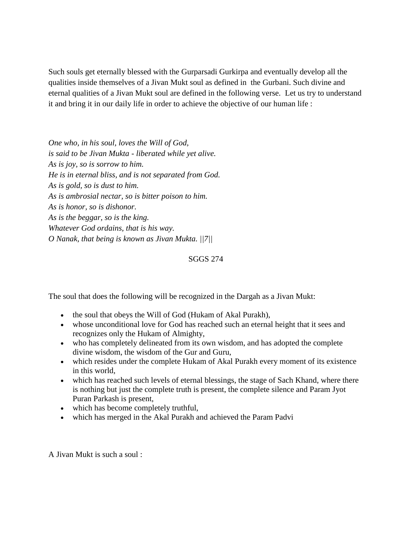Such souls get eternally blessed with the Gurparsadi Gurkirpa and eventually develop all the qualities inside themselves of a Jivan Mukt soul as defined in the Gurbani. Such divine and eternal qualities of a Jivan Mukt soul are defined in the following verse. Let us try to understand it and bring it in our daily life in order to achieve the objective of our human life :

*One who, in his soul, loves the Will of God, is said to be Jivan Mukta - liberated while yet alive. As is joy, so is sorrow to him. He is in eternal bliss, and is not separated from God. As is gold, so is dust to him. As is ambrosial nectar, so is bitter poison to him. As is honor, so is dishonor. As is the beggar, so is the king. Whatever God ordains, that is his way. O Nanak, that being is known as Jivan Mukta. ||7||*

## SGGS 274

The soul that does the following will be recognized in the Dargah as a Jivan Mukt:

- the soul that obeys the Will of God (Hukam of Akal Purakh),
- whose unconditional love for God has reached such an eternal height that it sees and recognizes only the Hukam of Almighty,
- who has completely delineated from its own wisdom, and has adopted the complete divine wisdom, the wisdom of the Gur and Guru,
- which resides under the complete Hukam of Akal Purakh every moment of its existence in this world,
- which has reached such levels of eternal blessings, the stage of Sach Khand, where there is nothing but just the complete truth is present, the complete silence and Param Jyot Puran Parkash is present,
- which has become completely truthful,
- which has merged in the Akal Purakh and achieved the Param Padvi

A Jivan Mukt is such a soul :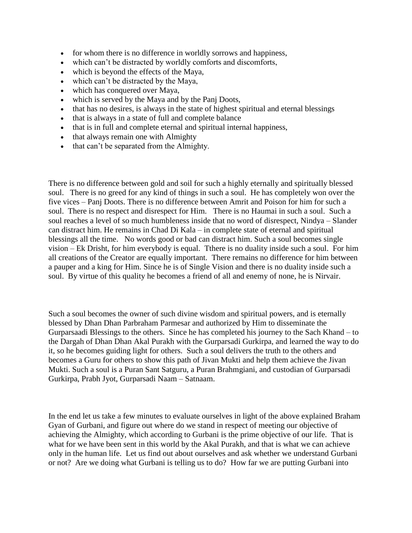- for whom there is no difference in worldly sorrows and happiness,
- which can't be distracted by worldly comforts and discomforts,
- which is beyond the effects of the Maya,
- which can't be distracted by the Maya,
- which has conquered over Maya,
- which is served by the Maya and by the Panj Doots,
- that has no desires, is always in the state of highest spiritual and eternal blessings
- that is always in a state of full and complete balance
- that is in full and complete eternal and spiritual internal happiness,
- that always remain one with Almighty
- that can't be separated from the Almighty.

There is no difference between gold and soil for such a highly eternally and spiritually blessed soul. There is no greed for any kind of things in such a soul. He has completely won over the five vices – Panj Doots. There is no difference between Amrit and Poison for him for such a soul. There is no respect and disrespect for Him. There is no Haumai in such a soul. Such a soul reaches a level of so much humbleness inside that no word of disrespect, Nindya – Slander can distract him. He remains in Chad Di Kala – in complete state of eternal and spiritual blessings all the time. No words good or bad can distract him. Such a soul becomes single vision – Ek Drisht, for him everybody is equal. Tthere is no duality inside such a soul. For him all creations of the Creator are equally important. There remains no difference for him between a pauper and a king for Him. Since he is of Single Vision and there is no duality inside such a soul. By virtue of this quality he becomes a friend of all and enemy of none, he is Nirvair.

Such a soul becomes the owner of such divine wisdom and spiritual powers, and is eternally blessed by Dhan Dhan Parbraham Parmesar and authorized by Him to disseminate the Gurparsaadi Blessings to the others. Since he has completed his journey to the Sach Khand – to the Dargah of Dhan Dhan Akal Purakh with the Gurparsadi Gurkirpa, and learned the way to do it, so he becomes guiding light for others. Such a soul delivers the truth to the others and becomes a Guru for others to show this path of Jivan Mukti and help them achieve the Jivan Mukti. Such a soul is a Puran Sant Satguru, a Puran Brahmgiani, and custodian of Gurparsadi Gurkirpa, Prabh Jyot, Gurparsadi Naam – Satnaam.

In the end let us take a few minutes to evaluate ourselves in light of the above explained Braham Gyan of Gurbani, and figure out where do we stand in respect of meeting our objective of achieving the Almighty, which according to Gurbani is the prime objective of our life. That is what for we have been sent in this world by the Akal Purakh, and that is what we can achieve only in the human life. Let us find out about ourselves and ask whether we understand Gurbani or not? Are we doing what Gurbani is telling us to do? How far we are putting Gurbani into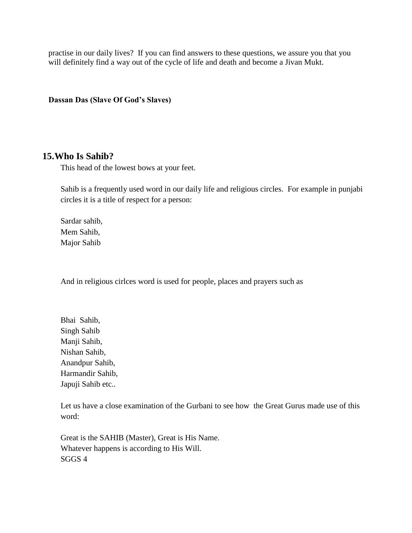practise in our daily lives? If you can find answers to these questions, we assure you that you will definitely find a way out of the cycle of life and death and become a Jivan Mukt.

**Dassan Das (Slave Of God's Slaves)**

## **15.Who Is Sahib?**

This head of the lowest bows at your feet.

Sahib is a frequently used word in our daily life and religious circles. For example in punjabi circles it is a title of respect for a person:

Sardar sahib, Mem Sahib, Major Sahib

And in religious cirlces word is used for people, places and prayers such as

Bhai Sahib, Singh Sahib Manji Sahib, Nishan Sahib, Anandpur Sahib, Harmandir Sahib, Japuji Sahib etc..

Let us have a close examination of the Gurbani to see how the Great Gurus made use of this word:

Great is the SAHIB (Master), Great is His Name. Whatever happens is according to His Will. SGGS 4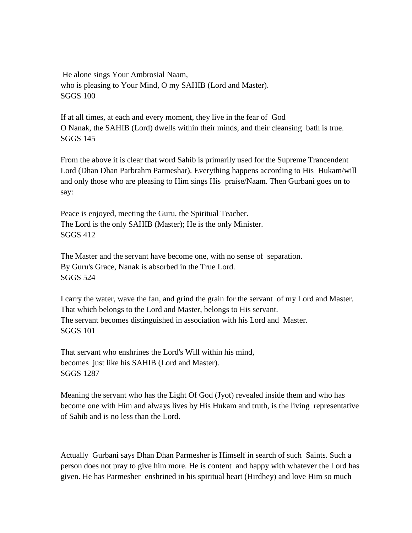He alone sings Your Ambrosial Naam, who is pleasing to Your Mind, O my SAHIB (Lord and Master). SGGS 100

If at all times, at each and every moment, they live in the fear of God O Nanak, the SAHIB (Lord) dwells within their minds, and their cleansing bath is true. SGGS 145

From the above it is clear that word Sahib is primarily used for the Supreme Trancendent Lord (Dhan Dhan Parbrahm Parmeshar). Everything happens according to His Hukam/will and only those who are pleasing to Him sings His praise/Naam. Then Gurbani goes on to say:

Peace is enjoyed, meeting the Guru, the Spiritual Teacher. The Lord is the only SAHIB (Master); He is the only Minister. SGGS 412

The Master and the servant have become one, with no sense of separation. By Guru's Grace, Nanak is absorbed in the True Lord. SGGS 524

I carry the water, wave the fan, and grind the grain for the servant of my Lord and Master. That which belongs to the Lord and Master, belongs to His servant. The servant becomes distinguished in association with his Lord and Master. SGGS 101

That servant who enshrines the Lord's Will within his mind, becomes just like his SAHIB (Lord and Master). SGGS 1287

Meaning the servant who has the Light Of God (Jyot) revealed inside them and who has become one with Him and always lives by His Hukam and truth, is the living representative of Sahib and is no less than the Lord.

Actually Gurbani says Dhan Dhan Parmesher is Himself in search of such Saints. Such a person does not pray to give him more. He is content and happy with whatever the Lord has given. He has Parmesher enshrined in his spiritual heart (Hirdhey) and love Him so much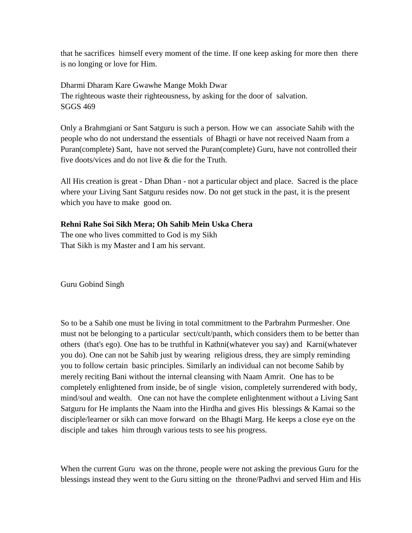that he sacrifices himself every moment of the time. If one keep asking for more then there is no longing or love for Him.

Dharmi Dharam Kare Gwawhe Mange Mokh Dwar The righteous waste their righteousness, by asking for the door of salvation. SGGS 469

Only a Brahmgiani or Sant Satguru is such a person. How we can associate Sahib with the people who do not understand the essentials of Bhagti or have not received Naam from a Puran(complete) Sant, have not served the Puran(complete) Guru, have not controlled their five doots/vices and do not live & die for the Truth.

All His creation is great - Dhan Dhan - not a particular object and place. Sacred is the place where your Living Sant Satguru resides now. Do not get stuck in the past, it is the present which you have to make good on.

## **Rehni Rahe Soi Sikh Mera; Oh Sahib Mein Uska Chera**

The one who lives committed to God is my Sikh That Sikh is my Master and I am his servant.

Guru Gobind Singh

So to be a Sahib one must be living in total commitment to the Parbrahm Purmesher. One must not be belonging to a particular sect/cult/panth, which considers them to be better than others (that's ego). One has to be truthful in Kathni(whatever you say) and Karni(whatever you do). One can not be Sahib just by wearing religious dress, they are simply reminding you to follow certain basic principles. Similarly an individual can not become Sahib by merely reciting Bani without the internal cleansing with Naam Amrit. One has to be completely enlightened from inside, be of single vision, completely surrendered with body, mind/soul and wealth. One can not have the complete enlightenment without a Living Sant Satguru for He implants the Naam into the Hirdha and gives His blessings & Kamai so the disciple/learner or sikh can move forward on the Bhagti Marg. He keeps a close eye on the disciple and takes him through various tests to see his progress.

When the current Guru was on the throne, people were not asking the previous Guru for the blessings instead they went to the Guru sitting on the throne/Padhvi and served Him and His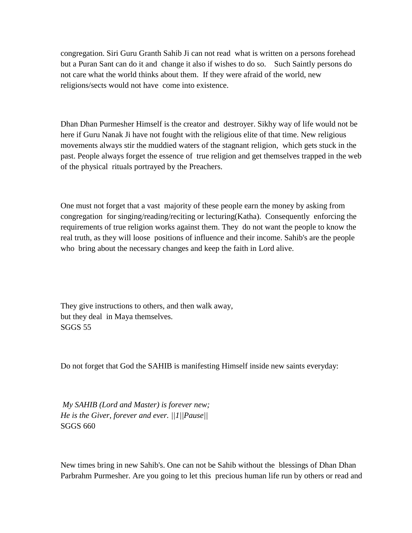congregation. Siri Guru Granth Sahib Ji can not read what is written on a persons forehead but a Puran Sant can do it and change it also if wishes to do so. Such Saintly persons do not care what the world thinks about them. If they were afraid of the world, new religions/sects would not have come into existence.

Dhan Dhan Purmesher Himself is the creator and destroyer. Sikhy way of life would not be here if Guru Nanak Ji have not fought with the religious elite of that time. New religious movements always stir the muddied waters of the stagnant religion, which gets stuck in the past. People always forget the essence of true religion and get themselves trapped in the web of the physical rituals portrayed by the Preachers.

One must not forget that a vast majority of these people earn the money by asking from congregation for singing/reading/reciting or lecturing(Katha). Consequently enforcing the requirements of true religion works against them. They do not want the people to know the real truth, as they will loose positions of influence and their income. Sahib's are the people who bring about the necessary changes and keep the faith in Lord alive.

They give instructions to others, and then walk away, but they deal in Maya themselves. SGGS 55

Do not forget that God the SAHIB is manifesting Himself inside new saints everyday:

*My SAHIB (Lord and Master) is forever new; He is the Giver, forever and ever. ||1||Pause||* SGGS 660

New times bring in new Sahib's. One can not be Sahib without the blessings of Dhan Dhan Parbrahm Purmesher. Are you going to let this precious human life run by others or read and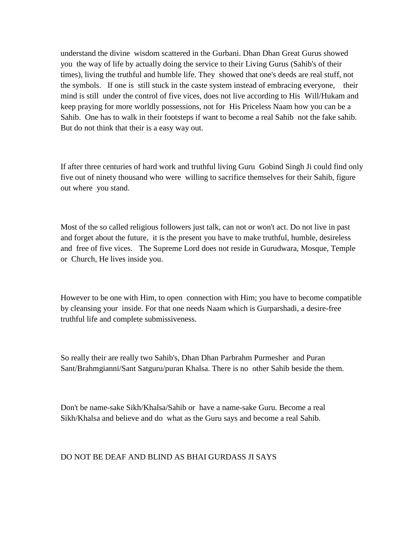understand the divine wisdom scattered in the Gurbani. Dhan Dhan Great Gurus showed you the way of life by actually doing the service to their Living Gurus (Sahib's of their times), living the truthful and humble life. They showed that one's deeds are real stuff, not the symbols. If one is still stuck in the caste system instead of embracing everyone, their mind is still under the control of five vices, does not live according to His Will/Hukam and keep praying for more worldly possessions, not for His Priceless Naam how you can be a Sahib. One has to walk in their footsteps if want to become a real Sahib not the fake sahib. But do not think that their is a easy way out.

If after three centuries of hard work and truthful living Guru Gobind Singh Ji could find only five out of ninety thousand who were willing to sacrifice themselves for their Sahib, figure out where you stand.

Most of the so called religious followers just talk, can not or won't act. Do not live in past and forget about the future, it is the present you have to make truthful, humble, desireless and free of five vices. The Supreme Lord does not reside in Gurudwara, Mosque, Temple or Church, He lives inside you.

However to be one with Him, to open connection with Him; you have to become compatible by cleansing your inside. For that one needs Naam which is Gurparshadi, a desire-free truthful life and complete submissiveness.

So really their are really two Sahib's, Dhan Dhan Parbrahm Purmesher and Puran Sant/Brahmgianni/Sant Satguru/puran Khalsa. There is no other Sahib beside the them.

Don't be name-sake Sikh/Khalsa/Sahib or have a name-sake Guru. Become a real Sikh/Khalsa and believe and do what as the Guru says and become a real Sahib.

#### DO NOT BE DEAF AND BLIND AS BHAI GURDASS JI SAYS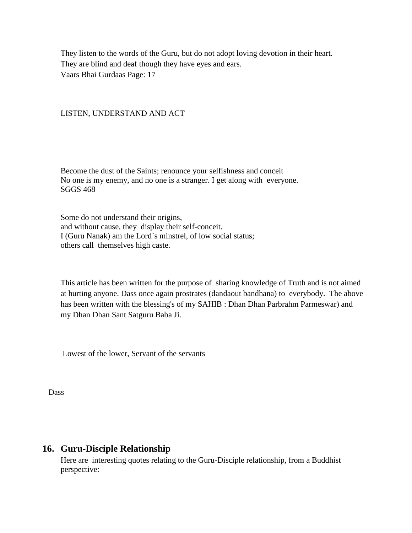They listen to the words of the Guru, but do not adopt loving devotion in their heart. They are blind and deaf though they have eyes and ears. Vaars Bhai Gurdaas Page: 17

#### LISTEN, UNDERSTAND AND ACT

Become the dust of the Saints; renounce your selfishness and conceit No one is my enemy, and no one is a stranger. I get along with everyone. SGGS 468

Some do not understand their origins, and without cause, they display their self-conceit. I (Guru Nanak) am the Lord`s minstrel, of low social status; others call themselves high caste.

This article has been written for the purpose of sharing knowledge of Truth and is not aimed at hurting anyone. Dass once again prostrates (dandaout bandhana) to everybody. The above has been written with the blessing's of my SAHIB : Dhan Dhan Parbrahm Parmeswar) and my Dhan Dhan Sant Satguru Baba Ji.

Lowest of the lower, Servant of the servants

Dass

## **16. Guru-Disciple Relationship**

Here are interesting quotes relating to the Guru-Disciple relationship, from a Buddhist perspective: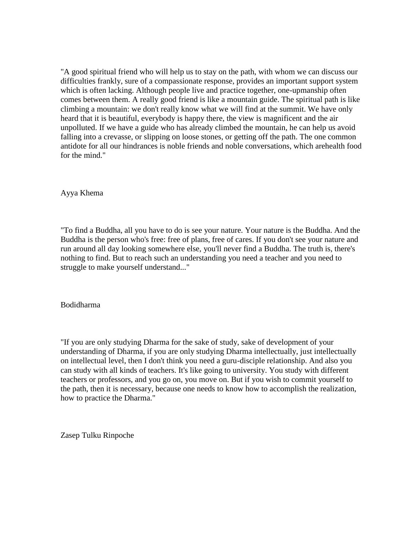"A good spiritual friend who will help us to stay on the path, with whom we can discuss our difficulties frankly, sure of a compassionate response, provides an important support system which is often lacking. Although people live and practice together, one-upmanship often comes between them. A really good friend is like a mountain guide. The spiritual path is like climbing a mountain: we don't really know what we will find at the summit. We have only heard that it is beautiful, everybody is happy there, the view is magnificent and the air unpolluted. If we have a guide who has already climbed the mountain, he can help us avoid falling into a crevasse, or slipping on loose stones, or getting off the path. The one common antidote for all our hindrances is noble friends and noble conversations, which arehealth food for the mind."

Ayya Khema

"To find a Buddha, all you have to do is see your nature. Your nature is the Buddha. And the Buddha is the person who's free: free of plans, free of cares. If you don't see your nature and run around all day looking somewhere else, you'll never find a Buddha. The truth is, there's nothing to find. But to reach such an understanding you need a teacher and you need to struggle to make yourself understand..."

Bodidharma

"If you are only studying Dharma for the sake of study, sake of development of your understanding of Dharma, if you are only studying Dharma intellectually, just intellectually on intellectual level, then I don't think you need a guru-disciple relationship. And also you can study with all kinds of teachers. It's like going to university. You study with different teachers or professors, and you go on, you move on. But if you wish to commit yourself to the path, then it is necessary, because one needs to know how to accomplish the realization, how to practice the Dharma."

Zasep Tulku Rinpoche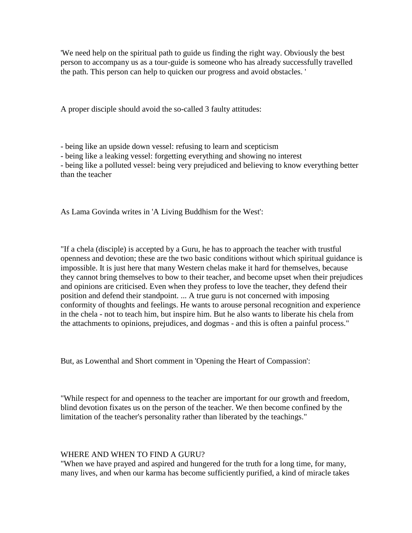'We need help on the spiritual path to guide us finding the right way. Obviously the best person to accompany us as a tour-guide is someone who has already successfully travelled the path. This person can help to quicken our progress and avoid obstacles. '

A proper disciple should avoid the so-called 3 faulty attitudes:

- being like an upside down vessel: refusing to learn and scepticism

- being like a leaking vessel: forgetting everything and showing no interest

- being like a polluted vessel: being very prejudiced and believing to know everything better than the teacher

As Lama Govinda writes in 'A Living Buddhism for the West':

"If a chela (disciple) is accepted by a Guru, he has to approach the teacher with trustful openness and devotion; these are the two basic conditions without which spiritual guidance is impossible. It is just here that many Western chelas make it hard for themselves, because they cannot bring themselves to bow to their teacher, and become upset when their prejudices and opinions are criticised. Even when they profess to love the teacher, they defend their position and defend their standpoint. ... A true guru is not concerned with imposing conformity of thoughts and feelings. He wants to arouse personal recognition and experience in the chela - not to teach him, but inspire him. But he also wants to liberate his chela from the attachments to opinions, prejudices, and dogmas - and this is often a painful process."

But, as Lowenthal and Short comment in 'Opening the Heart of Compassion':

"While respect for and openness to the teacher are important for our growth and freedom, blind devotion fixates us on the person of the teacher. We then become confined by the limitation of the teacher's personality rather than liberated by the teachings."

#### WHERE AND WHEN TO FIND A GURU?

"When we have prayed and aspired and hungered for the truth for a long time, for many, many lives, and when our karma has become sufficiently purified, a kind of miracle takes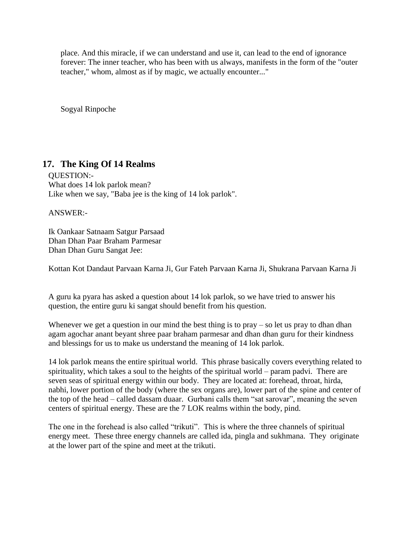place. And this miracle, if we can understand and use it, can lead to the end of ignorance forever: The inner teacher, who has been with us always, manifests in the form of the "outer teacher," whom, almost as if by magic, we actually encounter..."

Sogyal Rinpoche

# **17. The King Of 14 Realms**

QUESTION:- What does 14 lok parlok mean? Like when we say, "Baba jee is the king of 14 lok parlok".

ANSWER:-

Ik Oankaar Satnaam Satgur Parsaad Dhan Dhan Paar Braham Parmesar Dhan Dhan Guru Sangat Jee:

Kottan Kot Dandaut Parvaan Karna Ji, Gur Fateh Parvaan Karna Ji, Shukrana Parvaan Karna Ji

A guru ka pyara has asked a question about 14 lok parlok, so we have tried to answer his question, the entire guru ki sangat should benefit from his question.

Whenever we get a question in our mind the best thing is to  $\text{pray} - \text{so}$  let us  $\text{pray}$  to dhan dhan agam agochar anant beyant shree paar braham parmesar and dhan dhan guru for their kindness and blessings for us to make us understand the meaning of 14 lok parlok.

14 lok parlok means the entire spiritual world. This phrase basically covers everything related to spirituality, which takes a soul to the heights of the spiritual world – param padvi. There are seven seas of spiritual energy within our body. They are located at: forehead, throat, hirda, nabhi, lower portion of the body (where the sex organs are), lower part of the spine and center of the top of the head – called dassam duaar. Gurbani calls them "sat sarovar", meaning the seven centers of spiritual energy. These are the 7 LOK realms within the body, pind.

The one in the forehead is also called "trikuti". This is where the three channels of spiritual energy meet. These three energy channels are called ida, pingla and sukhmana. They originate at the lower part of the spine and meet at the trikuti.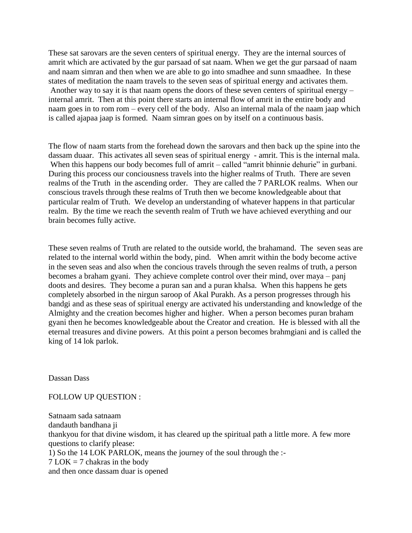These sat sarovars are the seven centers of spiritual energy. They are the internal sources of amrit which are activated by the gur parsaad of sat naam. When we get the gur parsaad of naam and naam simran and then when we are able to go into smadhee and sunn smaadhee. In these states of meditation the naam travels to the seven seas of spiritual energy and activates them. Another way to say it is that naam opens the doors of these seven centers of spiritual energy – internal amrit. Then at this point there starts an internal flow of amrit in the entire body and naam goes in to rom rom – every cell of the body. Also an internal mala of the naam jaap which is called ajapaa jaap is formed. Naam simran goes on by itself on a continuous basis.

The flow of naam starts from the forehead down the sarovars and then back up the spine into the dassam duaar. This activates all seven seas of spiritual energy - amrit. This is the internal mala. When this happens our body becomes full of amrit – called "amrit bhinnie dehurie" in gurbani. During this process our conciousness travels into the higher realms of Truth. There are seven realms of the Truth in the ascending order. They are called the 7 PARLOK realms. When our conscious travels through these realms of Truth then we become knowledgeable about that particular realm of Truth. We develop an understanding of whatever happens in that particular realm. By the time we reach the seventh realm of Truth we have achieved everything and our brain becomes fully active.

These seven realms of Truth are related to the outside world, the brahamand. The seven seas are related to the internal world within the body, pind. When amrit within the body become active in the seven seas and also when the concious travels through the seven realms of truth, a person becomes a braham gyani. They achieve complete control over their mind, over maya – panj doots and desires. They become a puran san and a puran khalsa. When this happens he gets completely absorbed in the nirgun saroop of Akal Purakh. As a person progresses through his bandgi and as these seas of spiritual energy are activated his understanding and knowledge of the Almighty and the creation becomes higher and higher. When a person becomes puran braham gyani then he becomes knowledgeable about the Creator and creation. He is blessed with all the eternal treasures and divine powers. At this point a person becomes brahmgiani and is called the king of 14 lok parlok.

Dassan Dass

FOLLOW UP QUESTION :

Satnaam sada satnaam dandauth bandhana ji thankyou for that divine wisdom, it has cleared up the spiritual path a little more. A few more questions to clarify please: 1) So the 14 LOK PARLOK, means the journey of the soul through the :-  $7$  LOK  $=$  7 chakras in the body and then once dassam duar is opened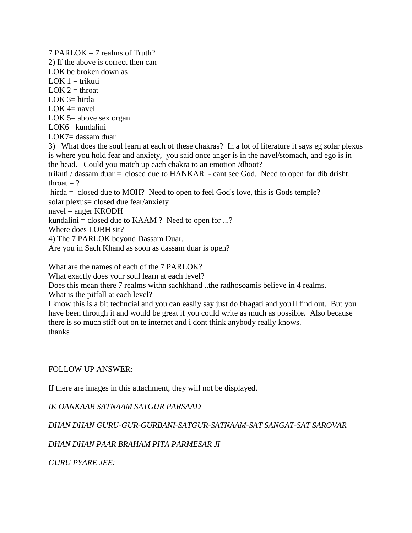$7$  PARLOK = 7 realms of Truth? 2) If the above is correct then can LOK be broken down as  $LOK$  1 = trikuti  $LOK 2 = throat$ LOK  $3=$  hirda LOK  $4=$  navel LOK 5= above sex organ  $LOK6=$  kundalini LOK7= dassam duar 3) What does the soul learn at each of these chakras? In a lot of literature it says eg solar plexus is where you hold fear and anxiety, you said once anger is in the navel/stomach, and ego is in the head. Could you match up each chakra to an emotion /dhoot? trikuti / dassam duar = closed due to HANKAR - cant see God. Need to open for dib drisht. throat  $= ?$ hirda = closed due to MOH? Need to open to feel God's love, this is Gods temple? solar plexus= closed due fear/anxiety navel = anger KRODH kundalini = closed due to KAAM ? Need to open for ...? Where does LOBH sit? 4) The 7 PARLOK beyond Dassam Duar. Are you in Sach Khand as soon as dassam duar is open?

What are the names of each of the 7 PARLOK?

What exactly does your soul learn at each level?

Does this mean there 7 realms withn sachkhand ..the radhosoamis believe in 4 realms.

What is the pitfall at each level?

I know this is a bit techncial and you can easliy say just do bhagati and you'll find out. But you have been through it and would be great if you could write as much as possible. Also because there is so much stiff out on te internet and i dont think anybody really knows. thanks

### FOLLOW UP ANSWER:

If there are images in this attachment, they will not be displayed.

### *IK OANKAAR SATNAAM SATGUR PARSAAD*

*DHAN DHAN GURU-GUR-GURBANI-SATGUR-SATNAAM-SAT SANGAT-SAT SAROVAR*

### *DHAN DHAN PAAR BRAHAM PITA PARMESAR JI*

*GURU PYARE JEE:*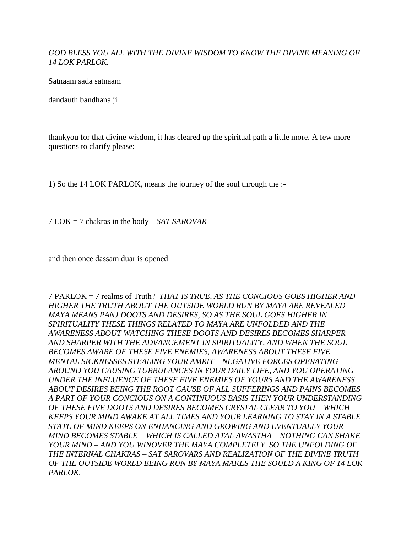### *GOD BLESS YOU ALL WITH THE DIVINE WISDOM TO KNOW THE DIVINE MEANING OF 14 LOK PARLOK.*

Satnaam sada satnaam

dandauth bandhana ji

thankyou for that divine wisdom, it has cleared up the spiritual path a little more. A few more questions to clarify please:

1) So the 14 LOK PARLOK, means the journey of the soul through the :-

7 LOK = 7 chakras in the body – *SAT SAROVAR*

and then once dassam duar is opened

7 PARLOK = 7 realms of Truth? *THAT IS TRUE, AS THE CONCIOUS GOES HIGHER AND HIGHER THE TRUTH ABOUT THE OUTSIDE WORLD RUN BY MAYA ARE REVEALED – MAYA MEANS PANJ DOOTS AND DESIRES, SO AS THE SOUL GOES HIGHER IN SPIRITUALITY THESE THINGS RELATED TO MAYA ARE UNFOLDED AND THE AWARENESS ABOUT WATCHING THESE DOOTS AND DESIRES BECOMES SHARPER AND SHARPER WITH THE ADVANCEMENT IN SPIRITUALITY, AND WHEN THE SOUL BECOMES AWARE OF THESE FIVE ENEMIES, AWARENESS ABOUT THESE FIVE MENTAL SICKNESSES STEALING YOUR AMRIT – NEGATIVE FORCES OPERATING AROUND YOU CAUSING TURBULANCES IN YOUR DAILY LIFE, AND YOU OPERATING UNDER THE INFLUENCE OF THESE FIVE ENEMIES OF YOURS AND THE AWARENESS ABOUT DESIRES BEING THE ROOT CAUSE OF ALL SUFFERINGS AND PAINS BECOMES A PART OF YOUR CONCIOUS ON A CONTINUOUS BASIS THEN YOUR UNDERSTANDING OF THESE FIVE DOOTS AND DESIRES BECOMES CRYSTAL CLEAR TO YOU – WHICH KEEPS YOUR MIND AWAKE AT ALL TIMES AND YOUR LEARNING TO STAY IN A STABLE STATE OF MIND KEEPS ON ENHANCING AND GROWING AND EVENTUALLY YOUR MIND BECOMES STABLE – WHICH IS CALLED ATAL AWASTHA – NOTHING CAN SHAKE YOUR MIND – AND YOU WINOVER THE MAYA COMPLETELY. SO THE UNFOLDING OF THE INTERNAL CHAKRAS – SAT SAROVARS AND REALIZATION OF THE DIVINE TRUTH OF THE OUTSIDE WORLD BEING RUN BY MAYA MAKES THE SOULD A KING OF 14 LOK PARLOK.*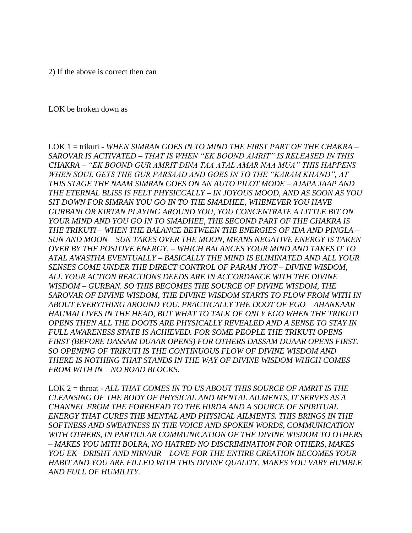2) If the above is correct then can

#### LOK be broken down as

LOK 1 = trikuti *- WHEN SIMRAN GOES IN TO MIND THE FIRST PART OF THE CHAKRA – SAROVAR IS ACTIVATED – THAT IS WHEN "EK BOOND AMRIT" IS RELEASED IN THIS CHAKRA – "EK BOOND GUR AMRIT DINA TAA ATAL AMAR NAA MUA" THIS HAPPENS WHEN SOUL GETS THE GUR PARSAAD AND GOES IN TO THE "KARAM KHAND", AT THIS STAGE THE NAAM SIMRAN GOES ON AN AUTO PILOT MODE – AJAPA JAAP AND THE ETERNAL BLISS IS FELT PHYSICCALLY – IN JOYOUS MOOD, AND AS SOON AS YOU SIT DOWN FOR SIMRAN YOU GO IN TO THE SMADHEE, WHENEVER YOU HAVE GURBANI OR KIRTAN PLAYING AROUND YOU, YOU CONCENTRATE A LITTLE BIT ON YOUR MIND AND YOU GO IN TO SMADHEE, THE SECOND PART OF THE CHAKRA IS THE TRIKUTI – WHEN THE BALANCE BETWEEN THE ENERGIES OF IDA AND PINGLA – SUN AND MOON – SUN TAKES OVER THE MOON, MEANS NEGATIVE ENERGY IS TAKEN OVER BY THE POSITIVE ENERGY, – WHICH BALANCES YOUR MIND AND TAKES IT TO ATAL AWASTHA EVENTUALLY – BASICALLY THE MIND IS ELIMINATED AND ALL YOUR SENSES COME UNDER THE DIRECT CONTROL OF PARAM JYOT – DIVINE WISDOM, ALL YOUR ACTION REACTIONS DEEDS ARE IN ACCORDANCE WITH THE DIVINE WISDOM – GURBAN. SO THIS BECOMES THE SOURCE OF DIVINE WISDOM, THE SAROVAR OF DIVINE WISDOM, THE DIVINE WISDOM STARTS TO FLOW FROM WITH IN ABOUT EVERYTHING AROUND YOU. PRACTICALLY THE DOOT OF EGO – AHANKAAR – HAUMAI LIVES IN THE HEAD, BUT WHAT TO TALK OF ONLY EGO WHEN THE TRIKUTI OPENS THEN ALL THE DOOTS ARE PHYSICALLY REVEALED AND A SENSE TO STAY IN FULL AWARENESS STATE IS ACHIEVED. FOR SOME PEOPLE THE TRIKUTI OPENS FIRST (BEFORE DASSAM DUAAR OPENS) FOR OTHERS DASSAM DUAAR OPENS FIRST. SO OPENING OF TRIKUTI IS THE CONTINUOUS FLOW OF DIVINE WISDOM AND THERE IS NOTHING THAT STANDS IN THE WAY OF DIVINE WISDOM WHICH COMES FROM WITH IN – NO ROAD BLOCKS.*

LOK 2 = throat - *ALL THAT COMES IN TO US ABOUT THIS SOURCE OF AMRIT IS THE CLEANSING OF THE BODY OF PHYSICAL AND MENTAL AILMENTS, IT SERVES AS A CHANNEL FROM THE FOREHEAD TO THE HIRDA AND A SOURCE OF SPIRITUAL ENERGY THAT CURES THE MENTAL AND PHYSICAL AILMENTS. THIS BRINGS IN THE SOFTNESS AND SWEATNESS IN THE VOICE AND SPOKEN WORDS, COMMUNICATION WITH OTHERS, IN PARTIULAR COMMUNICATION OF THE DIVINE WISDOM TO OTHERS – MAKES YOU MITH BOLRA, NO HATRED NO DISCRIMINATION FOR OTHERS, MAKES YOU EK –DRISHT AND NIRVAIR – LOVE FOR THE ENTIRE CREATION BECOMES YOUR HABIT AND YOU ARE FILLED WITH THIS DIVINE QUALITY, MAKES YOU VARY HUMBLE AND FULL OF HUMILITY.*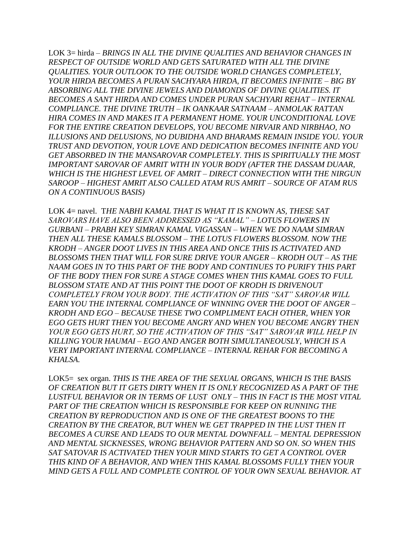LOK 3= hirda – *BRINGS IN ALL THE DIVINE QUALITIES AND BEHAVIOR CHANGES IN RESPECT OF OUTSIDE WORLD AND GETS SATURATED WITH ALL THE DIVINE QUALITIES. YOUR OUTLOOK TO THE OUTSIDE WORLD CHANGES COMPLETELY, YOUR HIRDA BECOMES A PURAN SACHYARA HIRDA, IT BECOMES INFINITE – BIG BY ABSORBING ALL THE DIVINE JEWELS AND DIAMONDS OF DIVINE QUALITIES. IT BECOMES A SANT HIRDA AND COMES UNDER PURAN SACHYARI REHAT – INTERNAL COMPLIANCE. THE DIVINE TRUTH – IK OANKAAR SATNAAM – ANMOLAK RATTAN HIRA COMES IN AND MAKES IT A PERMANENT HOME. YOUR UNCONDITIONAL LOVE FOR THE ENTIRE CREATION DEVELOPS, YOU BECOME NIRVAIR AND NIRBHAO, NO ILLUSIONS AND DELUSIONS, NO DUBIDHA AND BHARAMS REMAIN INSIDE YOU. YOUR TRUST AND DEVOTION, YOUR LOVE AND DEDICATION BECOMES INFINITE AND YOU*  GET ABSORBED IN THE MANSAROVAR COMPLETELY. THIS IS SPIRITUALLY THE MOST *IMPORTANT SAROVAR OF AMRIT WITH IN YOUR BODY (AFTER THE DASSAM DUAAR, WHICH IS THE HIGHEST LEVEL OF AMRIT – DIRECT CONNECTION WITH THE NIRGUN SAROOP – HIGHEST AMRIT ALSO CALLED ATAM RUS AMRIT – SOURCE OF ATAM RUS ON A CONTINUOUS BASIS)*

LOK 4= navel. T*HE NABHI KAMAL THAT IS WHAT IT IS KNOWN AS, THESE SAT SAROVARS HAVE ALSO BEEN ADDRESSED AS "KAMAL" – LOTUS FLOWERS IN GURBANI – PRABH KEY SIMRAN KAMAL VIGASSAN – WHEN WE DO NAAM SIMRAN THEN ALL THESE KAMALS BLOSSOM – THE LOTUS FLOWERS BLOSSOM. NOW THE KRODH – ANGER DOOT LIVES IN THIS AREA AND ONCE THIS IS ACTIVATED AND BLOSSOMS THEN THAT WILL FOR SURE DRIVE YOUR ANGER – KRODH OUT – AS THE NAAM GOES IN TO THIS PART OF THE BODY AND CONTINUES TO PURIFY THIS PART OF THE BODY THEN FOR SURE A STAGE COMES WHEN THIS KAMAL GOES TO FULL BLOSSOM STATE AND AT THIS POINT THE DOOT OF KRODH IS DRIVENOUT COMPLETELY FROM YOUR BODY. THE ACTIVATION OF THIS "SAT" SAROVAR WILL EARN YOU THE INTERNAL COMPLIANCE OF WINNING OVER THE DOOT OF ANGER – KRODH AND EGO – BECAUSE THESE TWO COMPLIMENT EACH OTHER, WHEN YOR EGO GETS HURT THEN YOU BECOME ANGRY AND WHEN YOU BECOME ANGRY THEN YOUR EGO GETS HURT, SO THE ACTIVATION OF THIS "SAT" SAROVAR WILL HELP IN KILLING YOUR HAUMAI – EGO AND ANGER BOTH SIMULTANEOUSLY, WHICH IS A VERY IMPORTANT INTERNAL COMPLIANCE – INTERNAL REHAR FOR BECOMING A KHALSA.*

LOK5= sex organ. *THIS IS THE AREA OF THE SEXUAL ORGANS, WHICH IS THE BASIS OF CREATION BUT IT GETS DIRTY WHEN IT IS ONLY RECOGNIZED AS A PART OF THE LUSTFUL BEHAVIOR OR IN TERMS OF LUST ONLY – THIS IN FACT IS THE MOST VITAL*  PART OF THE CREATION WHICH IS RESPONSIBLE FOR KEEP ON RUNNING THE *CREATION BY REPRODUCTION AND IS ONE OF THE GREATEST BOONS TO THE CREATION BY THE CREATOR, BUT WHEN WE GET TRAPPED IN THE LUST THEN IT BECOMES A CURSE AND LEADS TO OUR MENTAL DOWNFALL – MENTAL DEPRESSION AND MENTAL SICKNESSES, WRONG BEHAVIOR PATTERN AND SO ON. SO WHEN THIS SAT SATOVAR IS ACTIVATED THEN YOUR MIND STARTS TO GET A CONTROL OVER THIS KIND OF A BEHAVIOR, AND WHEN THIS KAMAL BLOSSOMS FULLY THEN YOUR MIND GETS A FULL AND COMPLETE CONTROL OF YOUR OWN SEXUAL BEHAVIOR. AT*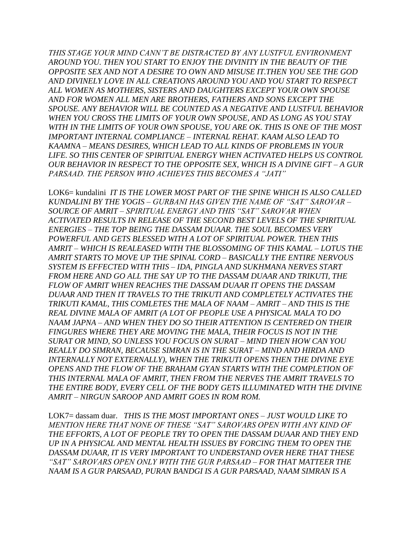*THIS STAGE YOUR MIND CANN'T BE DISTRACTED BY ANY LUSTFUL ENVIRONMENT AROUND YOU. THEN YOU START TO ENJOY THE DIVINITY IN THE BEAUTY OF THE OPPOSITE SEX AND NOT A DESIRE TO OWN AND MISUSE IT.THEN YOU SEE THE GOD AND DIVINELY LOVE IN ALL CREATIONS AROUND YOU AND YOU START TO RESPECT ALL WOMEN AS MOTHERS, SISTERS AND DAUGHTERS EXCEPT YOUR OWN SPOUSE AND FOR WOMEN ALL MEN ARE BROTHERS, FATHERS AND SONS EXCEPT THE SPOUSE. ANY BEHAVIOR WILL BE COUNTED AS A NEGATIVE AND LUSTFUL BEHAVIOR WHEN YOU CROSS THE LIMITS OF YOUR OWN SPOUSE, AND AS LONG AS YOU STAY WITH IN THE LIMITS OF YOUR OWN SPOUSE, YOU ARE OK. THIS IS ONE OF THE MOST IMPORTANT INTERNAL COMPLIANCE – INTERNAL REHAT. KAAM ALSO LEAD TO KAAMNA – MEANS DESIRES, WHICH LEAD TO ALL KINDS OF PROBLEMS IN YOUR*  LIFE. SO THIS CENTER OF SPIRITUAL ENERGY WHEN ACTIVATED HELPS US CONTROL *OUR BEHAVIOR IN RESPECT TO THE OPPOSITE SEX, WHICH IS A DIVINE GIFT – A GUR PARSAAD. THE PERSON WHO ACHIEVES THIS BECOMES A "JATI"*

LOK6= kundalini *IT IS THE LOWER MOST PART OF THE SPINE WHICH IS ALSO CALLED KUNDALINI BY THE YOGIS – GURBANI HAS GIVEN THE NAME OF "SAT" SAROVAR – SOURCE OF AMRIT – SPIRITUAL ENERGY AND THIS "SAT" SAROVAR WHEN ACTIVATED RESULTS IN RELEASE OF THE SECOND BEST LEVELS OF THE SPIRITUAL ENERGIES – THE TOP BEING THE DASSAM DUAAR. THE SOUL BECOMES VERY POWERFUL AND GETS BLESSED WITH A LOT OF SPIRITUAL POWER. THEN THIS AMRIT – WHICH IS REALEASED WITH THE BLOSSOMING OF THIS KAMAL – LOTUS THE AMRIT STARTS TO MOVE UP THE SPINAL CORD – BASICALLY THE ENTIRE NERVOUS SYSTEM IS EFFECTED WITH THIS – IDA, PINGLA AND SUKHMANA NERVES START FROM HERE AND GO ALL THE SAY UP TO THE DASSAM DUAAR AND TRIKUTI, THE FLOW OF AMRIT WHEN REACHES THE DASSAM DUAAR IT OPENS THE DASSAM DUAAR AND THEN IT TRAVELS TO THE TRIKUTI AND COMPLETELY ACTIVATES THE TRIKUTI KAMAL, THIS COMLETES THE MALA OF NAAM – AMRIT – AND THIS IS THE REAL DIVINE MALA OF AMRIT (A LOT OF PEOPLE USE A PHYSICAL MALA TO DO NAAM JAPNA – AND WHEN THEY DO SO THEIR ATTENTION IS CENTERED ON THEIR FINGURES WHERE THEY ARE MOVING THE MALA, THEIR FOCUS IS NOT IN THE SURAT OR MIND, SO UNLESS YOU FOCUS ON SURAT – MIND THEN HOW CAN YOU REALLY DO SIMRAN, BECAUSE SIMRAN IS IN THE SURAT – MIND AND HIRDA AND INTERNALLY NOT EXTERNALLY), WHEN THE TRIKUTI OPENS THEN THE DIVINE EYE OPENS AND THE FLOW OF THE BRAHAM GYAN STARTS WITH THE COMPLETION OF THIS INTERNAL MALA OF AMRIT, THEN FROM THE NERVES THE AMRIT TRAVELS TO THE ENTIRE BODY, EVERY CELL OF THE BODY GETS ILLUMINATED WITH THE DIVINE AMRIT – NIRGUN SAROOP AND AMRIT GOES IN ROM ROM.*

LOK7= dassam duar. *THIS IS THE MOST IMPORTANT ONES – JUST WOULD LIKE TO MENTION HERE THAT NONE OF THESE "SAT" SAROVARS OPEN WITH ANY KIND OF THE EFFORTS, A LOT OF PEOPLE TRY TO OPEN THE DASSAM DUAAR AND THEY END UP IN A PHYSICAL AND MENTAL HEALTH ISSUES BY FORCING THEM TO OPEN THE DASSAM DUAAR, IT IS VERY IMPORTANT TO UNDERSTAND OVER HERE THAT THESE "SAT" SAROVARS OPEN ONLY WITH THE GUR PARSAAD – FOR THAT MATTEER THE NAAM IS A GUR PARSAAD, PURAN BANDGI IS A GUR PARSAAD, NAAM SIMRAN IS A*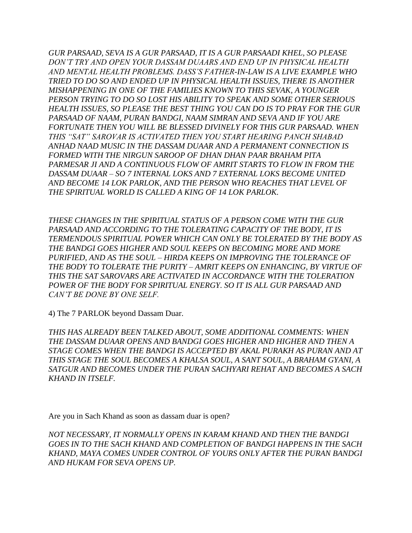*GUR PARSAAD, SEVA IS A GUR PARSAAD, IT IS A GUR PARSAADI KHEL, SO PLEASE DON'T TRY AND OPEN YOUR DASSAM DUAARS AND END UP IN PHYSICAL HEALTH AND MENTAL HEALTH PROBLEMS. DASS'S FATHER-IN-LAW IS A LIVE EXAMPLE WHO TRIED TO DO SO AND ENDED UP IN PHYSICAL HEALTH ISSUES, THERE IS ANOTHER MISHAPPENING IN ONE OF THE FAMILIES KNOWN TO THIS SEVAK, A YOUNGER PERSON TRYING TO DO SO LOST HIS ABILITY TO SPEAK AND SOME OTHER SERIOUS HEALTH ISSUES, SO PLEASE THE BEST THING YOU CAN DO IS TO PRAY FOR THE GUR PARSAAD OF NAAM, PURAN BANDGI, NAAM SIMRAN AND SEVA AND IF YOU ARE FORTUNATE THEN YOU WILL BE BLESSED DIVINELY FOR THIS GUR PARSAAD. WHEN THIS "SAT" SAROVAR IS ACTIVATED THEN YOU START HEARING PANCH SHABAD ANHAD NAAD MUSIC IN THE DASSAM DUAAR AND A PERMANENT CONNECTION IS FORMED WITH THE NIRGUN SAROOP OF DHAN DHAN PAAR BRAHAM PITA PARMESAR JI AND A CONTINUOUS FLOW OF AMRIT STARTS TO FLOW IN FROM THE DASSAM DUAAR – SO 7 INTERNAL LOKS AND 7 EXTERNAL LOKS BECOME UNITED AND BECOME 14 LOK PARLOK, AND THE PERSON WHO REACHES THAT LEVEL OF THE SPIRITUAL WORLD IS CALLED A KING OF 14 LOK PARLOK.*

*THESE CHANGES IN THE SPIRITUAL STATUS OF A PERSON COME WITH THE GUR*  PARSAAD AND ACCORDING TO THE TOLERATING CAPACITY OF THE BODY, IT IS *TERMENDOUS SPIRITUAL POWER WHICH CAN ONLY BE TOLERATED BY THE BODY AS THE BANDGI GOES HIGHER AND SOUL KEEPS ON BECOMING MORE AND MORE PURIFIED, AND AS THE SOUL – HIRDA KEEPS ON IMPROVING THE TOLERANCE OF THE BODY TO TOLERATE THE PURITY – AMRIT KEEPS ON ENHANCING, BY VIRTUE OF THIS THE SAT SAROVARS ARE ACTIVATED IN ACCORDANCE WITH THE TOLERATION POWER OF THE BODY FOR SPIRITUAL ENERGY. SO IT IS ALL GUR PARSAAD AND CAN'T BE DONE BY ONE SELF.*

4) The 7 PARLOK beyond Dassam Duar.

*THIS HAS ALREADY BEEN TALKED ABOUT, SOME ADDITIONAL COMMENTS: WHEN THE DASSAM DUAAR OPENS AND BANDGI GOES HIGHER AND HIGHER AND THEN A STAGE COMES WHEN THE BANDGI IS ACCEPTED BY AKAL PURAKH AS PURAN AND AT THIS STAGE THE SOUL BECOMES A KHALSA SOUL, A SANT SOUL, A BRAHAM GYANI, A SATGUR AND BECOMES UNDER THE PURAN SACHYARI REHAT AND BECOMES A SACH KHAND IN ITSELF.* 

Are you in Sach Khand as soon as dassam duar is open?

*NOT NECESSARY, IT NORMALLY OPENS IN KARAM KHAND AND THEN THE BANDGI GOES IN TO THE SACH KHAND AND COMPLETION OF BANDGI HAPPENS IN THE SACH KHAND, MAYA COMES UNDER CONTROL OF YOURS ONLY AFTER THE PURAN BANDGI AND HUKAM FOR SEVA OPENS UP.*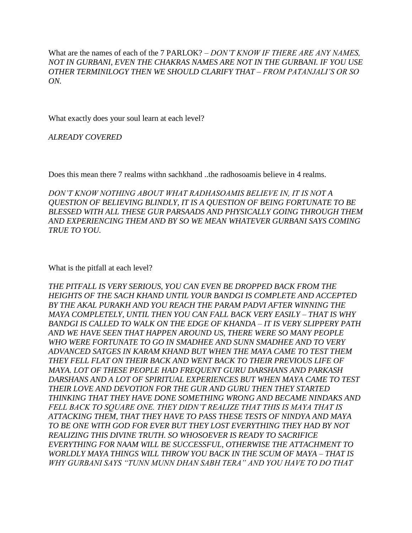What are the names of each of the 7 PARLOK? – *DON'T KNOW IF THERE ARE ANY NAMES, NOT IN GURBANI, EVEN THE CHAKRAS NAMES ARE NOT IN THE GURBANI. IF YOU USE OTHER TERMINILOGY THEN WE SHOULD CLARIFY THAT – FROM PATANJALI'S OR SO ON.*

What exactly does your soul learn at each level?

*ALREADY COVERED*

Does this mean there 7 realms withn sachkhand ..the radhosoamis believe in 4 realms.

*DON'T KNOW NOTHING ABOUT WHAT RADHASOAMIS BELIEVE IN, IT IS NOT A QUESTION OF BELIEVING BLINDLY, IT IS A QUESTION OF BEING FORTUNATE TO BE BLESSED WITH ALL THESE GUR PARSAADS AND PHYSICALLY GOING THROUGH THEM AND EXPERIENCING THEM AND BY SO WE MEAN WHATEVER GURBANI SAYS COMING TRUE TO YOU.*

What is the pitfall at each level?

*THE PITFALL IS VERY SERIOUS, YOU CAN EVEN BE DROPPED BACK FROM THE HEIGHTS OF THE SACH KHAND UNTIL YOUR BANDGI IS COMPLETE AND ACCEPTED BY THE AKAL PURAKH AND YOU REACH THE PARAM PADVI AFTER WINNING THE MAYA COMPLETELY, UNTIL THEN YOU CAN FALL BACK VERY EASILY – THAT IS WHY BANDGI IS CALLED TO WALK ON THE EDGE OF KHANDA – IT IS VERY SLIPPERY PATH AND WE HAVE SEEN THAT HAPPEN AROUND US, THERE WERE SO MANY PEOPLE WHO WERE FORTUNATE TO GO IN SMADHEE AND SUNN SMADHEE AND TO VERY ADVANCED SATGES IN KARAM KHAND BUT WHEN THE MAYA CAME TO TEST THEM THEY FELL FLAT ON THEIR BACK AND WENT BACK TO THEIR PREVIOUS LIFE OF MAYA. LOT OF THESE PEOPLE HAD FREQUENT GURU DARSHANS AND PARKASH DARSHANS AND A LOT OF SPIRITUAL EXPERIENCES BUT WHEN MAYA CAME TO TEST THEIR LOVE AND DEVOTION FOR THE GUR AND GURU THEN THEY STARTED THINKING THAT THEY HAVE DONE SOMETHING WRONG AND BECAME NINDAKS AND FELL BACK TO SQUARE ONE. THEY DIDN'T REALIZE THAT THIS IS MAYA THAT IS ATTACKING THEM, THAT THEY HAVE TO PASS THESE TESTS OF NINDYA AND MAYA TO BE ONE WITH GOD FOR EVER BUT THEY LOST EVERYTHING THEY HAD BY NOT REALIZING THIS DIVINE TRUTH. SO WHOSOEVER IS READY TO SACRIFICE EVERYTHING FOR NAAM WILL BE SUCCESSFUL, OTHERWISE THE ATTACHMENT TO WORLDLY MAYA THINGS WILL THROW YOU BACK IN THE SCUM OF MAYA – THAT IS WHY GURBANI SAYS "TUNN MUNN DHAN SABH TERA" AND YOU HAVE TO DO THAT*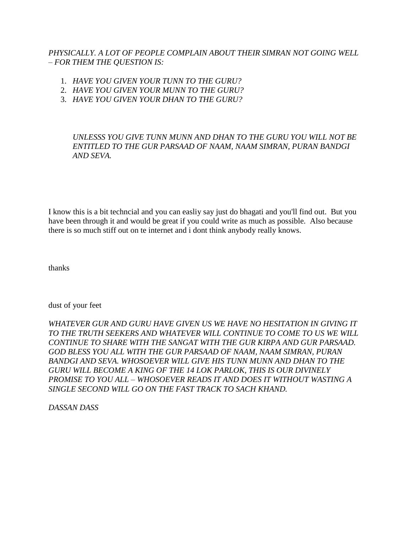*PHYSICALLY. A LOT OF PEOPLE COMPLAIN ABOUT THEIR SIMRAN NOT GOING WELL – FOR THEM THE QUESTION IS:*

- 1. *HAVE YOU GIVEN YOUR TUNN TO THE GURU?*
- 2. *HAVE YOU GIVEN YOUR MUNN TO THE GURU?*
- 3. *HAVE YOU GIVEN YOUR DHAN TO THE GURU?*

*UNLESSS YOU GIVE TUNN MUNN AND DHAN TO THE GURU YOU WILL NOT BE ENTITLED TO THE GUR PARSAAD OF NAAM, NAAM SIMRAN, PURAN BANDGI AND SEVA.*

I know this is a bit techncial and you can easliy say just do bhagati and you'll find out. But you have been through it and would be great if you could write as much as possible. Also because there is so much stiff out on te internet and i dont think anybody really knows.

thanks

dust of your feet

*WHATEVER GUR AND GURU HAVE GIVEN US WE HAVE NO HESITATION IN GIVING IT TO THE TRUTH SEEKERS AND WHATEVER WILL CONTINUE TO COME TO US WE WILL CONTINUE TO SHARE WITH THE SANGAT WITH THE GUR KIRPA AND GUR PARSAAD. GOD BLESS YOU ALL WITH THE GUR PARSAAD OF NAAM, NAAM SIMRAN, PURAN BANDGI AND SEVA. WHOSOEVER WILL GIVE HIS TUNN MUNN AND DHAN TO THE GURU WILL BECOME A KING OF THE 14 LOK PARLOK, THIS IS OUR DIVINELY PROMISE TO YOU ALL – WHOSOEVER READS IT AND DOES IT WITHOUT WASTING A SINGLE SECOND WILL GO ON THE FAST TRACK TO SACH KHAND.*

*DASSAN DASS*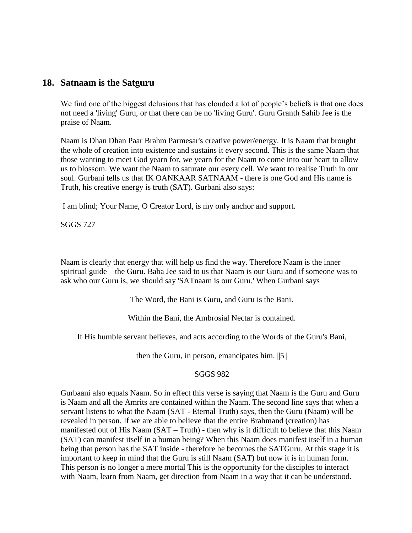## **18. Satnaam is the Satguru**

We find one of the biggest delusions that has clouded a lot of people's beliefs is that one does not need a 'living' Guru, or that there can be no 'living Guru'. Guru Granth Sahib Jee is the praise of Naam.

Naam is Dhan Dhan Paar Brahm Parmesar's creative power/energy. It is Naam that brought the whole of creation into existence and sustains it every second. This is the same Naam that those wanting to meet God yearn for, we yearn for the Naam to come into our heart to allow us to blossom. We want the Naam to saturate our every cell. We want to realise Truth in our soul. Gurbani tells us that IK OANKAAR SATNAAM - there is one God and His name is Truth, his creative energy is truth (SAT). Gurbani also says:

I am blind; Your Name, O Creator Lord, is my only anchor and support.

SGGS 727

Naam is clearly that energy that will help us find the way. Therefore Naam is the inner spiritual guide – the Guru. Baba Jee said to us that Naam is our Guru and if someone was to ask who our Guru is, we should say 'SATnaam is our Guru.' When Gurbani says

The Word, the Bani is Guru, and Guru is the Bani.

Within the Bani, the Ambrosial Nectar is contained.

If His humble servant believes, and acts according to the Words of the Guru's Bani,

then the Guru, in person, emancipates him. ||5||

### SGGS 982

Gurbaani also equals Naam. So in effect this verse is saying that Naam is the Guru and Guru is Naam and all the Amrits are contained within the Naam. The second line says that when a servant listens to what the Naam (SAT - Eternal Truth) says, then the Guru (Naam) will be revealed in person. If we are able to believe that the entire Brahmand (creation) has manifested out of His Naam (SAT – Truth) - then why is it difficult to believe that this Naam (SAT) can manifest itself in a human being? When this Naam does manifest itself in a human being that person has the SAT inside - therefore he becomes the SATGuru. At this stage it is important to keep in mind that the Guru is still Naam (SAT) but now it is in human form. This person is no longer a mere mortal This is the opportunity for the disciples to interact with Naam, learn from Naam, get direction from Naam in a way that it can be understood.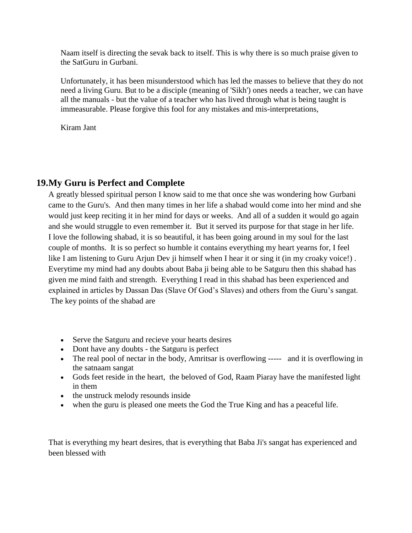Naam itself is directing the sevak back to itself. This is why there is so much praise given to the SatGuru in Gurbani.

Unfortunately, it has been misunderstood which has led the masses to believe that they do not need a living Guru. But to be a disciple (meaning of 'Sikh') ones needs a teacher, we can have all the manuals - but the value of a teacher who has lived through what is being taught is immeasurable. Please forgive this fool for any mistakes and mis-interpretations,

Kiram Jant

# **19.My Guru is Perfect and Complete**

A greatly blessed spiritual person I know said to me that once she was wondering how Gurbani came to the Guru's. And then many times in her life a shabad would come into her mind and she would just keep reciting it in her mind for days or weeks. And all of a sudden it would go again and she would struggle to even remember it. But it served its purpose for that stage in her life. I love the following shabad, it is so beautiful, it has been going around in my soul for the last couple of months. It is so perfect so humble it contains everything my heart yearns for, I feel like I am listening to Guru Arjun Dev ji himself when I hear it or sing it (in my croaky voice!) . Everytime my mind had any doubts about Baba ji being able to be Satguru then this shabad has given me mind faith and strength. Everything I read in this shabad has been experienced and explained in articles by Dassan Das (Slave Of God's Slaves) and others from the Guru's sangat. The key points of the shabad are

- Serve the Satguru and recieve your hearts desires
- Dont have any doubts the Satguru is perfect
- The real pool of nectar in the body, Amritsar is overflowing ----- and it is overflowing in the satnaam sangat
- Gods feet reside in the heart, the beloved of God, Raam Piaray have the manifested light in them
- the unstruck melody resounds inside
- when the guru is pleased one meets the God the True King and has a peaceful life.

That is everything my heart desires, that is everything that Baba Ji's sangat has experienced and been blessed with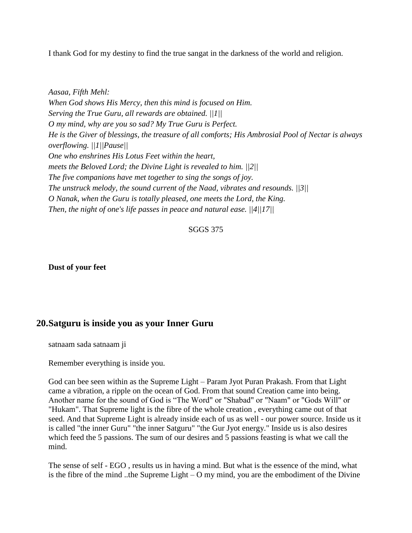I thank God for my destiny to find the true sangat in the darkness of the world and religion.

*Aasaa, Fifth Mehl: When God shows His Mercy, then this mind is focused on Him. Serving the True Guru, all rewards are obtained. ||1|| O my mind, why are you so sad? My True Guru is Perfect. He is the Giver of blessings, the treasure of all comforts; His Ambrosial Pool of Nectar is always overflowing. ||1||Pause|| One who enshrines His Lotus Feet within the heart, meets the Beloved Lord; the Divine Light is revealed to him. ||2|| The five companions have met together to sing the songs of joy. The unstruck melody, the sound current of the Naad, vibrates and resounds. ||3|| O Nanak, when the Guru is totally pleased, one meets the Lord, the King. Then, the night of one's life passes in peace and natural ease. ||4||17||*

#### SGGS 375

**Dust of your feet**

# **20.Satguru is inside you as your Inner Guru**

satnaam sada satnaam ji

Remember everything is inside you.

God can bee seen within as the Supreme Light – Param Jyot Puran Prakash. From that Light came a vibration, a ripple on the ocean of God. From that sound Creation came into being. Another name for the sound of God is "The Word" or "Shabad" or "Naam" or "Gods Will" or "Hukam". That Supreme light is the fibre of the whole creation , everything came out of that seed. And that Supreme Light is already inside each of us as well - our power source. Inside us it is called "the inner Guru" "the inner Satguru" "the Gur Jyot energy." Inside us is also desires which feed the 5 passions. The sum of our desires and 5 passions feasting is what we call the mind.

The sense of self - EGO , results us in having a mind. But what is the essence of the mind, what is the fibre of the mind ..the Supreme Light – O my mind, you are the embodiment of the Divine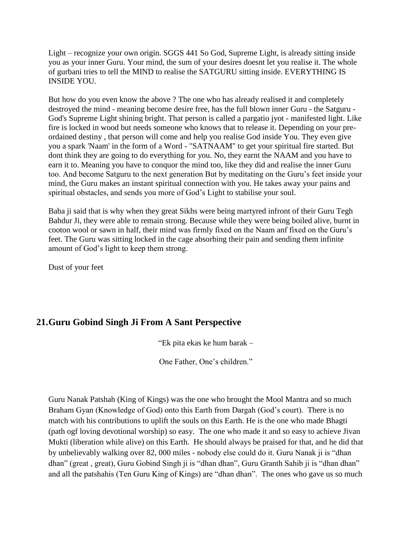Light – recognize your own origin. SGGS 441 So God, Supreme Light, is already sitting inside you as your inner Guru. Your mind, the sum of your desires doesnt let you realise it. The whole of gurbani tries to tell the MIND to realise the SATGURU sitting inside. EVERYTHING IS INSIDE YOU.

But how do you even know the above ? The one who has already realised it and completely destroyed the mind - meaning become desire free, has the full blown inner Guru - the Satguru - God's Supreme Light shining bright. That person is called a pargatio jyot - manifested light. Like fire is locked in wood but needs someone who knows that to release it. Depending on your preordained destiny , that person will come and help you realise God inside You. They even give you a spark 'Naam' in the form of a Word - "SATNAAM" to get your spiritual fire started. But dont think they are going to do everything for you. No, they earnt the NAAM and you have to earn it to. Meaning you have to conquor the mind too, like they did and realise the inner Guru too. And become Satguru to the next generation But by meditating on the Guru's feet inside your mind, the Guru makes an instant spiritual connection with you. He takes away your pains and spiritual obstacles, and sends you more of God's Light to stabilise your soul.

Baba ji said that is why when they great Sikhs were being martyred infront of their Guru Tegh Bahdur Ji, they were able to remain strong. Because while they were being boiled alive, burnt in cooton wool or sawn in half, their mind was firmly fixed on the Naam anf fixed on the Guru's feet. The Guru was sitting locked in the cage absorbing their pain and sending them infinite amount of God's light to keep them strong.

Dust of your feet

# **21.Guru Gobind Singh Ji From A Sant Perspective**

"Ek pita ekas ke hum barak –

One Father, One's children."

Guru Nanak Patshah (King of Kings) was the one who brought the Mool Mantra and so much Braham Gyan (Knowledge of God) onto this Earth from Dargah (God's court). There is no match with his contributions to uplift the souls on this Earth. He is the one who made Bhagti (path ogf loving devotional worship) so easy. The one who made it and so easy to achieve Jivan Mukti (liberation while alive) on this Earth. He should always be praised for that, and he did that by unbelievably walking over 82, 000 miles - nobody else could do it. Guru Nanak ji is "dhan dhan" (great , great), Guru Gobind Singh ji is "dhan dhan", Guru Granth Sahib ji is "dhan dhan" and all the patshahis (Ten Guru King of Kings) are "dhan dhan". The ones who gave us so much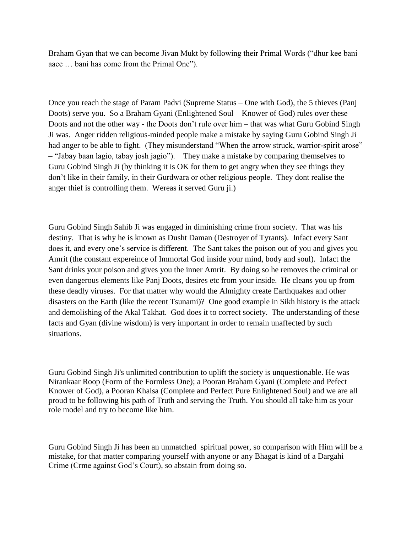Braham Gyan that we can become Jivan Mukt by following their Primal Words ("dhur kee bani aaee … bani has come from the Primal One").

Once you reach the stage of Param Padvi (Supreme Status – One with God), the 5 thieves (Panj Doots) serve you. So a Braham Gyani (Enlightened Soul – Knower of God) rules over these Doots and not the other way - the Doots don't rule over him – that was what Guru Gobind Singh Ji was. Anger ridden religious-minded people make a mistake by saying Guru Gobind Singh Ji had anger to be able to fight. (They misunderstand "When the arrow struck, warrior-spirit arose" – "Jabay baan lagio, tabay josh jagio"). They make a mistake by comparing themselves to Guru Gobind Singh Ji (by thinking it is OK for them to get angry when they see things they don't like in their family, in their Gurdwara or other religious people. They dont realise the anger thief is controlling them. Wereas it served Guru ji.)

Guru Gobind Singh Sahib Ji was engaged in diminishing crime from society. That was his destiny. That is why he is known as Dusht Daman (Destroyer of Tyrants). Infact every Sant does it, and every one's service is different. The Sant takes the poison out of you and gives you Amrit (the constant expereince of Immortal God inside your mind, body and soul). Infact the Sant drinks your poison and gives you the inner Amrit. By doing so he removes the criminal or even dangerous elements like Panj Doots, desires etc from your inside. He cleans you up from these deadly viruses. For that matter why would the Almighty create Earthquakes and other disasters on the Earth (like the recent Tsunami)? One good example in Sikh history is the attack and demolishing of the Akal Takhat. God does it to correct society. The understanding of these facts and Gyan (divine wisdom) is very important in order to remain unaffected by such situations.

Guru Gobind Singh Ji's unlimited contribution to uplift the society is unquestionable. He was Nirankaar Roop (Form of the Formless One); a Pooran Braham Gyani (Complete and Pefect Knower of God), a Pooran Khalsa (Complete and Perfect Pure Enlightened Soul) and we are all proud to be following his path of Truth and serving the Truth. You should all take him as your role model and try to become like him.

Guru Gobind Singh Ji has been an unmatched spiritual power, so comparison with Him will be a mistake, for that matter comparing yourself with anyone or any Bhagat is kind of a Dargahi Crime (Crme against God's Court), so abstain from doing so.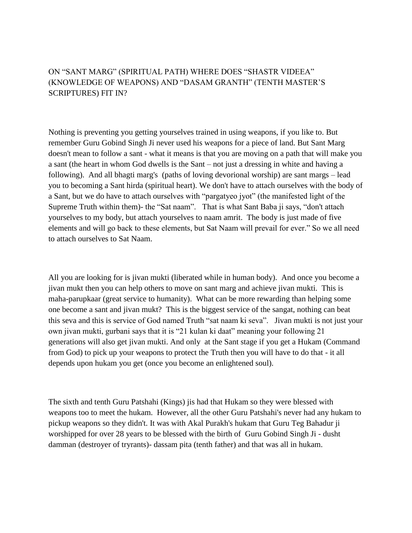## ON "SANT MARG" (SPIRITUAL PATH) WHERE DOES "SHASTR VIDEEA" (KNOWLEDGE OF WEAPONS) AND "DASAM GRANTH" (TENTH MASTER'S SCRIPTURES) FIT IN?

Nothing is preventing you getting yourselves trained in using weapons, if you like to. But remember Guru Gobind Singh Ji never used his weapons for a piece of land. But Sant Marg doesn't mean to follow a sant - what it means is that you are moving on a path that will make you a sant (the heart in whom God dwells is the Sant – not just a dressing in white and having a following). And all bhagti marg's (paths of loving devorional worship) are sant margs – lead you to becoming a Sant hirda (spiritual heart). We don't have to attach ourselves with the body of a Sant, but we do have to attach ourselves with "pargatyeo jyot" (the manifested light of the Supreme Truth within them)- the "Sat naam". That is what Sant Baba ji says, "don't attach yourselves to my body, but attach yourselves to naam amrit. The body is just made of five elements and will go back to these elements, but Sat Naam will prevail for ever." So we all need to attach ourselves to Sat Naam.

All you are looking for is jivan mukti (liberated while in human body). And once you become a jivan mukt then you can help others to move on sant marg and achieve jivan mukti. This is maha-parupkaar (great service to humanity). What can be more rewarding than helping some one become a sant and jivan mukt? This is the biggest service of the sangat, nothing can beat this seva and this is service of God named Truth "sat naam ki seva". Jivan mukti is not just your own jivan mukti, gurbani says that it is "21 kulan ki daat" meaning your following 21 generations will also get jivan mukti. And only at the Sant stage if you get a Hukam (Command from God) to pick up your weapons to protect the Truth then you will have to do that - it all depends upon hukam you get (once you become an enlightened soul).

The sixth and tenth Guru Patshahi (Kings) jis had that Hukam so they were blessed with weapons too to meet the hukam. However, all the other Guru Patshahi's never had any hukam to pickup weapons so they didn't. It was with Akal Purakh's hukam that Guru Teg Bahadur ji worshipped for over 28 years to be blessed with the birth of Guru Gobind Singh Ji - dusht damman (destroyer of tryrants)- dassam pita (tenth father) and that was all in hukam.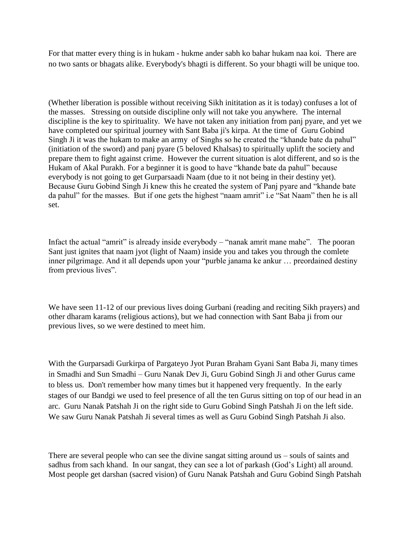For that matter every thing is in hukam - hukme ander sabh ko bahar hukam naa koi. There are no two sants or bhagats alike. Everybody's bhagti is different. So your bhagti will be unique too.

(Whether liberation is possible without receiving Sikh inititation as it is today) confuses a lot of the masses. Stressing on outside discipline only will not take you anywhere. The internal discipline is the key to spirituality. We have not taken any initiation from panj pyare, and yet we have completed our spiritual journey with Sant Baba ji's kirpa. At the time of Guru Gobind Singh Ji it was the hukam to make an army of Singhs so he created the "khande bate da pahul" (initiation of the sword) and panj pyare (5 beloved Khalsas) to spiritually uplift the society and prepare them to fight against crime. However the current situation is alot different, and so is the Hukam of Akal Purakh. For a beginner it is good to have "khande bate da pahul" because everybody is not going to get Gurparsaadi Naam (due to it not being in their destiny yet). Because Guru Gobind Singh Ji knew this he created the system of Panj pyare and "khande bate da pahul" for the masses. But if one gets the highest "naam amrit" i.e "Sat Naam" then he is all set.

Infact the actual "amrit" is already inside everybody – "nanak amrit mane mahe". The pooran Sant just ignites that naam jyot (light of Naam) inside you and takes you through the comlete inner pilgrimage. And it all depends upon your "purble janama ke ankur … preordained destiny from previous lives".

We have seen 11-12 of our previous lives doing Gurbani (reading and reciting Sikh prayers) and other dharam karams (religious actions), but we had connection with Sant Baba ji from our previous lives, so we were destined to meet him.

With the Gurparsadi Gurkirpa of Pargateyo Jyot Puran Braham Gyani Sant Baba Ji, many times in Smadhi and Sun Smadhi – Guru Nanak Dev Ji, Guru Gobind Singh Ji and other Gurus came to bless us. Don't remember how many times but it happened very frequently. In the early stages of our Bandgi we used to feel presence of all the ten Gurus sitting on top of our head in an arc. Guru Nanak Patshah Ji on the right side to Guru Gobind Singh Patshah Ji on the left side. We saw Guru Nanak Patshah Ji several times as well as Guru Gobind Singh Patshah Ji also.

There are several people who can see the divine sangat sitting around us – souls of saints and sadhus from sach khand. In our sangat, they can see a lot of parkash (God's Light) all around. Most people get darshan (sacred vision) of Guru Nanak Patshah and Guru Gobind Singh Patshah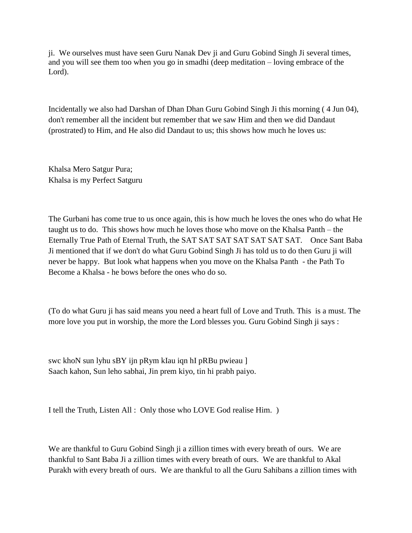ji. We ourselves must have seen Guru Nanak Dev ji and Guru Gobind Singh Ji several times, and you will see them too when you go in smadhi (deep meditation – loving embrace of the Lord).

Incidentally we also had Darshan of Dhan Dhan Guru Gobind Singh Ji this morning ( 4 Jun 04), don't remember all the incident but remember that we saw Him and then we did Dandaut (prostrated) to Him, and He also did Dandaut to us; this shows how much he loves us:

Khalsa Mero Satgur Pura; Khalsa is my Perfect Satguru

The Gurbani has come true to us once again, this is how much he loves the ones who do what He taught us to do. This shows how much he loves those who move on the Khalsa Panth – the Eternally True Path of Eternal Truth, the SAT SAT SAT SAT SAT SAT SAT. Once Sant Baba Ji mentioned that if we don't do what Guru Gobind Singh Ji has told us to do then Guru ji will never be happy. But look what happens when you move on the Khalsa Panth - the Path To Become a Khalsa - he bows before the ones who do so.

(To do what Guru ji has said means you need a heart full of Love and Truth. This is a must. The more love you put in worship, the more the Lord blesses you. Guru Gobind Singh ji says :

swc khoN sun lyhu sBY ijn pRym kIau iqn hI pRBu pwieau ] Saach kahon, Sun leho sabhai, Jin prem kiyo, tin hi prabh paiyo.

I tell the Truth, Listen All : Only those who LOVE God realise Him. )

We are thankful to Guru Gobind Singh ji a zillion times with every breath of ours. We are thankful to Sant Baba Ji a zillion times with every breath of ours. We are thankful to Akal Purakh with every breath of ours. We are thankful to all the Guru Sahibans a zillion times with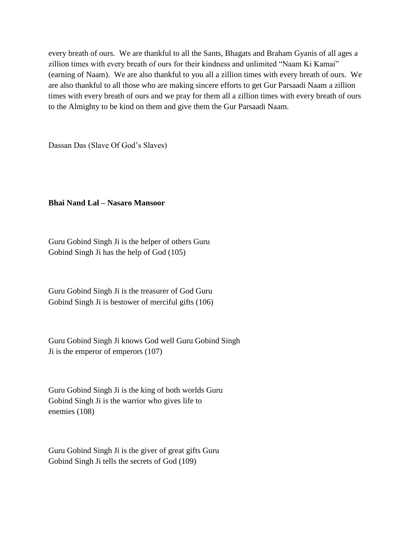every breath of ours. We are thankful to all the Sants, Bhagats and Braham Gyanis of all ages a zillion times with every breath of ours for their kindness and unlimited "Naam Ki Kamai" (earning of Naam). We are also thankful to you all a zillion times with every breath of ours. We are also thankful to all those who are making sincere efforts to get Gur Parsaadi Naam a zillion times with every breath of ours and we pray for them all a zillion times with every breath of ours to the Almighty to be kind on them and give them the Gur Parsaadi Naam.

Dassan Das (Slave Of God's Slaves)

#### **Bhai Nand Lal – Nasaro Mansoor**

Guru Gobind Singh Ji is the helper of others Guru Gobind Singh Ji has the help of God (105)

Guru Gobind Singh Ji is the treasurer of God Guru Gobind Singh Ji is bestower of merciful gifts (106)

Guru Gobind Singh Ji knows God well Guru Gobind Singh Ji is the emperor of emperors (107)

Guru Gobind Singh Ji is the king of both worlds Guru Gobind Singh Ji is the warrior who gives life to enemies (108)

Guru Gobind Singh Ji is the giver of great gifts Guru Gobind Singh Ji tells the secrets of God (109)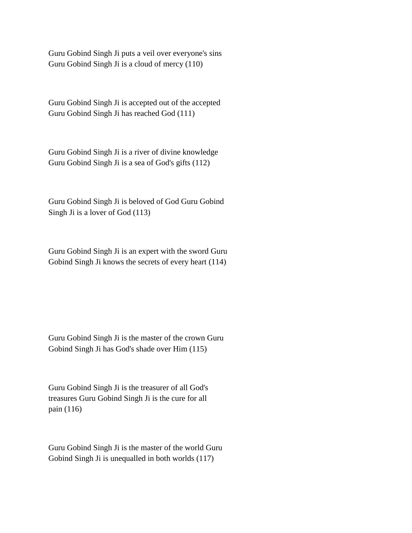Guru Gobind Singh Ji puts a veil over everyone's sins Guru Gobind Singh Ji is a cloud of mercy (110)

Guru Gobind Singh Ji is accepted out of the accepted Guru Gobind Singh Ji has reached God (111)

Guru Gobind Singh Ji is a river of divine knowledge Guru Gobind Singh Ji is a sea of God's gifts (112)

Guru Gobind Singh Ji is beloved of God Guru Gobind Singh Ji is a lover of God (113)

Guru Gobind Singh Ji is an expert with the sword Guru Gobind Singh Ji knows the secrets of every heart (114)

Guru Gobind Singh Ji is the master of the crown Guru Gobind Singh Ji has God's shade over Him (115)

Guru Gobind Singh Ji is the treasurer of all God's treasures Guru Gobind Singh Ji is the cure for all pain (116)

Guru Gobind Singh Ji is the master of the world Guru Gobind Singh Ji is unequalled in both worlds (117)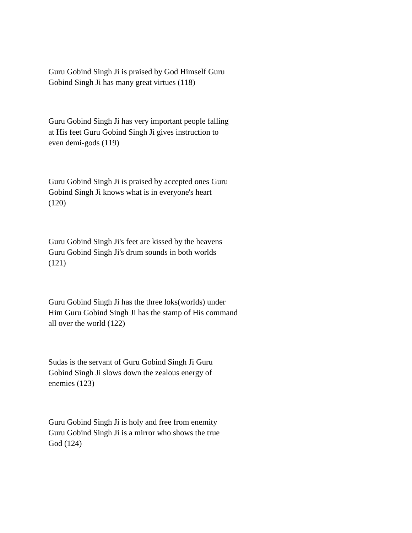Guru Gobind Singh Ji is praised by God Himself Guru Gobind Singh Ji has many great virtues (118)

Guru Gobind Singh Ji has very important people falling at His feet Guru Gobind Singh Ji gives instruction to even demi-gods (119)

Guru Gobind Singh Ji is praised by accepted ones Guru Gobind Singh Ji knows what is in everyone's heart (120)

Guru Gobind Singh Ji's feet are kissed by the heavens Guru Gobind Singh Ji's drum sounds in both worlds (121)

Guru Gobind Singh Ji has the three loks(worlds) under Him Guru Gobind Singh Ji has the stamp of His command all over the world (122)

Sudas is the servant of Guru Gobind Singh Ji Guru Gobind Singh Ji slows down the zealous energy of enemies (123)

Guru Gobind Singh Ji is holy and free from enemity Guru Gobind Singh Ji is a mirror who shows the true God (124)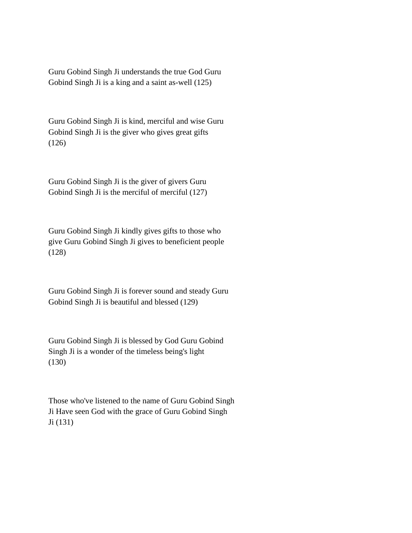Guru Gobind Singh Ji understands the true God Guru Gobind Singh Ji is a king and a saint as-well (125)

Guru Gobind Singh Ji is kind, merciful and wise Guru Gobind Singh Ji is the giver who gives great gifts (126)

Guru Gobind Singh Ji is the giver of givers Guru Gobind Singh Ji is the merciful of merciful (127)

Guru Gobind Singh Ji kindly gives gifts to those who give Guru Gobind Singh Ji gives to beneficient people (128)

Guru Gobind Singh Ji is forever sound and steady Guru Gobind Singh Ji is beautiful and blessed (129)

Guru Gobind Singh Ji is blessed by God Guru Gobind Singh Ji is a wonder of the timeless being's light (130)

Those who've listened to the name of Guru Gobind Singh Ji Have seen God with the grace of Guru Gobind Singh Ji (131)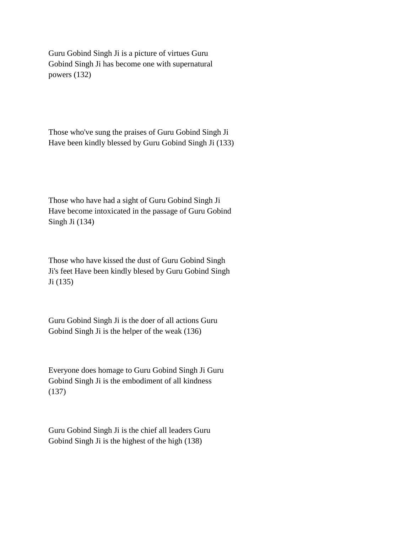Guru Gobind Singh Ji is a picture of virtues Guru Gobind Singh Ji has become one with supernatural powers (132)

Those who've sung the praises of Guru Gobind Singh Ji Have been kindly blessed by Guru Gobind Singh Ji (133)

Those who have had a sight of Guru Gobind Singh Ji Have become intoxicated in the passage of Guru Gobind Singh Ji (134)

Those who have kissed the dust of Guru Gobind Singh Ji's feet Have been kindly blesed by Guru Gobind Singh Ji (135)

Guru Gobind Singh Ji is the doer of all actions Guru Gobind Singh Ji is the helper of the weak (136)

Everyone does homage to Guru Gobind Singh Ji Guru Gobind Singh Ji is the embodiment of all kindness (137)

Guru Gobind Singh Ji is the chief all leaders Guru Gobind Singh Ji is the highest of the high (138)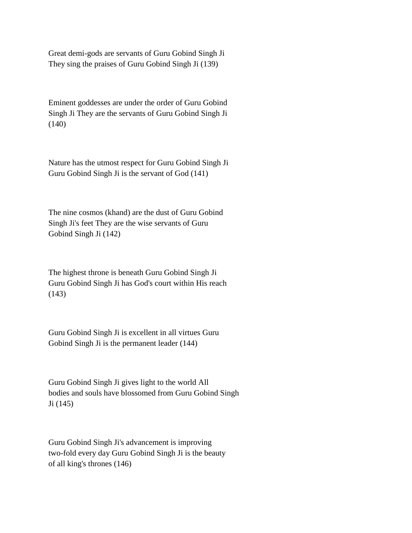Great demi-gods are servants of Guru Gobind Singh Ji They sing the praises of Guru Gobind Singh Ji (139)

Eminent goddesses are under the order of Guru Gobind Singh Ji They are the servants of Guru Gobind Singh Ji (140)

Nature has the utmost respect for Guru Gobind Singh Ji Guru Gobind Singh Ji is the servant of God (141)

The nine cosmos (khand) are the dust of Guru Gobind Singh Ji's feet They are the wise servants of Guru Gobind Singh Ji (142)

The highest throne is beneath Guru Gobind Singh Ji Guru Gobind Singh Ji has God's court within His reach (143)

Guru Gobind Singh Ji is excellent in all virtues Guru Gobind Singh Ji is the permanent leader (144)

Guru Gobind Singh Ji gives light to the world All bodies and souls have blossomed from Guru Gobind Singh Ji (145)

Guru Gobind Singh Ji's advancement is improving two-fold every day Guru Gobind Singh Ji is the beauty of all king's thrones (146)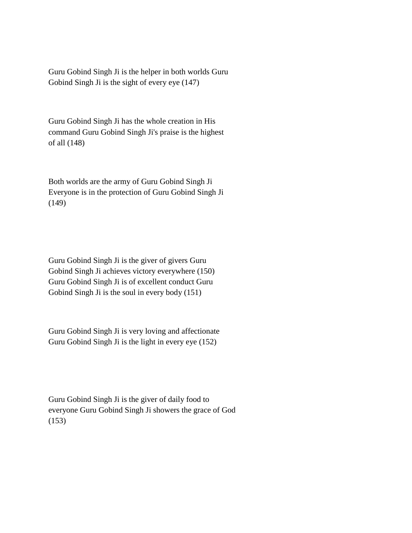Guru Gobind Singh Ji is the helper in both worlds Guru Gobind Singh Ji is the sight of every eye (147)

Guru Gobind Singh Ji has the whole creation in His command Guru Gobind Singh Ji's praise is the highest of all (148)

Both worlds are the army of Guru Gobind Singh Ji Everyone is in the protection of Guru Gobind Singh Ji (149)

Guru Gobind Singh Ji is the giver of givers Guru Gobind Singh Ji achieves victory everywhere (150) Guru Gobind Singh Ji is of excellent conduct Guru Gobind Singh Ji is the soul in every body (151)

Guru Gobind Singh Ji is very loving and affectionate Guru Gobind Singh Ji is the light in every eye (152)

Guru Gobind Singh Ji is the giver of daily food to everyone Guru Gobind Singh Ji showers the grace of God (153)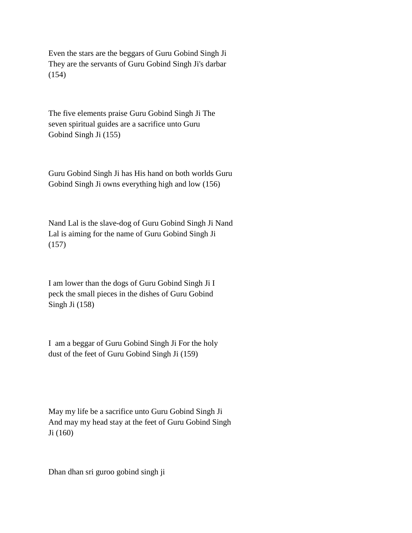Even the stars are the beggars of Guru Gobind Singh Ji They are the servants of Guru Gobind Singh Ji's darbar (154)

The five elements praise Guru Gobind Singh Ji The seven spiritual guides are a sacrifice unto Guru Gobind Singh Ji (155)

Guru Gobind Singh Ji has His hand on both worlds Guru Gobind Singh Ji owns everything high and low (156)

Nand Lal is the slave-dog of Guru Gobind Singh Ji Nand Lal is aiming for the name of Guru Gobind Singh Ji (157)

I am lower than the dogs of Guru Gobind Singh Ji I peck the small pieces in the dishes of Guru Gobind Singh Ji (158)

I am a beggar of Guru Gobind Singh Ji For the holy dust of the feet of Guru Gobind Singh Ji (159)

May my life be a sacrifice unto Guru Gobind Singh Ji And may my head stay at the feet of Guru Gobind Singh Ji (160)

Dhan dhan sri guroo gobind singh ji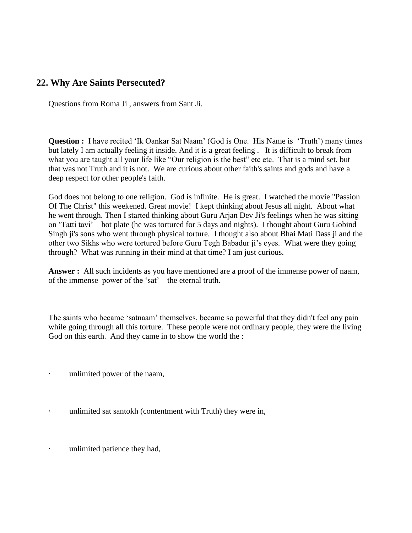# **22. Why Are Saints Persecuted?**

Questions from Roma Ji , answers from Sant Ji.

**Question :** I have recited 'Ik Oankar Sat Naam' (God is One. His Name is 'Truth') many times but lately I am actually feeling it inside. And it is a great feeling . It is difficult to break from what you are taught all your life like "Our religion is the best" etc etc. That is a mind set. but that was not Truth and it is not. We are curious about other faith's saints and gods and have a deep respect for other people's faith.

God does not belong to one religion. God is infinite. He is great. I watched the movie "Passion Of The Christ" this weekened. Great movie! I kept thinking about Jesus all night. About what he went through. Then I started thinking about Guru Arjan Dev Ji's feelings when he was sitting on 'Tatti tavi' – hot plate (he was tortured for 5 days and nights). I thought about Guru Gobind Singh ji's sons who went through physical torture. I thought also about Bhai Mati Dass ji and the other two Sikhs who were tortured before Guru Tegh Babadur ji's eyes. What were they going through? What was running in their mind at that time? I am just curious.

**Answer :** All such incidents as you have mentioned are a proof of the immense power of naam, of the immense power of the 'sat' – the eternal truth.

The saints who became 'satnaam' themselves, became so powerful that they didn't feel any pain while going through all this torture. These people were not ordinary people, they were the living God on this earth. And they came in to show the world the :

- unlimited power of the naam,
- unlimited sat santokh (contentment with Truth) they were in,
- · unlimited patience they had,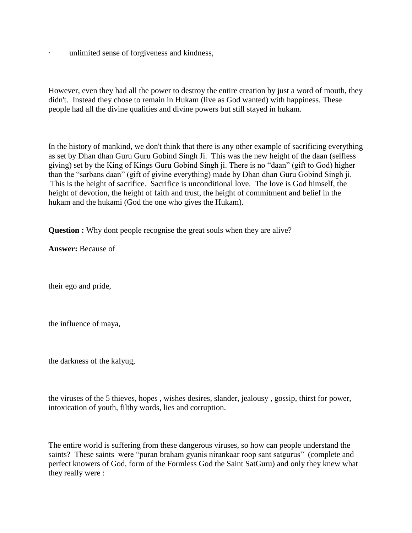unlimited sense of forgiveness and kindness,

However, even they had all the power to destroy the entire creation by just a word of mouth, they didn't. Instead they chose to remain in Hukam (live as God wanted) with happiness. These people had all the divine qualities and divine powers but still stayed in hukam.

In the history of mankind, we don't think that there is any other example of sacrificing everything as set by Dhan dhan Guru Guru Gobind Singh Ji. This was the new height of the daan (selfless giving) set by the King of Kings Guru Gobind Singh ji. There is no "daan" (gift to God) higher than the "sarbans daan" (gift of givine everything) made by Dhan dhan Guru Gobind Singh ji. This is the height of sacrifice. Sacrifice is unconditional love. The love is God himself, the height of devotion, the height of faith and trust, the height of commitment and belief in the hukam and the hukami (God the one who gives the Hukam).

**Question :** Why dont people recognise the great souls when they are alive?

**Answer:** Because of

their ego and pride,

the influence of maya,

the darkness of the kalyug,

the viruses of the 5 thieves, hopes , wishes desires, slander, jealousy , gossip, thirst for power, intoxication of youth, filthy words, lies and corruption.

The entire world is suffering from these dangerous viruses, so how can people understand the saints? These saints were "puran braham gyanis nirankaar roop sant satgurus" (complete and perfect knowers of God, form of the Formless God the Saint SatGuru) and only they knew what they really were :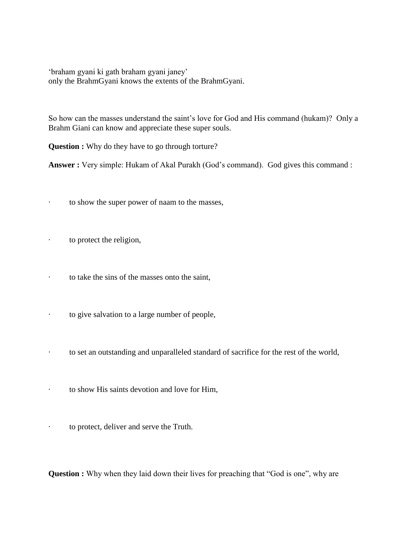'braham gyani ki gath braham gyani janey' only the BrahmGyani knows the extents of the BrahmGyani.

So how can the masses understand the saint's love for God and His command (hukam)? Only a Brahm Giani can know and appreciate these super souls.

**Question :** Why do they have to go through torture?

**Answer :** Very simple: Hukam of Akal Purakh (God's command). God gives this command :

- · to show the super power of naam to the masses,
- · to protect the religion,
- · to take the sins of the masses onto the saint,
- · to give salvation to a large number of people,
- · to set an outstanding and unparalleled standard of sacrifice for the rest of the world,
- · to show His saints devotion and love for Him,
- · to protect, deliver and serve the Truth.

**Question :** Why when they laid down their lives for preaching that "God is one", why are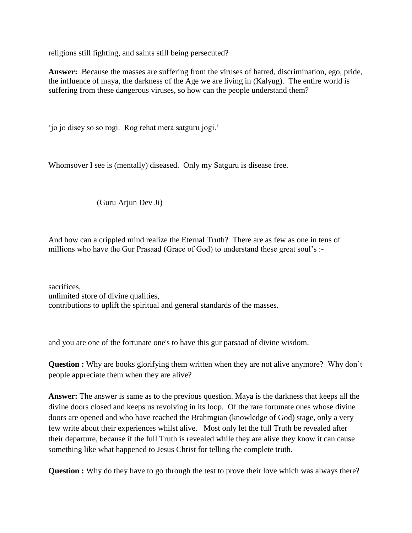religions still fighting, and saints still being persecuted?

**Answer:** Because the masses are suffering from the viruses of hatred, discrimination, ego, pride, the influence of maya, the darkness of the Age we are living in (Kalyug). The entire world is suffering from these dangerous viruses, so how can the people understand them?

'jo jo disey so so rogi. Rog rehat mera satguru jogi.'

Whomsover I see is (mentally) diseased. Only my Satguru is disease free.

(Guru Arjun Dev Ji)

And how can a crippled mind realize the Eternal Truth? There are as few as one in tens of millions who have the Gur Prasaad (Grace of God) to understand these great soul's :-

sacrifices, unlimited store of divine qualities, contributions to uplift the spiritual and general standards of the masses.

and you are one of the fortunate one's to have this gur parsaad of divine wisdom.

**Question :** Why are books glorifying them written when they are not alive anymore? Why don't people appreciate them when they are alive?

**Answer:** The answer is same as to the previous question. Maya is the darkness that keeps all the divine doors closed and keeps us revolving in its loop. Of the rare fortunate ones whose divine doors are opened and who have reached the Brahmgian (knowledge of God) stage, only a very few write about their experiences whilst alive. Most only let the full Truth be revealed after their departure, because if the full Truth is revealed while they are alive they know it can cause something like what happened to Jesus Christ for telling the complete truth.

**Question :** Why do they have to go through the test to prove their love which was always there?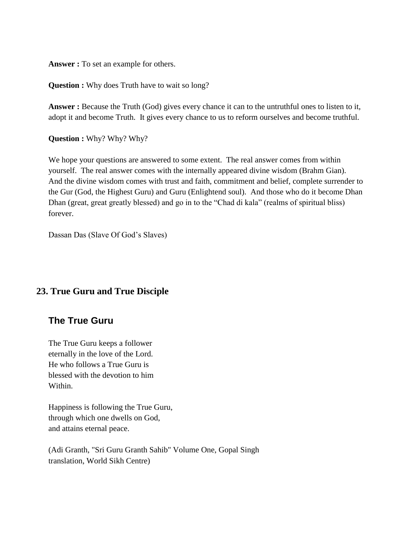**Answer :** To set an example for others.

**Question :** Why does Truth have to wait so long?

**Answer :** Because the Truth (God) gives every chance it can to the untruthful ones to listen to it, adopt it and become Truth. It gives every chance to us to reform ourselves and become truthful.

**Question :** Why? Why? Why?

We hope your questions are answered to some extent. The real answer comes from within yourself. The real answer comes with the internally appeared divine wisdom (Brahm Gian). And the divine wisdom comes with trust and faith, commitment and belief, complete surrender to the Gur (God, the Highest Guru) and Guru (Enlightend soul). And those who do it become Dhan Dhan (great, great greatly blessed) and go in to the "Chad di kala" (realms of spiritual bliss) forever.

Dassan Das (Slave Of God's Slaves)

## **23. True Guru and True Disciple**

## **The True Guru**

The True Guru keeps a follower eternally in the love of the Lord. He who follows a True Guru is blessed with the devotion to him Within.

Happiness is following the True Guru, through which one dwells on God, and attains eternal peace.

(Adi Granth, "Sri Guru Granth Sahib" Volume One, Gopal Singh translation, World Sikh Centre)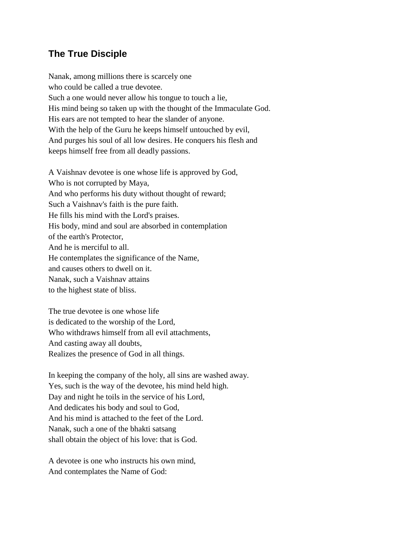# **The True Disciple**

Nanak, among millions there is scarcely one who could be called a true devotee. Such a one would never allow his tongue to touch a lie, His mind being so taken up with the thought of the Immaculate God. His ears are not tempted to hear the slander of anyone. With the help of the Guru he keeps himself untouched by evil, And purges his soul of all low desires. He conquers his flesh and keeps himself free from all deadly passions.

A Vaishnav devotee is one whose life is approved by God, Who is not corrupted by Maya, And who performs his duty without thought of reward; Such a Vaishnav's faith is the pure faith. He fills his mind with the Lord's praises. His body, mind and soul are absorbed in contemplation of the earth's Protector, And he is merciful to all. He contemplates the significance of the Name, and causes others to dwell on it. Nanak, such a Vaishnav attains to the highest state of bliss.

The true devotee is one whose life is dedicated to the worship of the Lord, Who withdraws himself from all evil attachments, And casting away all doubts, Realizes the presence of God in all things.

In keeping the company of the holy, all sins are washed away. Yes, such is the way of the devotee, his mind held high. Day and night he toils in the service of his Lord, And dedicates his body and soul to God, And his mind is attached to the feet of the Lord. Nanak, such a one of the bhakti satsang shall obtain the object of his love: that is God.

A devotee is one who instructs his own mind, And contemplates the Name of God: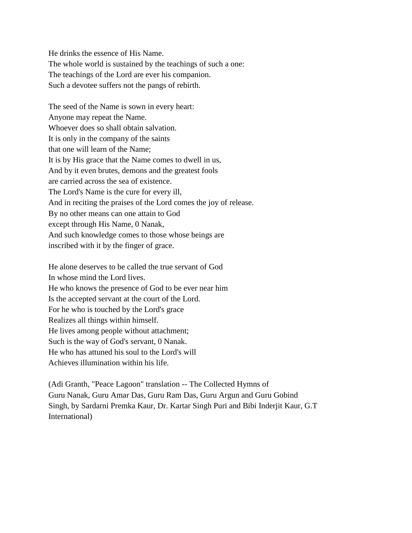He drinks the essence of His Name. The whole world is sustained by the teachings of such a one: The teachings of the Lord are ever his companion. Such a devotee suffers not the pangs of rebirth.

The seed of the Name is sown in every heart: Anyone may repeat the Name. Whoever does so shall obtain salvation. It is only in the company of the saints that one will learn of the Name; It is by His grace that the Name comes to dwell in us, And by it even brutes, demons and the greatest fools are carried across the sea of existence. The Lord's Name is the cure for every ill, And in reciting the praises of the Lord comes the joy of release. By no other means can one attain to God except through His Name, 0 Nanak, And such knowledge comes to those whose beings are inscribed with it by the finger of grace.

He alone deserves to be called the true servant of God In whose mind the Lord lives. He who knows the presence of God to be ever near him Is the accepted servant at the court of the Lord. For he who is touched by the Lord's grace Realizes all things within himself. He lives among people without attachment; Such is the way of God's servant, 0 Nanak. He who has attuned his soul to the Lord's will Achieves illumination within his life.

(Adi Granth, "Peace Lagoon" translation -- The Collected Hymns of Guru Nanak, Guru Amar Das, Guru Ram Das, Guru Argun and Guru Gobind Singh, by Sardarni Premka Kaur, Dr. Kartar Singh Puri and Bibi Inderjit Kaur, G.T International)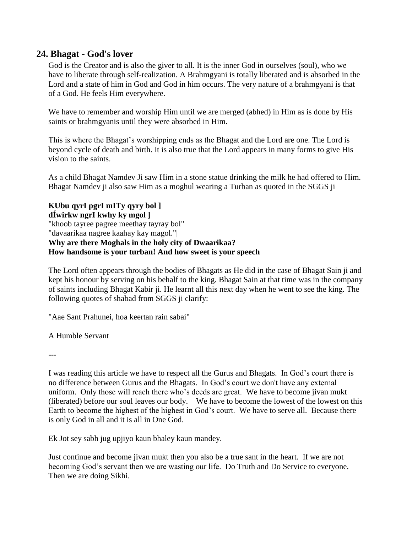## **24. Bhagat - God's lover**

God is the Creator and is also the giver to all. It is the inner God in ourselves (soul), who we have to liberate through self-realization. A Brahmgyani is totally liberated and is absorbed in the Lord and a state of him in God and God in him occurs. The very nature of a brahmgyani is that of a God. He feels Him everywhere.

We have to remember and worship Him until we are merged (abhed) in Him as is done by His saints or brahmgyanis until they were absorbed in Him.

This is where the Bhagat's worshipping ends as the Bhagat and the Lord are one. The Lord is beyond cycle of death and birth. It is also true that the Lord appears in many forms to give His vision to the saints.

As a child Bhagat Namdev Ji saw Him in a stone statue drinking the milk he had offered to Him. Bhagat Namdev ji also saw Him as a moghul wearing a Turban as quoted in the SGGS ji –

**KUbu qyrI pgrI mITy qyry bol ] dÍwirkw ngrI kwhy ky mgol ]** "khoob tayree pagree meethay tayray bol" "davaarikaa nagree kaahay kay magol."| **Why are there Moghals in the holy city of Dwaarikaa? How handsome is your turban! And how sweet is your speech**

The Lord often appears through the bodies of Bhagats as He did in the case of Bhagat Sain ji and kept his honour by serving on his behalf to the king. Bhagat Sain at that time was in the company of saints including Bhagat Kabir ji. He learnt all this next day when he went to see the king. The following quotes of shabad from SGGS ji clarify:

"Aae Sant Prahunei, hoa keertan rain sabai"

A Humble Servant

---

I was reading this article we have to respect all the Gurus and Bhagats. In God's court there is no difference between Gurus and the Bhagats. In God's court we don't have any external uniform. Only those will reach there who's deeds are great. We have to become jivan mukt (liberated) before our soul leaves our body. We have to become the lowest of the lowest on this Earth to become the highest of the highest in God's court. We have to serve all. Because there is only God in all and it is all in One God.

Ek Jot sey sabh jug upjiyo kaun bhaley kaun mandey.

Just continue and become jivan mukt then you also be a true sant in the heart. If we are not becoming God's servant then we are wasting our life. Do Truth and Do Service to everyone. Then we are doing Sikhi.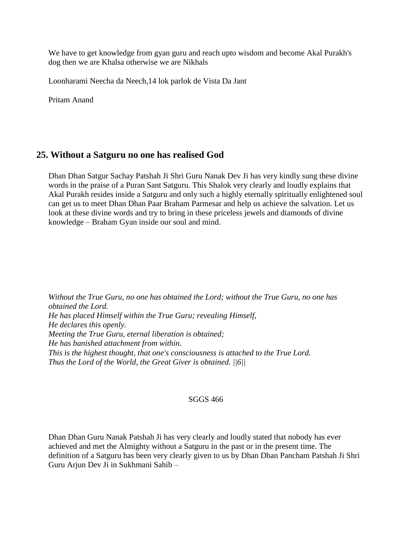We have to get knowledge from gyan guru and reach upto wisdom and become Akal Purakh's dog then we are Khalsa otherwise we are Nikhals

Loonharami Neecha da Neech,14 lok parlok de Vista Da Jant

Pritam Anand

# **25. Without a Satguru no one has realised God**

Dhan Dhan Satgur Sachay Patshah Ji Shri Guru Nanak Dev Ji has very kindly sung these divine words in the praise of a Puran Sant Satguru. This Shalok very clearly and loudly explains that Akal Purakh resides inside a Satguru and only such a highly eternally spiritually enlightened soul can get us to meet Dhan Dhan Paar Braham Parmesar and help us achieve the salvation. Let us look at these divine words and try to bring in these priceless jewels and diamonds of divine knowledge – Braham Gyan inside our soul and mind.

*Without the True Guru, no one has obtained the Lord; without the True Guru, no one has obtained the Lord. He has placed Himself within the True Guru; revealing Himself, He declares this openly. Meeting the True Guru, eternal liberation is obtained; He has banished attachment from within. This is the highest thought, that one's consciousness is attached to the True Lord. Thus the Lord of the World, the Great Giver is obtained. ||6||*

## SGGS 466

Dhan Dhan Guru Nanak Patshah Ji has very clearly and loudly stated that nobody has ever achieved and met the Almighty without a Satguru in the past or in the present time. The definition of a Satguru has been very clearly given to us by Dhan Dhan Pancham Patshah Ji Shri Guru Arjun Dev Ji in Sukhmani Sahib –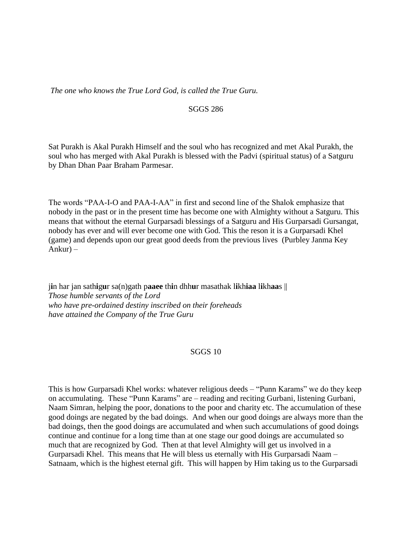*The one who knows the True Lord God, is called the True Guru.*

#### SGGS 286

Sat Purakh is Akal Purakh Himself and the soul who has recognized and met Akal Purakh, the soul who has merged with Akal Purakh is blessed with the Padvi (spiritual status) of a Satguru by Dhan Dhan Paar Braham Parmesar.

The words "PAA-I-O and PAA-I-AA" in first and second line of the Shalok emphasize that nobody in the past or in the present time has become one with Almighty without a Satguru. This means that without the eternal Gurparsadi blessings of a Satguru and His Gurparsadi Gursangat, nobody has ever and will ever become one with God. This the reson it is a Gurparsadi Khel (game) and depends upon our great good deeds from the previous lives (Purbley Janma Key Ankur) –

j**i**n har jan sath**i**g**u**r sa(n)gath p**aaee** th**i**n dhh**u**r masathak l**i**kh**iaa** l**i**kh**aa**s || *Those humble servants of the Lord who have pre-ordained destiny inscribed on their foreheads have attained the Company of the True Guru*

## SGGS 10

This is how Gurparsadi Khel works: whatever religious deeds – "Punn Karams" we do they keep on accumulating. These "Punn Karams" are – reading and reciting Gurbani, listening Gurbani, Naam Simran, helping the poor, donations to the poor and charity etc. The accumulation of these good doings are negated by the bad doings. And when our good doings are always more than the bad doings, then the good doings are accumulated and when such accumulations of good doings continue and continue for a long time than at one stage our good doings are accumulated so much that are recognized by God. Then at that level Almighty will get us involved in a Gurparsadi Khel. This means that He will bless us eternally with His Gurparsadi Naam – Satnaam, which is the highest eternal gift. This will happen by Him taking us to the Gurparsadi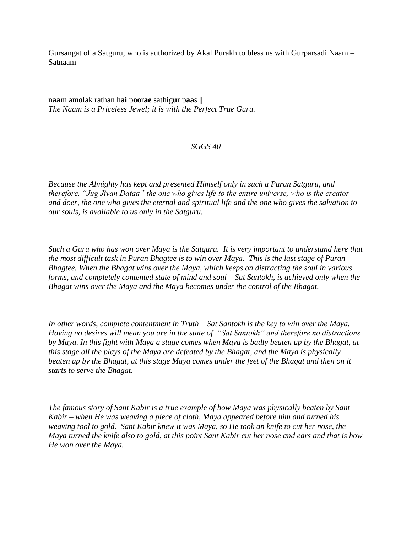Gursangat of a Satguru, who is authorized by Akal Purakh to bless us with Gurparsadi Naam – Satnaam –

n**aa**m am**o**lak rathan h**ai** p**oo**r**ae** sath**i**g**u**r p**aa**s || *The Naam is a Priceless Jewel; it is with the Perfect True Guru.*

## *SGGS 40*

*Because the Almighty has kept and presented Himself only in such a Puran Satguru, and therefore, "Jug Jivan Dataa" the one who gives life to the entire universe, who is the creator and doer, the one who gives the eternal and spiritual life and the one who gives the salvation to our souls, is available to us only in the Satguru.* 

*Such a Guru who has won over Maya is the Satguru. It is very important to understand here that the most difficult task in Puran Bhagtee is to win over Maya. This is the last stage of Puran Bhagtee. When the Bhagat wins over the Maya, which keeps on distracting the soul in various forms, and completely contented state of mind and soul – Sat Santokh, is achieved only when the Bhagat wins over the Maya and the Maya becomes under the control of the Bhagat.* 

*In other words, complete contentment in Truth – Sat Santokh is the key to win over the Maya. Having no desires will mean you are in the state of "Sat Santokh" and therefore no distractions by Maya. In this fight with Maya a stage comes when Maya is badly beaten up by the Bhagat, at this stage all the plays of the Maya are defeated by the Bhagat, and the Maya is physically beaten up by the Bhagat, at this stage Maya comes under the feet of the Bhagat and then on it starts to serve the Bhagat.* 

*The famous story of Sant Kabir is a true example of how Maya was physically beaten by Sant Kabir – when He was weaving a piece of cloth, Maya appeared before him and turned his weaving tool to gold. Sant Kabir knew it was Maya, so He took an knife to cut her nose, the Maya turned the knife also to gold, at this point Sant Kabir cut her nose and ears and that is how He won over the Maya.*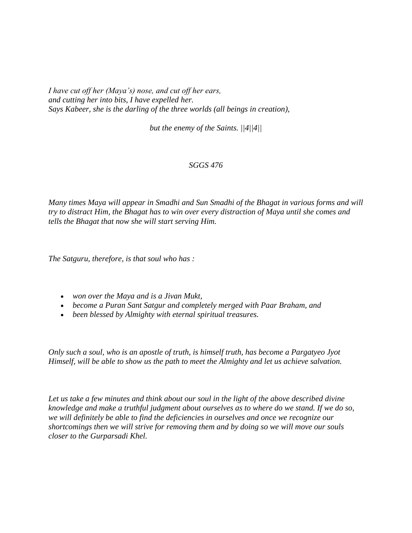*I have cut off her (Maya's) nose, and cut off her ears, and cutting her into bits, I have expelled her. Says Kabeer, she is the darling of the three worlds (all beings in creation),* 

*but the enemy of the Saints. ||4||4||*

## *SGGS 476*

*Many times Maya will appear in Smadhi and Sun Smadhi of the Bhagat in various forms and will try to distract Him, the Bhagat has to win over every distraction of Maya until she comes and tells the Bhagat that now she will start serving Him.* 

*The Satguru, therefore, is that soul who has :*

- *won over the Maya and is a Jivan Mukt,*
- *become a Puran Sant Satgur and completely merged with Paar Braham, and*
- *been blessed by Almighty with eternal spiritual treasures.*

*Only such a soul, who is an apostle of truth, is himself truth, has become a Pargatyeo Jyot Himself, will be able to show us the path to meet the Almighty and let us achieve salvation.* 

*Let us take a few minutes and think about our soul in the light of the above described divine knowledge and make a truthful judgment about ourselves as to where do we stand. If we do so, we will definitely be able to find the deficiencies in ourselves and once we recognize our shortcomings then we will strive for removing them and by doing so we will move our souls closer to the Gurparsadi Khel.*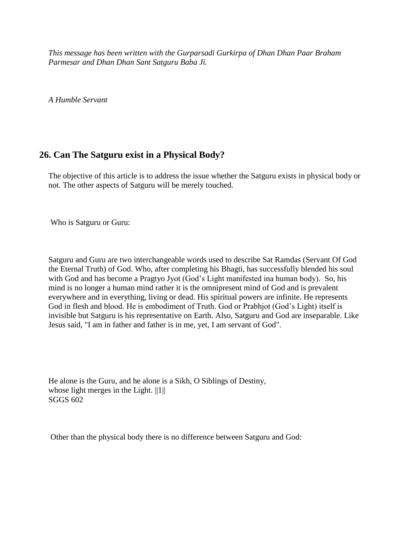*This message has been written with the Gurparsadi Gurkirpa of Dhan Dhan Paar Braham Parmesar and Dhan Dhan Sant Satguru Baba Ji.*

*A Humble Servant*

# **26. Can The Satguru exist in a Physical Body?**

The objective of this article is to address the issue whether the Satguru exists in physical body or not. The other aspects of Satguru will be merely touched.

Who is Satguru or Guru:

Satguru and Guru are two interchangeable words used to describe Sat Ramdas (Servant Of God the Eternal Truth) of God. Who, after completing his Bhagti, has successfully blended his soul with God and has become a Pragtyo Jyot (God's Light manifested ina human body). So, his mind is no longer a human mind rather it is the omnipresent mind of God and is prevalent everywhere and in everything, living or dead. His spiritual powers are infinite. He represents God in flesh and blood. He is embodiment of Truth. God or Prabhjot (God's Light) itself is invisible but Satguru is his representative on Earth. Also, Satguru and God are inseparable. Like Jesus said, "I am in father and father is in me, yet, I am servant of God".

He alone is the Guru, and he alone is a Sikh, O Siblings of Destiny, whose light merges in the Light.  $||1||$ SGGS 602

Other than the physical body there is no difference between Satguru and God: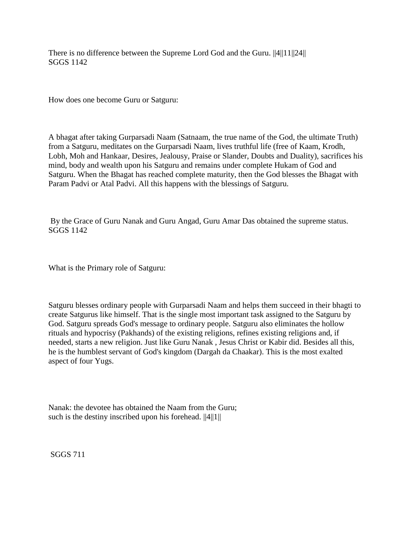There is no difference between the Supreme Lord God and the Guru. ||4||11||24|| SGGS 1142

How does one become Guru or Satguru:

A bhagat after taking Gurparsadi Naam (Satnaam, the true name of the God, the ultimate Truth) from a Satguru, meditates on the Gurparsadi Naam, lives truthful life (free of Kaam, Krodh, Lobh, Moh and Hankaar, Desires, Jealousy, Praise or Slander, Doubts and Duality), sacrifices his mind, body and wealth upon his Satguru and remains under complete Hukam of God and Satguru. When the Bhagat has reached complete maturity, then the God blesses the Bhagat with Param Padvi or Atal Padvi. All this happens with the blessings of Satguru.

By the Grace of Guru Nanak and Guru Angad, Guru Amar Das obtained the supreme status. SGGS 1142

What is the Primary role of Satguru:

Satguru blesses ordinary people with Gurparsadi Naam and helps them succeed in their bhagti to create Satgurus like himself. That is the single most important task assigned to the Satguru by God. Satguru spreads God's message to ordinary people. Satguru also eliminates the hollow rituals and hypocrisy (Pakhands) of the existing religions, refines existing religions and, if needed, starts a new religion. Just like Guru Nanak , Jesus Christ or Kabir did. Besides all this, he is the humblest servant of God's kingdom (Dargah da Chaakar). This is the most exalted aspect of four Yugs.

Nanak: the devotee has obtained the Naam from the Guru; such is the destiny inscribed upon his forehead.  $||4||1||$ 

SGGS 711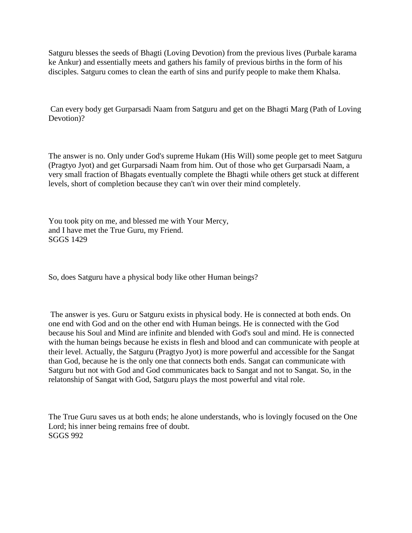Satguru blesses the seeds of Bhagti (Loving Devotion) from the previous lives (Purbale karama ke Ankur) and essentially meets and gathers his family of previous births in the form of his disciples. Satguru comes to clean the earth of sins and purify people to make them Khalsa.

Can every body get Gurparsadi Naam from Satguru and get on the Bhagti Marg (Path of Loving Devotion)?

The answer is no. Only under God's supreme Hukam (His Will) some people get to meet Satguru (Pragtyo Jyot) and get Gurparsadi Naam from him. Out of those who get Gurparsadi Naam, a very small fraction of Bhagats eventually complete the Bhagti while others get stuck at different levels, short of completion because they can't win over their mind completely.

You took pity on me, and blessed me with Your Mercy, and I have met the True Guru, my Friend. SGGS 1429

So, does Satguru have a physical body like other Human beings?

The answer is yes. Guru or Satguru exists in physical body. He is connected at both ends. On one end with God and on the other end with Human beings. He is connected with the God because his Soul and Mind are infinite and blended with God's soul and mind. He is connected with the human beings because he exists in flesh and blood and can communicate with people at their level. Actually, the Satguru (Pragtyo Jyot) is more powerful and accessible for the Sangat than God, because he is the only one that connects both ends. Sangat can communicate with Satguru but not with God and God communicates back to Sangat and not to Sangat. So, in the relatonship of Sangat with God, Satguru plays the most powerful and vital role.

The True Guru saves us at both ends; he alone understands, who is lovingly focused on the One Lord; his inner being remains free of doubt. SGGS 992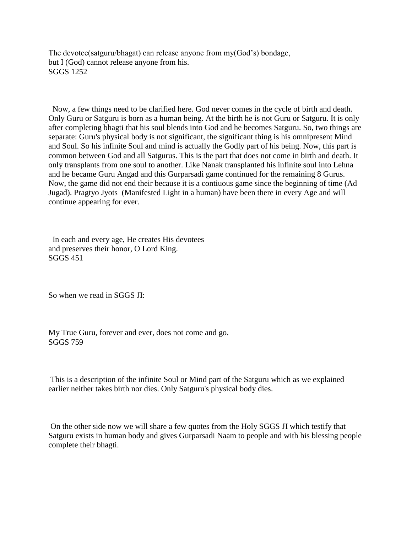The devotee(satguru/bhagat) can release anyone from my(God's) bondage, but I (God) cannot release anyone from his. SGGS 1252

 Now, a few things need to be clarified here. God never comes in the cycle of birth and death. Only Guru or Satguru is born as a human being. At the birth he is not Guru or Satguru. It is only after completing bhagti that his soul blends into God and he becomes Satguru. So, two things are separate: Guru's physical body is not significant, the significant thing is his omnipresent Mind and Soul. So his infinite Soul and mind is actually the Godly part of his being. Now, this part is common between God and all Satgurus. This is the part that does not come in birth and death. It only transplants from one soul to another. Like Nanak transplanted his infinite soul into Lehna and he became Guru Angad and this Gurparsadi game continued for the remaining 8 Gurus. Now, the game did not end their because it is a contiuous game since the beginning of time (Ad Jugad). Pragtyo Jyots (Manifested Light in a human) have been there in every Age and will continue appearing for ever.

 In each and every age, He creates His devotees and preserves their honor, O Lord King. SGGS 451

So when we read in SGGS JI:

My True Guru, forever and ever, does not come and go. SGGS 759

This is a description of the infinite Soul or Mind part of the Satguru which as we explained earlier neither takes birth nor dies. Only Satguru's physical body dies.

On the other side now we will share a few quotes from the Holy SGGS JI which testify that Satguru exists in human body and gives Gurparsadi Naam to people and with his blessing people complete their bhagti.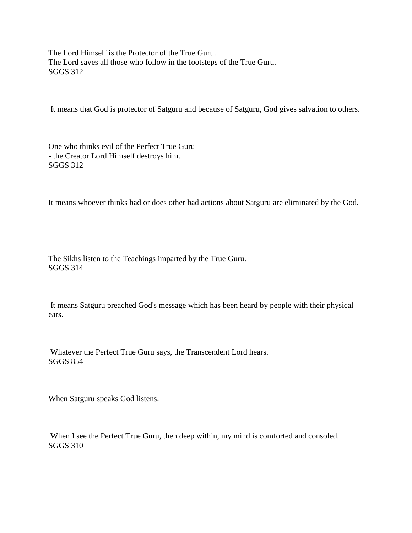The Lord Himself is the Protector of the True Guru. The Lord saves all those who follow in the footsteps of the True Guru. SGGS 312

It means that God is protector of Satguru and because of Satguru, God gives salvation to others.

One who thinks evil of the Perfect True Guru - the Creator Lord Himself destroys him. SGGS 312

It means whoever thinks bad or does other bad actions about Satguru are eliminated by the God.

The Sikhs listen to the Teachings imparted by the True Guru. SGGS 314

It means Satguru preached God's message which has been heard by people with their physical ears.

Whatever the Perfect True Guru says, the Transcendent Lord hears. SGGS 854

When Satguru speaks God listens.

When I see the Perfect True Guru, then deep within, my mind is comforted and consoled. SGGS 310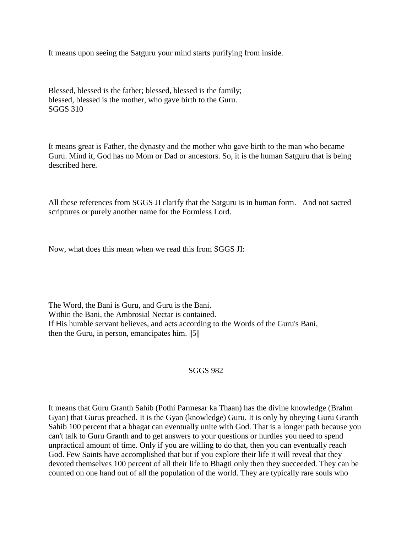It means upon seeing the Satguru your mind starts purifying from inside.

Blessed, blessed is the father; blessed, blessed is the family; blessed, blessed is the mother, who gave birth to the Guru. SGGS 310

It means great is Father, the dynasty and the mother who gave birth to the man who became Guru. Mind it, God has no Mom or Dad or ancestors. So, it is the human Satguru that is being described here.

All these references from SGGS JI clarify that the Satguru is in human form. And not sacred scriptures or purely another name for the Formless Lord.

Now, what does this mean when we read this from SGGS JI:

The Word, the Bani is Guru, and Guru is the Bani. Within the Bani, the Ambrosial Nectar is contained. If His humble servant believes, and acts according to the Words of the Guru's Bani, then the Guru, in person, emancipates him. ||5||

## SGGS 982

It means that Guru Granth Sahib (Pothi Parmesar ka Thaan) has the divine knowledge (Brahm Gyan) that Gurus preached. It is the Gyan (knowledge) Guru. It is only by obeying Guru Granth Sahib 100 percent that a bhagat can eventually unite with God. That is a longer path because you can't talk to Guru Granth and to get answers to your questions or hurdles you need to spend unpractical amount of time. Only if you are willing to do that, then you can eventually reach God. Few Saints have accomplished that but if you explore their life it will reveal that they devoted themselves 100 percent of all their life to Bhagti only then they succeeded. They can be counted on one hand out of all the population of the world. They are typically rare souls who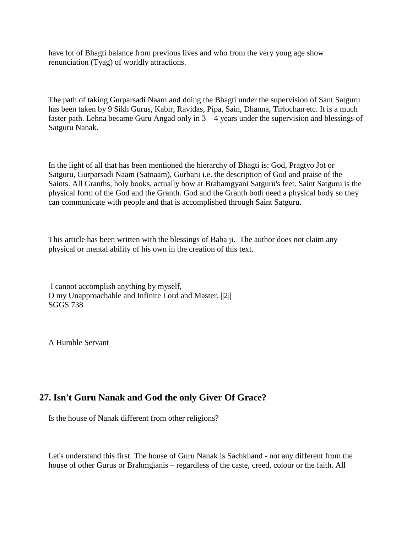have lot of Bhagti balance from previous lives and who from the very youg age show renunciation (Tyag) of worldly attractions.

The path of taking Gurparsadi Naam and doing the Bhagti under the supervision of Sant Satguru has been taken by 9 Sikh Gurus, Kabir, Ravidas, Pipa, Sain, Dhanna, Tirlochan etc. It is a much faster path. Lehna became Guru Angad only in  $3 - 4$  years under the supervision and blessings of Satguru Nanak.

In the light of all that has been mentioned the hierarchy of Bhagti is: God, Pragtyo Jot or Satguru, Gurparsadi Naam (Satnaam), Gurbani i.e. the description of God and praise of the Saints. All Granths, holy books, actually bow at Brahamgyani Satguru's feet. Saint Satguru is the physical form of the God and the Granth. God and the Granth both need a physical body so they can communicate with people and that is accomplished through Saint Satguru.

This article has been written with the blessings of Baba ji. The author does not claim any physical or mental ability of his own in the creation of this text.

I cannot accomplish anything by myself, O my Unapproachable and Infinite Lord and Master. ||2|| SGGS 738

A Humble Servant

# **27. Isn't Guru Nanak and God the only Giver Of Grace?**

Is the house of Nanak different from other religions?

Let's understand this first. The house of Guru Nanak is Sachkhand - not any different from the house of other Gurus or Brahmgianis – regardless of the caste, creed, colour or the faith. All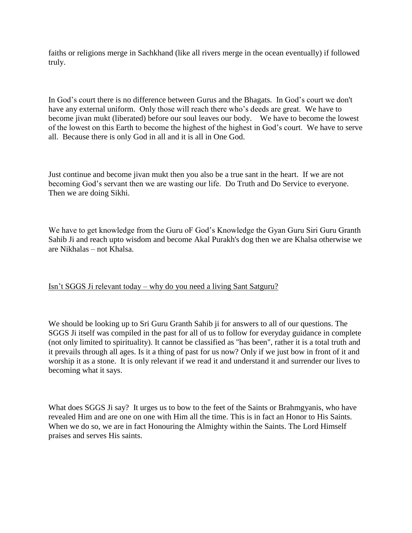faiths or religions merge in Sachkhand (like all rivers merge in the ocean eventually) if followed truly.

In God's court there is no difference between Gurus and the Bhagats. In God's court we don't have any external uniform. Only those will reach there who's deeds are great. We have to become jivan mukt (liberated) before our soul leaves our body. We have to become the lowest of the lowest on this Earth to become the highest of the highest in God's court. We have to serve all. Because there is only God in all and it is all in One God.

Just continue and become jivan mukt then you also be a true sant in the heart. If we are not becoming God's servant then we are wasting our life. Do Truth and Do Service to everyone. Then we are doing Sikhi.

We have to get knowledge from the Guru oF God's Knowledge the Gyan Guru Siri Guru Granth Sahib Ji and reach upto wisdom and become Akal Purakh's dog then we are Khalsa otherwise we are Nikhalas – not Khalsa.

## Isn't SGGS Ji relevant today – why do you need a living Sant Satguru?

We should be looking up to Sri Guru Granth Sahib ji for answers to all of our questions. The SGGS Ji itself was compiled in the past for all of us to follow for everyday guidance in complete (not only limited to spirituality). It cannot be classified as "has been", rather it is a total truth and it prevails through all ages. Is it a thing of past for us now? Only if we just bow in front of it and worship it as a stone. It is only relevant if we read it and understand it and surrender our lives to becoming what it says.

What does SGGS Ji say? It urges us to bow to the feet of the Saints or Brahmgyanis, who have revealed Him and are one on one with Him all the time. This is in fact an Honor to His Saints. When we do so, we are in fact Honouring the Almighty within the Saints. The Lord Himself praises and serves His saints.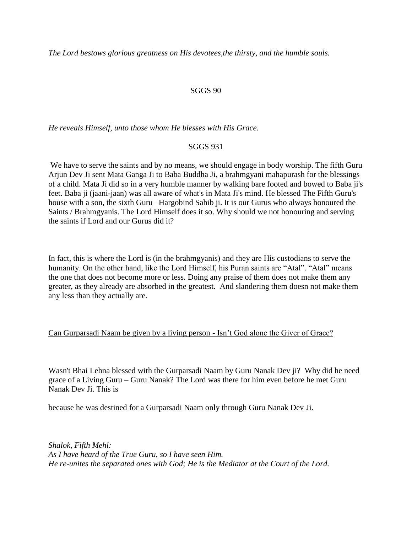*The Lord bestows glorious greatness on His devotees,the thirsty, and the humble souls.*

## SGGS 90

*He reveals Himself, unto those whom He blesses with His Grace.*

## SGGS 931

We have to serve the saints and by no means, we should engage in body worship. The fifth Guru Arjun Dev Ji sent Mata Ganga Ji to Baba Buddha Ji, a brahmgyani mahapurash for the blessings of a child. Mata Ji did so in a very humble manner by walking bare footed and bowed to Baba ji's feet. Baba ji (jaani-jaan) was all aware of what's in Mata Ji's mind. He blessed The Fifth Guru's house with a son, the sixth Guru –Hargobind Sahib ji. It is our Gurus who always honoured the Saints / Brahmgyanis. The Lord Himself does it so. Why should we not honouring and serving the saints if Lord and our Gurus did it?

In fact, this is where the Lord is (in the brahmgyanis) and they are His custodians to serve the humanity. On the other hand, like the Lord Himself, his Puran saints are "Atal". "Atal" means the one that does not become more or less. Doing any praise of them does not make them any greater, as they already are absorbed in the greatest. And slandering them doesn not make them any less than they actually are.

## Can Gurparsadi Naam be given by a living person - Isn't God alone the Giver of Grace?

Wasn't Bhai Lehna blessed with the Gurparsadi Naam by Guru Nanak Dev ji? Why did he need grace of a Living Guru – Guru Nanak? The Lord was there for him even before he met Guru Nanak Dev Ji. This is

because he was destined for a Gurparsadi Naam only through Guru Nanak Dev Ji.

*Shalok, Fifth Mehl: As I have heard of the True Guru, so I have seen Him. He re-unites the separated ones with God; He is the Mediator at the Court of the Lord.*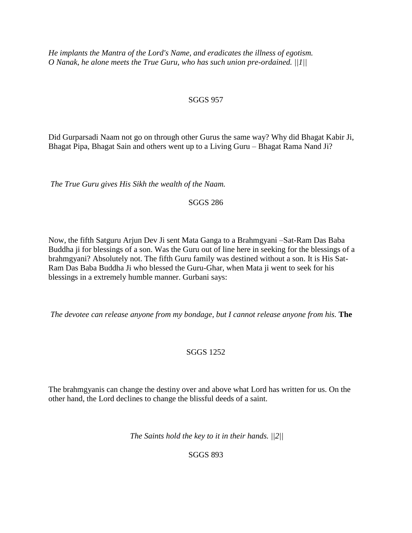*He implants the Mantra of the Lord's Name, and eradicates the illness of egotism. O Nanak, he alone meets the True Guru, who has such union pre-ordained. ||1||*

## SGGS 957

Did Gurparsadi Naam not go on through other Gurus the same way? Why did Bhagat Kabir Ji, Bhagat Pipa, Bhagat Sain and others went up to a Living Guru – Bhagat Rama Nand Ji?

*The True Guru gives His Sikh the wealth of the Naam.*

SGGS 286

Now, the fifth Satguru Arjun Dev Ji sent Mata Ganga to a Brahmgyani –Sat-Ram Das Baba Buddha ji for blessings of a son. Was the Guru out of line here in seeking for the blessings of a brahmgyani? Absolutely not. The fifth Guru family was destined without a son. It is His Sat-Ram Das Baba Buddha Ji who blessed the Guru-Ghar, when Mata ji went to seek for his blessings in a extremely humble manner. Gurbani says:

*The devotee can release anyone from my bondage, but I cannot release anyone from his.* **The** 

## SGGS 1252

The brahmgyanis can change the destiny over and above what Lord has written for us. On the other hand, the Lord declines to change the blissful deeds of a saint.

*The Saints hold the key to it in their hands. ||2||*

SGGS 893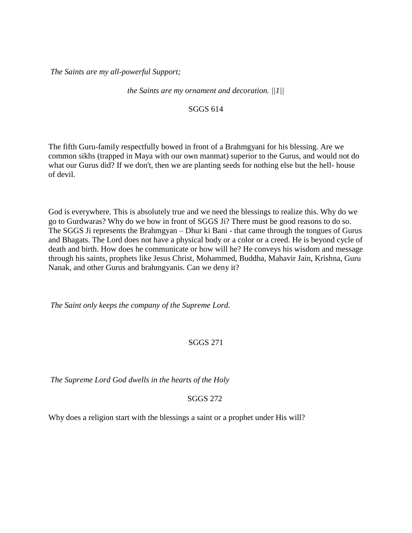*The Saints are my all-powerful Support;* 

*the Saints are my ornament and decoration. ||1||*

#### SGGS 614

The fifth Guru-family respectfully bowed in front of a Brahmgyani for his blessing. Are we common sikhs (trapped in Maya with our own manmat) superior to the Gurus, and would not do what our Gurus did? If we don't, then we are planting seeds for nothing else but the hell- house of devil.

God is everywhere. This is absolutely true and we need the blessings to realize this. Why do we go to Gurdwaras? Why do we bow in front of SGGS Ji? There must be good reasons to do so. The SGGS Ji represents the Brahmgyan – Dhur ki Bani - that came through the tongues of Gurus and Bhagats. The Lord does not have a physical body or a color or a creed. He is beyond cycle of death and birth. How does he communicate or how will he? He conveys his wisdom and message through his saints, prophets like Jesus Christ, Mohammed, Buddha, Mahavir Jain, Krishna, Guru Nanak, and other Gurus and brahmgyanis. Can we deny it?

*The Saint only keeps the company of the Supreme Lord.*

## SGGS 271

*The Supreme Lord God dwells in the hearts of the Holy*

SGGS 272

Why does a religion start with the blessings a saint or a prophet under His will?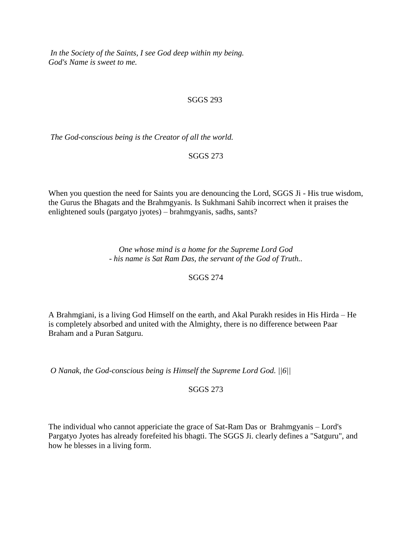*In the Society of the Saints, I see God deep within my being. God's Name is sweet to me.*

## SGGS 293

*The God-conscious being is the Creator of all the world.*

SGGS 273

When you question the need for Saints you are denouncing the Lord, SGGS Ji - His true wisdom, the Gurus the Bhagats and the Brahmgyanis. Is Sukhmani Sahib incorrect when it praises the enlightened souls (pargatyo jyotes) – brahmgyanis, sadhs, sants?

> *One whose mind is a home for the Supreme Lord God - his name is Sat Ram Das, the servant of the God of Truth..*

> > SGGS 274

A Brahmgiani, is a living God Himself on the earth, and Akal Purakh resides in His Hirda – He is completely absorbed and united with the Almighty, there is no difference between Paar Braham and a Puran Satguru.

*O Nanak, the God-conscious being is Himself the Supreme Lord God. ||6||*

SGGS 273

The individual who cannot appericiate the grace of Sat-Ram Das or Brahmgyanis – Lord's Pargatyo Jyotes has already forefeited his bhagti. The SGGS Ji. clearly defines a "Satguru", and how he blesses in a living form.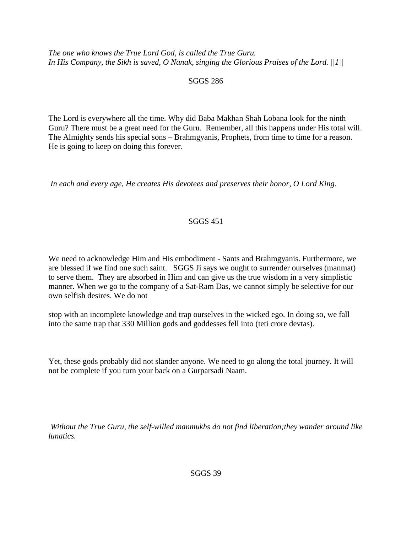*The one who knows the True Lord God, is called the True Guru. In His Company, the Sikh is saved, O Nanak, singing the Glorious Praises of the Lord. ||1||*

## SGGS 286

The Lord is everywhere all the time. Why did Baba Makhan Shah Lobana look for the ninth Guru? There must be a great need for the Guru. Remember, all this happens under His total will. The Almighty sends his special sons – Brahmgyanis, Prophets, from time to time for a reason. He is going to keep on doing this forever.

*In each and every age, He creates His devotees and preserves their honor, O Lord King.*

## SGGS 451

We need to acknowledge Him and His embodiment - Sants and Brahmgyanis. Furthermore, we are blessed if we find one such saint. SGGS Ji says we ought to surrender ourselves (manmat) to serve them. They are absorbed in Him and can give us the true wisdom in a very simplistic manner. When we go to the company of a Sat-Ram Das, we cannot simply be selective for our own selfish desires. We do not

stop with an incomplete knowledge and trap ourselves in the wicked ego. In doing so, we fall into the same trap that 330 Million gods and goddesses fell into (teti crore devtas).

Yet, these gods probably did not slander anyone. We need to go along the total journey. It will not be complete if you turn your back on a Gurparsadi Naam.

*Without the True Guru, the self-willed manmukhs do not find liberation;they wander around like lunatics.*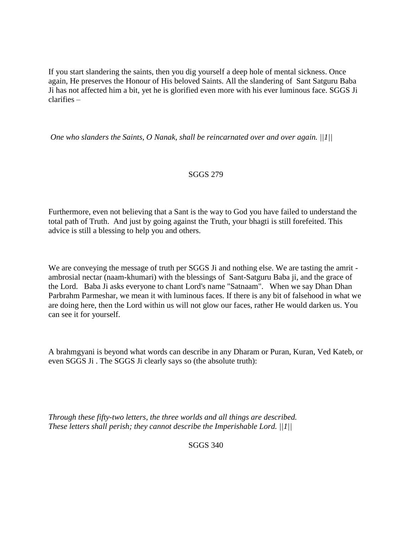If you start slandering the saints, then you dig yourself a deep hole of mental sickness. Once again, He preserves the Honour of His beloved Saints. All the slandering of Sant Satguru Baba Ji has not affected him a bit, yet he is glorified even more with his ever luminous face. SGGS Ji clarifies –

*One who slanders the Saints, O Nanak, shall be reincarnated over and over again. ||1||*

## SGGS 279

Furthermore, even not believing that a Sant is the way to God you have failed to understand the total path of Truth. And just by going against the Truth, your bhagti is still forefeited. This advice is still a blessing to help you and others.

We are conveying the message of truth per SGGS Ji and nothing else. We are tasting the amrit ambrosial nectar (naam-khumari) with the blessings of Sant-Satguru Baba ji, and the grace of the Lord. Baba Ji asks everyone to chant Lord's name "Satnaam". When we say Dhan Dhan Parbrahm Parmeshar, we mean it with luminous faces. If there is any bit of falsehood in what we are doing here, then the Lord within us will not glow our faces, rather He would darken us. You can see it for yourself.

A brahmgyani is beyond what words can describe in any Dharam or Puran, Kuran, Ved Kateb, or even SGGS Ji . The SGGS Ji clearly says so (the absolute truth):

*Through these fifty-two letters, the three worlds and all things are described. These letters shall perish; they cannot describe the Imperishable Lord. ||1||*

SGGS 340